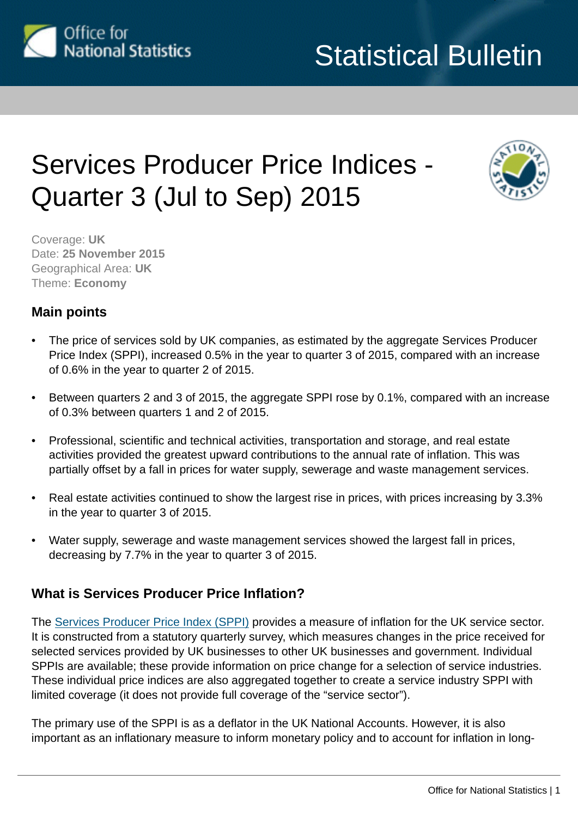

# Services Producer Price Indices - Quarter 3 (Jul to Sep) 2015



Coverage: **UK** Date: **25 November 2015** Geographical Area: **UK** Theme: **Economy**

## **Main points**

- The price of services sold by UK companies, as estimated by the aggregate Services Producer Price Index (SPPI), increased 0.5% in the year to quarter 3 of 2015, compared with an increase of 0.6% in the year to quarter 2 of 2015.
- Between quarters 2 and 3 of 2015, the aggregate SPPI rose by 0.1%, compared with an increase of 0.3% between quarters 1 and 2 of 2015.
- Professional, scientific and technical activities, transportation and storage, and real estate activities provided the greatest upward contributions to the annual rate of inflation. This was partially offset by a fall in prices for water supply, sewerage and waste management services.
- Real estate activities continued to show the largest rise in prices, with prices increasing by 3.3% in the year to quarter 3 of 2015.
- Water supply, sewerage and waste management services showed the largest fall in prices, decreasing by 7.7% in the year to quarter 3 of 2015.

## **What is Services Producer Price Inflation?**

The [Services Producer Price Index \(SPPI\)](http://www.ons.gov.uk:80/ons/rel/ppi2/services-producer-price-index/index.html) provides a measure of inflation for the UK service sector. It is constructed from a statutory quarterly survey, which measures changes in the price received for selected services provided by UK businesses to other UK businesses and government. Individual SPPIs are available; these provide information on price change for a selection of service industries. These individual price indices are also aggregated together to create a service industry SPPI with limited coverage (it does not provide full coverage of the "service sector").

The primary use of the SPPI is as a deflator in the UK National Accounts. However, it is also important as an inflationary measure to inform monetary policy and to account for inflation in long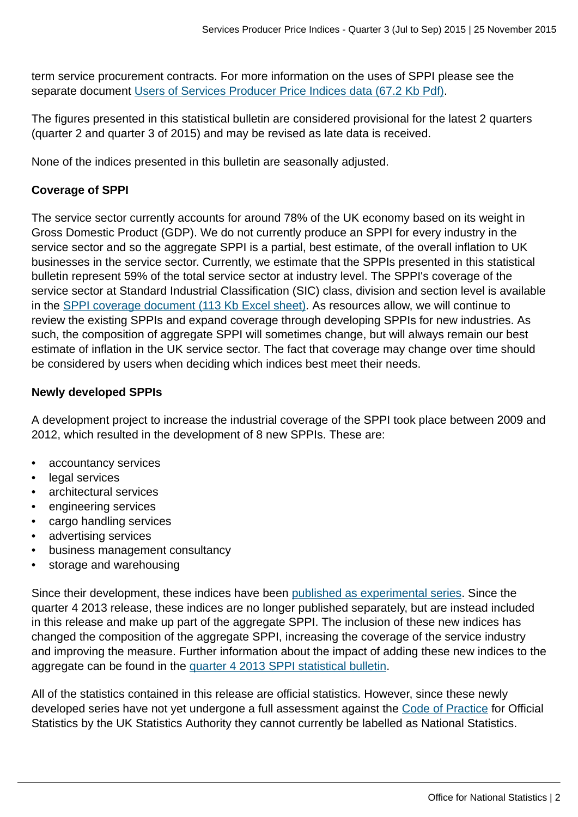term service procurement contracts. For more information on the uses of SPPI please see the separate document [Users of Services Producer Price Indices data \(67.2 Kb Pdf\).](http://www.ons.gov.uk:80/ons/guide-method/user-guidance/prices/sppi/users-of-sppi-data.pdf)

The figures presented in this statistical bulletin are considered provisional for the latest 2 quarters (quarter 2 and quarter 3 of 2015) and may be revised as late data is received.

None of the indices presented in this bulletin are seasonally adjusted.

## **Coverage of SPPI**

The service sector currently accounts for around 78% of the UK economy based on its weight in Gross Domestic Product (GDP). We do not currently produce an SPPI for every industry in the service sector and so the aggregate SPPI is a partial, best estimate, of the overall inflation to UK businesses in the service sector. Currently, we estimate that the SPPIs presented in this statistical bulletin represent 59% of the total service sector at industry level. The SPPI's coverage of the service sector at Standard Industrial Classification (SIC) class, division and section level is available in the [SPPI coverage document \(113 Kb Excel sheet\).](http://www.ons.gov.uk:80/ons/guide-method/user-guidance/prices/sppi/sppi--service-sector-coverage-document.xls) As resources allow, we will continue to review the existing SPPIs and expand coverage through developing SPPIs for new industries. As such, the composition of aggregate SPPI will sometimes change, but will always remain our best estimate of inflation in the UK service sector. The fact that coverage may change over time should be considered by users when deciding which indices best meet their needs.

## **Newly developed SPPIs**

A development project to increase the industrial coverage of the SPPI took place between 2009 and 2012, which resulted in the development of 8 new SPPIs. These are:

- accountancy services
- legal services
- architectural services
- engineering services
- cargo handling services
- advertising services
- business management consultancy
- storage and warehousing

Since their development, these indices have been [published as experimental series](http://www.ons.gov.uk:80/ons/rel/ppi2/services-producer-price-indices/the-development-of-price-indices-for-professional-business-services-and-cargo-handling---quarter-3-2011/index.html). Since the quarter 4 2013 release, these indices are no longer published separately, but are instead included in this release and make up part of the aggregate SPPI. The inclusion of these new indices has changed the composition of the aggregate SPPI, increasing the coverage of the service industry and improving the measure. Further information about the impact of adding these new indices to the aggregate can be found in the [quarter 4 2013 SPPI statistical bulletin.](http://www.ons.gov.uk:80/ons/rel/ppi2/services-producer-price-indices/quarter-4-2013/stb-services-producer-price-index--quarter-4-2013.html)

All of the statistics contained in this release are official statistics. However, since these newly developed series have not yet undergone a full assessment against the [Code of Practice](http://www.ons.gov.uk:80/ons/external-links/stats-authority/uk-statistics-authority-code-of-practice.html) for Official Statistics by the UK Statistics Authority they cannot currently be labelled as National Statistics.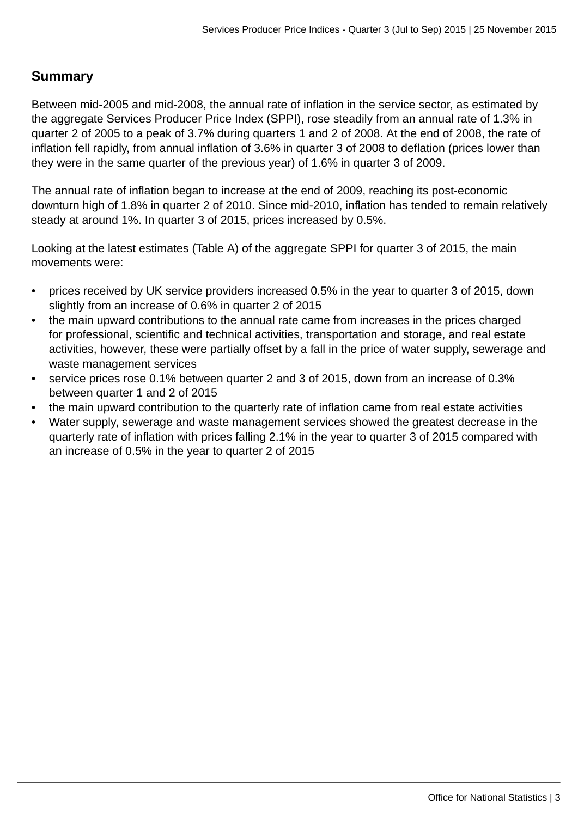## **Summary**

Between mid-2005 and mid-2008, the annual rate of inflation in the service sector, as estimated by the aggregate Services Producer Price Index (SPPI), rose steadily from an annual rate of 1.3% in quarter 2 of 2005 to a peak of 3.7% during quarters 1 and 2 of 2008. At the end of 2008, the rate of inflation fell rapidly, from annual inflation of 3.6% in quarter 3 of 2008 to deflation (prices lower than they were in the same quarter of the previous year) of 1.6% in quarter 3 of 2009.

The annual rate of inflation began to increase at the end of 2009, reaching its post-economic downturn high of 1.8% in quarter 2 of 2010. Since mid-2010, inflation has tended to remain relatively steady at around 1%. In quarter 3 of 2015, prices increased by 0.5%.

Looking at the latest estimates (Table A) of the aggregate SPPI for quarter 3 of 2015, the main movements were:

- prices received by UK service providers increased 0.5% in the year to quarter 3 of 2015, down slightly from an increase of 0.6% in quarter 2 of 2015
- the main upward contributions to the annual rate came from increases in the prices charged for professional, scientific and technical activities, transportation and storage, and real estate activities, however, these were partially offset by a fall in the price of water supply, sewerage and waste management services
- service prices rose 0.1% between quarter 2 and 3 of 2015, down from an increase of 0.3% between quarter 1 and 2 of 2015
- the main upward contribution to the quarterly rate of inflation came from real estate activities
- Water supply, sewerage and waste management services showed the greatest decrease in the quarterly rate of inflation with prices falling 2.1% in the year to quarter 3 of 2015 compared with an increase of 0.5% in the year to quarter 2 of 2015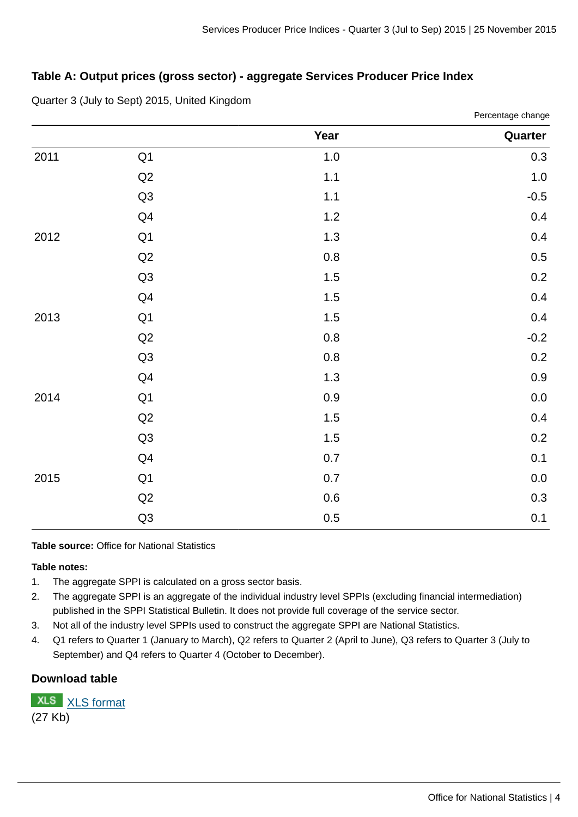Percentage change

## **Table A: Output prices (gross sector) - aggregate Services Producer Price Index**

|  |  | Quarter 3 (July to Sept) 2015, United Kingdom |  |
|--|--|-----------------------------------------------|--|
|--|--|-----------------------------------------------|--|

|      |                | Year    | Quarter |
|------|----------------|---------|---------|
| 2011 | Q1             | $1.0\,$ | 0.3     |
|      | Q <sub>2</sub> | $1.1\,$ | $1.0\,$ |
|      | Q <sub>3</sub> | $1.1\,$ | $-0.5$  |
|      | Q4             | $1.2\,$ | $0.4\,$ |
| 2012 | Q1             | $1.3\,$ | 0.4     |
|      | Q <sub>2</sub> | $0.8\,$ | 0.5     |
|      | Q <sub>3</sub> | $1.5\,$ | 0.2     |
|      | Q4             | $1.5\,$ | 0.4     |
| 2013 | Q1             | $1.5\,$ | 0.4     |
|      | Q <sub>2</sub> | $0.8\,$ | $-0.2$  |
|      | Q <sub>3</sub> | $0.8\,$ | $0.2\,$ |
|      | Q4             | $1.3\,$ | $0.9\,$ |
| 2014 | Q1             | 0.9     | $0.0\,$ |
|      | Q <sub>2</sub> | $1.5\,$ | 0.4     |
|      | Q <sub>3</sub> | $1.5\,$ | 0.2     |
|      | Q4             | 0.7     | $0.1\,$ |
| 2015 | Q1             | 0.7     | $0.0\,$ |
|      | Q <sub>2</sub> | $0.6\,$ | 0.3     |
|      | Q <sub>3</sub> | 0.5     | $0.1\,$ |

**Table source:** Office for National Statistics

#### **Table notes:**

- 1. The aggregate SPPI is calculated on a gross sector basis.
- 2. The aggregate SPPI is an aggregate of the individual industry level SPPIs (excluding financial intermediation) published in the SPPI Statistical Bulletin. It does not provide full coverage of the service sector.
- 3. Not all of the industry level SPPIs used to construct the aggregate SPPI are National Statistics.
- 4. Q1 refers to Quarter 1 (January to March), Q2 refers to Quarter 2 (April to June), Q3 refers to Quarter 3 (July to September) and Q4 refers to Quarter 4 (October to December).

## **Download table**

**XLS** [XLS format](http://www.ons.gov.uk:80/ons/rel/ppi2/services-producer-price-index/quarter-3-2015/prt-table-1.xls) (27 Kb)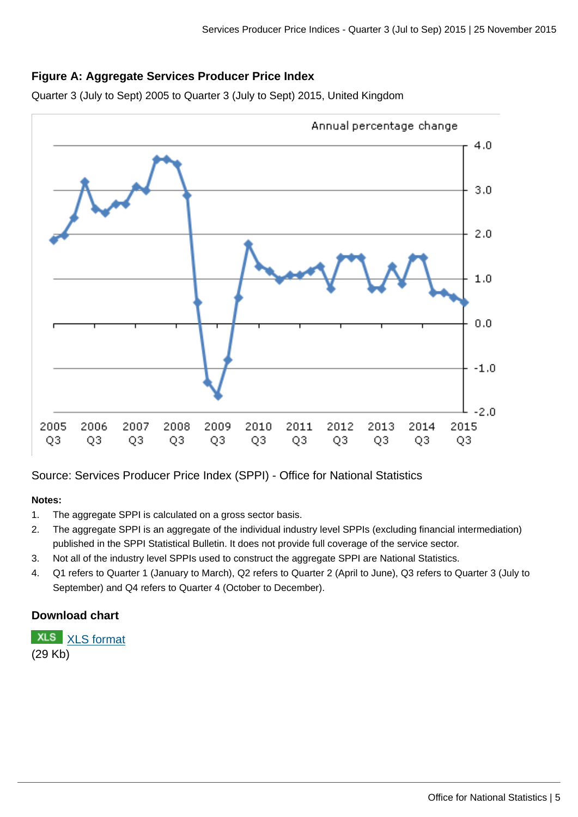## **Figure A: Aggregate Services Producer Price Index**

Quarter 3 (July to Sept) 2005 to Quarter 3 (July to Sept) 2015, United Kingdom



Source: Services Producer Price Index (SPPI) - Office for National Statistics

#### **Notes:**

- 1. The aggregate SPPI is calculated on a gross sector basis.
- 2. The aggregate SPPI is an aggregate of the individual industry level SPPIs (excluding financial intermediation) published in the SPPI Statistical Bulletin. It does not provide full coverage of the service sector.
- 3. Not all of the industry level SPPIs used to construct the aggregate SPPI are National Statistics.
- 4. Q1 refers to Quarter 1 (January to March), Q2 refers to Quarter 2 (April to June), Q3 refers to Quarter 3 (July to September) and Q4 refers to Quarter 4 (October to December).

## **Download chart**

**XLS** [XLS format](http://www.ons.gov.uk:80/ons/rel/ppi2/services-producer-price-index/quarter-3-2015/chd-figure-1.xls)

(29 Kb)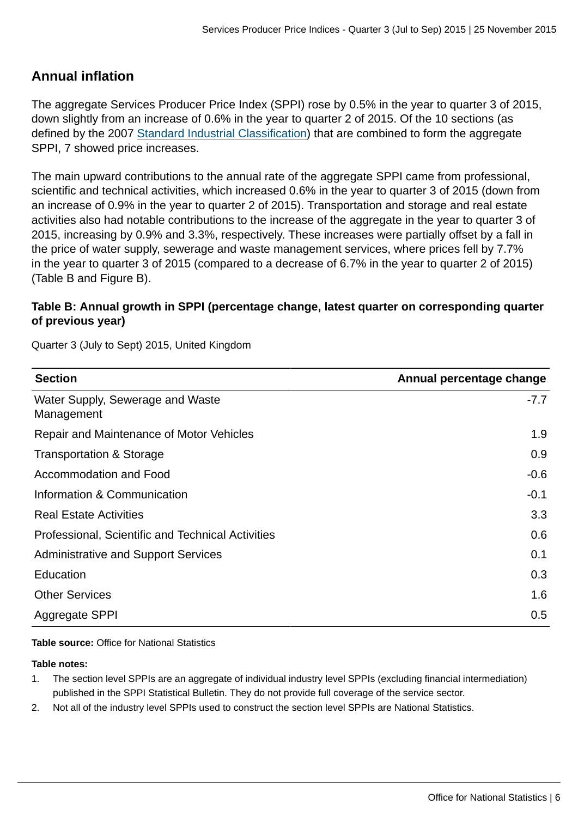## **Annual inflation**

The aggregate Services Producer Price Index (SPPI) rose by 0.5% in the year to quarter 3 of 2015, down slightly from an increase of 0.6% in the year to quarter 2 of 2015. Of the 10 sections (as defined by the 2007 [Standard Industrial Classification\)](http://www.ons.gov.uk:80/ons/guide-method/classifications/current-standard-classifications/standard-industrial-classification/index.html) that are combined to form the aggregate SPPI, 7 showed price increases.

The main upward contributions to the annual rate of the aggregate SPPI came from professional, scientific and technical activities, which increased 0.6% in the year to quarter 3 of 2015 (down from an increase of 0.9% in the year to quarter 2 of 2015). Transportation and storage and real estate activities also had notable contributions to the increase of the aggregate in the year to quarter 3 of 2015, increasing by 0.9% and 3.3%, respectively. These increases were partially offset by a fall in the price of water supply, sewerage and waste management services, where prices fell by 7.7% in the year to quarter 3 of 2015 (compared to a decrease of 6.7% in the year to quarter 2 of 2015) (Table B and Figure B).

## **Table B: Annual growth in SPPI (percentage change, latest quarter on corresponding quarter of previous year)**

Quarter 3 (July to Sept) 2015, United Kingdom

| <b>Section</b>                                    | Annual percentage change |
|---------------------------------------------------|--------------------------|
| Water Supply, Sewerage and Waste<br>Management    | $-7.7$                   |
| Repair and Maintenance of Motor Vehicles          | 1.9                      |
| <b>Transportation &amp; Storage</b>               | 0.9                      |
| Accommodation and Food                            | $-0.6$                   |
| Information & Communication                       | $-0.1$                   |
| <b>Real Estate Activities</b>                     | 3.3                      |
| Professional, Scientific and Technical Activities | 0.6                      |
| <b>Administrative and Support Services</b>        | 0.1                      |
| Education                                         | 0.3                      |
| <b>Other Services</b>                             | 1.6                      |
| Aggregate SPPI                                    | 0.5                      |

**Table source:** Office for National Statistics

#### **Table notes:**

- 1. The section level SPPIs are an aggregate of individual industry level SPPIs (excluding financial intermediation) published in the SPPI Statistical Bulletin. They do not provide full coverage of the service sector.
- 2. Not all of the industry level SPPIs used to construct the section level SPPIs are National Statistics.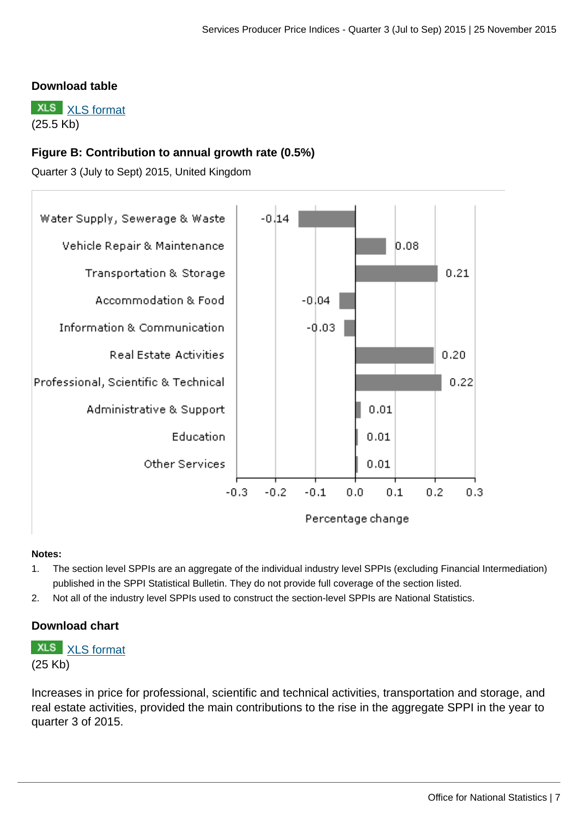### **Download table**

**XLS** [XLS format](http://www.ons.gov.uk:80/ons/rel/ppi2/services-producer-price-index/quarter-3-2015/prt-table-2.xls) (25.5 Kb)

## **Figure B: Contribution to annual growth rate (0.5%)**

Quarter 3 (July to Sept) 2015, United Kingdom



#### **Notes:**

- 1. The section level SPPIs are an aggregate of the individual industry level SPPIs (excluding Financial Intermediation) published in the SPPI Statistical Bulletin. They do not provide full coverage of the section listed.
- 2. Not all of the industry level SPPIs used to construct the section-level SPPIs are National Statistics.

#### **Download chart**

## **XLS** [XLS format](http://www.ons.gov.uk:80/ons/rel/ppi2/services-producer-price-index/quarter-3-2015/chd-figure-2.xls)

(25 Kb)

Increases in price for professional, scientific and technical activities, transportation and storage, and real estate activities, provided the main contributions to the rise in the aggregate SPPI in the year to quarter 3 of 2015.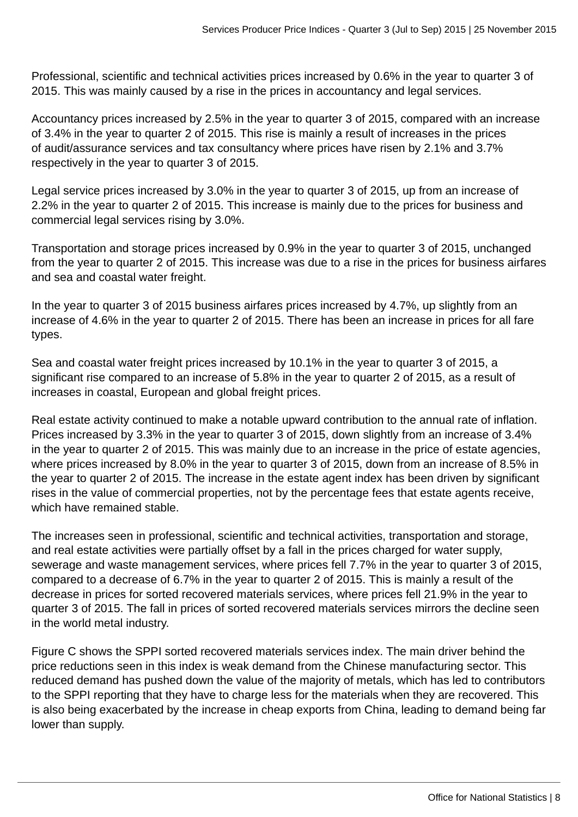Professional, scientific and technical activities prices increased by 0.6% in the year to quarter 3 of 2015. This was mainly caused by a rise in the prices in accountancy and legal services.

Accountancy prices increased by 2.5% in the year to quarter 3 of 2015, compared with an increase of 3.4% in the year to quarter 2 of 2015. This rise is mainly a result of increases in the prices of audit/assurance services and tax consultancy where prices have risen by 2.1% and 3.7% respectively in the year to quarter 3 of 2015.

Legal service prices increased by 3.0% in the year to quarter 3 of 2015, up from an increase of 2.2% in the year to quarter 2 of 2015. This increase is mainly due to the prices for business and commercial legal services rising by 3.0%.

Transportation and storage prices increased by 0.9% in the year to quarter 3 of 2015, unchanged from the year to quarter 2 of 2015. This increase was due to a rise in the prices for business airfares and sea and coastal water freight.

In the year to quarter 3 of 2015 business airfares prices increased by 4.7%, up slightly from an increase of 4.6% in the year to quarter 2 of 2015. There has been an increase in prices for all fare types.

Sea and coastal water freight prices increased by 10.1% in the year to quarter 3 of 2015, a significant rise compared to an increase of 5.8% in the year to quarter 2 of 2015, as a result of increases in coastal, European and global freight prices.

Real estate activity continued to make a notable upward contribution to the annual rate of inflation. Prices increased by 3.3% in the year to quarter 3 of 2015, down slightly from an increase of 3.4% in the year to quarter 2 of 2015. This was mainly due to an increase in the price of estate agencies, where prices increased by 8.0% in the year to quarter 3 of 2015, down from an increase of 8.5% in the year to quarter 2 of 2015. The increase in the estate agent index has been driven by significant rises in the value of commercial properties, not by the percentage fees that estate agents receive, which have remained stable.

The increases seen in professional, scientific and technical activities, transportation and storage, and real estate activities were partially offset by a fall in the prices charged for water supply, sewerage and waste management services, where prices fell 7.7% in the year to quarter 3 of 2015, compared to a decrease of 6.7% in the year to quarter 2 of 2015. This is mainly a result of the decrease in prices for sorted recovered materials services, where prices fell 21.9% in the year to quarter 3 of 2015. The fall in prices of sorted recovered materials services mirrors the decline seen in the world metal industry.

Figure C shows the SPPI sorted recovered materials services index. The main driver behind the price reductions seen in this index is weak demand from the Chinese manufacturing sector. This reduced demand has pushed down the value of the majority of metals, which has led to contributors to the SPPI reporting that they have to charge less for the materials when they are recovered. This is also being exacerbated by the increase in cheap exports from China, leading to demand being far lower than supply.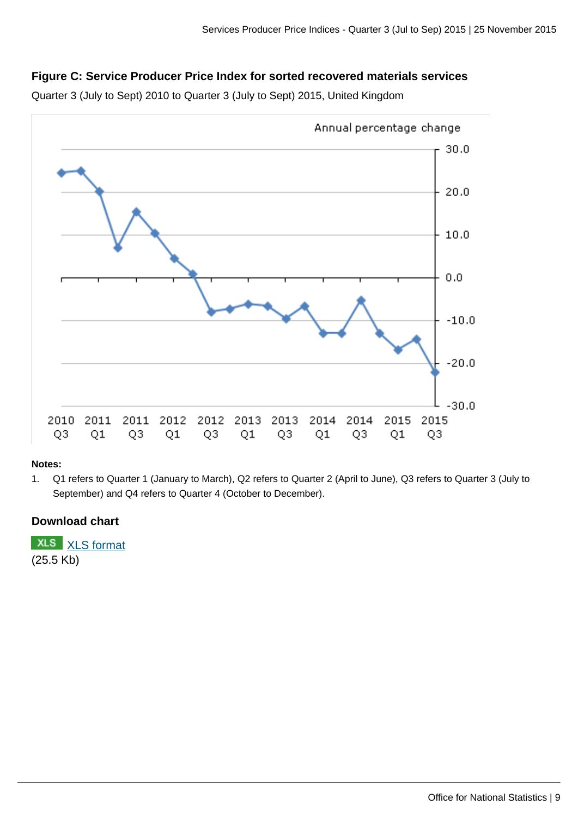## **Figure C: Service Producer Price Index for sorted recovered materials services**

Quarter 3 (July to Sept) 2010 to Quarter 3 (July to Sept) 2015, United Kingdom



#### **Notes:**

1. Q1 refers to Quarter 1 (January to March), Q2 refers to Quarter 2 (April to June), Q3 refers to Quarter 3 (July to September) and Q4 refers to Quarter 4 (October to December).

## **Download chart**

**XLS** [XLS format](http://www.ons.gov.uk:80/ons/rel/ppi2/services-producer-price-index/quarter-3-2015/chd-figure-3.xls) (25.5 Kb)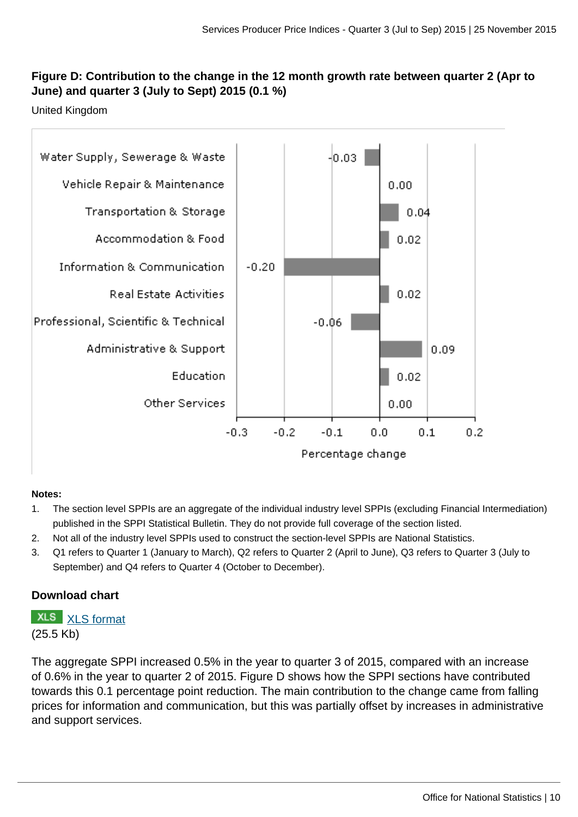## **Figure D: Contribution to the change in the 12 month growth rate between quarter 2 (Apr to June) and quarter 3 (July to Sept) 2015 (0.1 %)**

United Kingdom



## **Notes:**

- 1. The section level SPPIs are an aggregate of the individual industry level SPPIs (excluding Financial Intermediation) published in the SPPI Statistical Bulletin. They do not provide full coverage of the section listed.
- 2. Not all of the industry level SPPIs used to construct the section-level SPPIs are National Statistics.
- 3. Q1 refers to Quarter 1 (January to March), Q2 refers to Quarter 2 (April to June), Q3 refers to Quarter 3 (July to September) and Q4 refers to Quarter 4 (October to December).

## **Download chart**

**XLS** [XLS format](http://www.ons.gov.uk:80/ons/rel/ppi2/services-producer-price-index/quarter-3-2015/chd-figure-4.xls) (25.5 Kb)

The aggregate SPPI increased 0.5% in the year to quarter 3 of 2015, compared with an increase of 0.6% in the year to quarter 2 of 2015. Figure D shows how the SPPI sections have contributed towards this 0.1 percentage point reduction. The main contribution to the change came from falling prices for information and communication, but this was partially offset by increases in administrative and support services.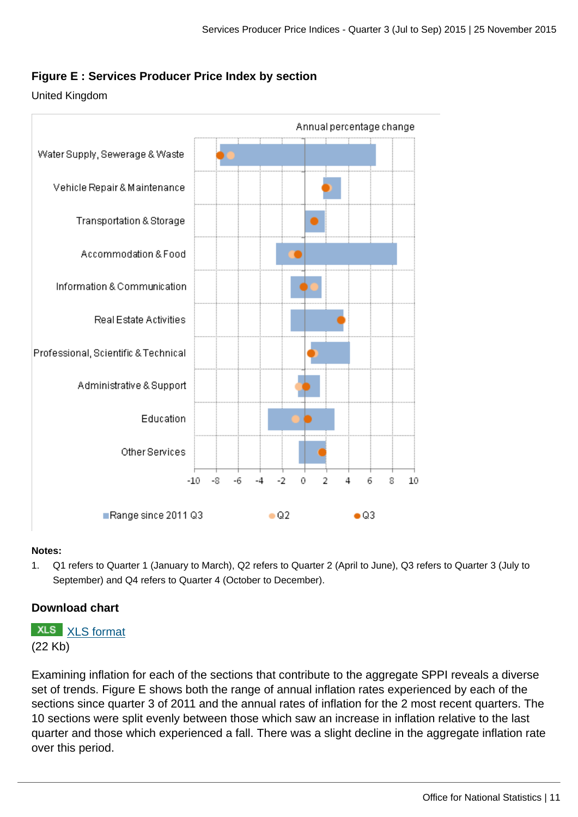## **Figure E : Services Producer Price Index by section**

#### United Kingdom



#### **Notes:**

1. Q1 refers to Quarter 1 (January to March), Q2 refers to Quarter 2 (April to June), Q3 refers to Quarter 3 (July to September) and Q4 refers to Quarter 4 (October to December).

## **Download chart**

## **XLS** [XLS format](http://www.ons.gov.uk:80/ons/rel/ppi2/services-producer-price-index/quarter-3-2015/chd-figure-5.xls) (22 Kb)

Examining inflation for each of the sections that contribute to the aggregate SPPI reveals a diverse set of trends. Figure E shows both the range of annual inflation rates experienced by each of the sections since quarter 3 of 2011 and the annual rates of inflation for the 2 most recent quarters. The 10 sections were split evenly between those which saw an increase in inflation relative to the last quarter and those which experienced a fall. There was a slight decline in the aggregate inflation rate over this period.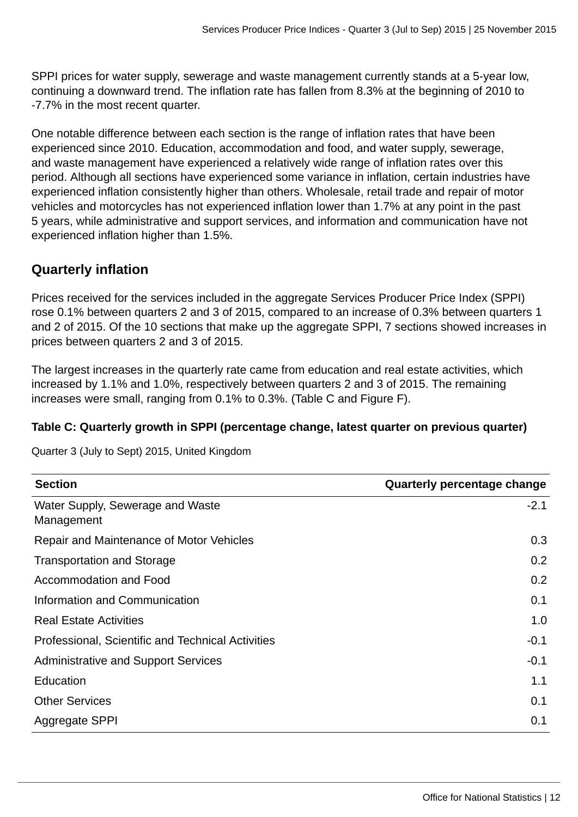SPPI prices for water supply, sewerage and waste management currently stands at a 5-year low, continuing a downward trend. The inflation rate has fallen from 8.3% at the beginning of 2010 to -7.7% in the most recent quarter.

One notable difference between each section is the range of inflation rates that have been experienced since 2010. Education, accommodation and food, and water supply, sewerage, and waste management have experienced a relatively wide range of inflation rates over this period. Although all sections have experienced some variance in inflation, certain industries have experienced inflation consistently higher than others. Wholesale, retail trade and repair of motor vehicles and motorcycles has not experienced inflation lower than 1.7% at any point in the past 5 years, while administrative and support services, and information and communication have not experienced inflation higher than 1.5%.

## **Quarterly inflation**

Prices received for the services included in the aggregate Services Producer Price Index (SPPI) rose 0.1% between quarters 2 and 3 of 2015, compared to an increase of 0.3% between quarters 1 and 2 of 2015. Of the 10 sections that make up the aggregate SPPI, 7 sections showed increases in prices between quarters 2 and 3 of 2015.

The largest increases in the quarterly rate came from education and real estate activities, which increased by 1.1% and 1.0%, respectively between quarters 2 and 3 of 2015. The remaining increases were small, ranging from 0.1% to 0.3%. (Table C and Figure F).

## **Table C: Quarterly growth in SPPI (percentage change, latest quarter on previous quarter)**

Quarter 3 (July to Sept) 2015, United Kingdom

| <b>Section</b>                                    | Quarterly percentage change |
|---------------------------------------------------|-----------------------------|
| Water Supply, Sewerage and Waste<br>Management    | $-2.1$                      |
| Repair and Maintenance of Motor Vehicles          | 0.3 <sub>2</sub>            |
| <b>Transportation and Storage</b>                 | 0.2                         |
| Accommodation and Food                            | 0.2                         |
| Information and Communication                     | 0.1                         |
| <b>Real Estate Activities</b>                     | 1.0                         |
| Professional, Scientific and Technical Activities | $-0.1$                      |
| <b>Administrative and Support Services</b>        | $-0.1$                      |
| Education                                         | 1.1                         |
| <b>Other Services</b>                             | 0.1                         |
| Aggregate SPPI                                    | 0.1                         |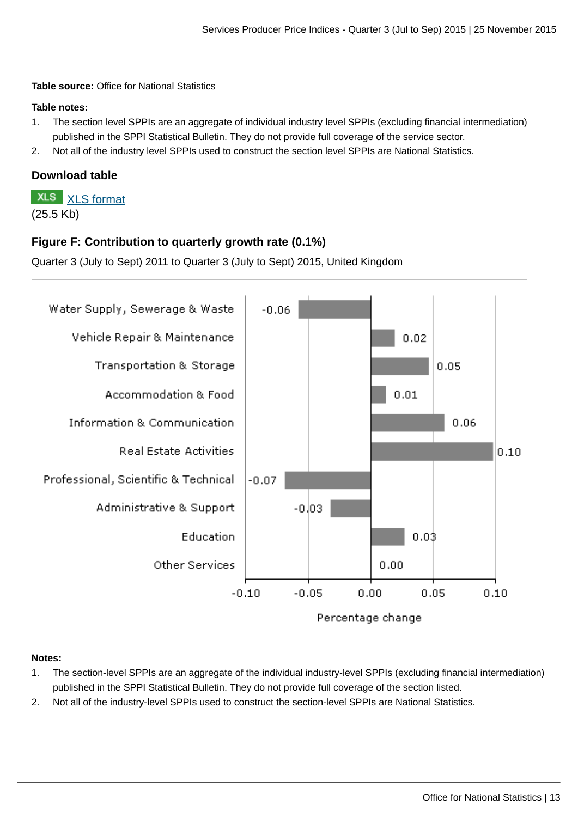**Table source:** Office for National Statistics

#### **Table notes:**

- 1. The section level SPPIs are an aggregate of individual industry level SPPIs (excluding financial intermediation) published in the SPPI Statistical Bulletin. They do not provide full coverage of the service sector.
- 2. Not all of the industry level SPPIs used to construct the section level SPPIs are National Statistics.

## **Download table**

**XLS** [XLS format](http://www.ons.gov.uk:80/ons/rel/ppi2/services-producer-price-index/quarter-3-2015/prt-table-3.xls) (25.5 Kb)

## **Figure F: Contribution to quarterly growth rate (0.1%)**

Quarter 3 (July to Sept) 2011 to Quarter 3 (July to Sept) 2015, United Kingdom



#### **Notes:**

- 1. The section-level SPPIs are an aggregate of the individual industry-level SPPIs (excluding financial intermediation) published in the SPPI Statistical Bulletin. They do not provide full coverage of the section listed.
- 2. Not all of the industry-level SPPIs used to construct the section-level SPPIs are National Statistics.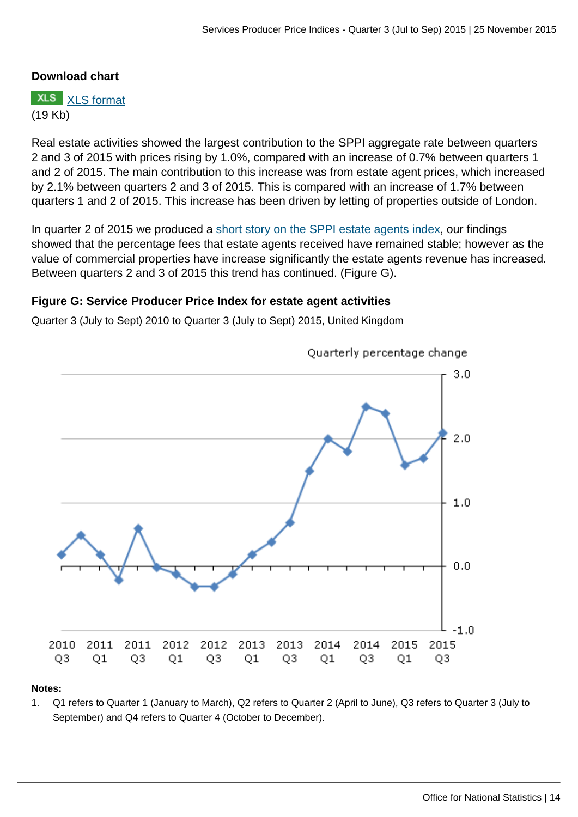## **Download chart**

**XLS** [XLS format](http://www.ons.gov.uk:80/ons/rel/ppi2/services-producer-price-index/quarter-3-2015/chd-figure-6.xls) (19 Kb)

Real estate activities showed the largest contribution to the SPPI aggregate rate between quarters 2 and 3 of 2015 with prices rising by 1.0%, compared with an increase of 0.7% between quarters 1 and 2 of 2015. The main contribution to this increase was from estate agent prices, which increased by 2.1% between quarters 2 and 3 of 2015. This is compared with an increase of 1.7% between quarters 1 and 2 of 2015. This increase has been driven by letting of properties outside of London.

In quarter 2 of 2015 we produced a [short story on the SPPI estate agents index,](http://www.ons.gov.uk:80/ons/rel/ppi2/services-producer-price-index/quarter-2-2015/sum-real-estate-agencies---what-is-driving-the-increase-in-the-sppi-.html) our findings showed that the percentage fees that estate agents received have remained stable; however as the value of commercial properties have increase significantly the estate agents revenue has increased. Between quarters 2 and 3 of 2015 this trend has continued. (Figure G).

## **Figure G: Service Producer Price Index for estate agent activities**

Quarter 3 (July to Sept) 2010 to Quarter 3 (July to Sept) 2015, United Kingdom



#### **Notes:**

1. Q1 refers to Quarter 1 (January to March), Q2 refers to Quarter 2 (April to June), Q3 refers to Quarter 3 (July to September) and Q4 refers to Quarter 4 (October to December).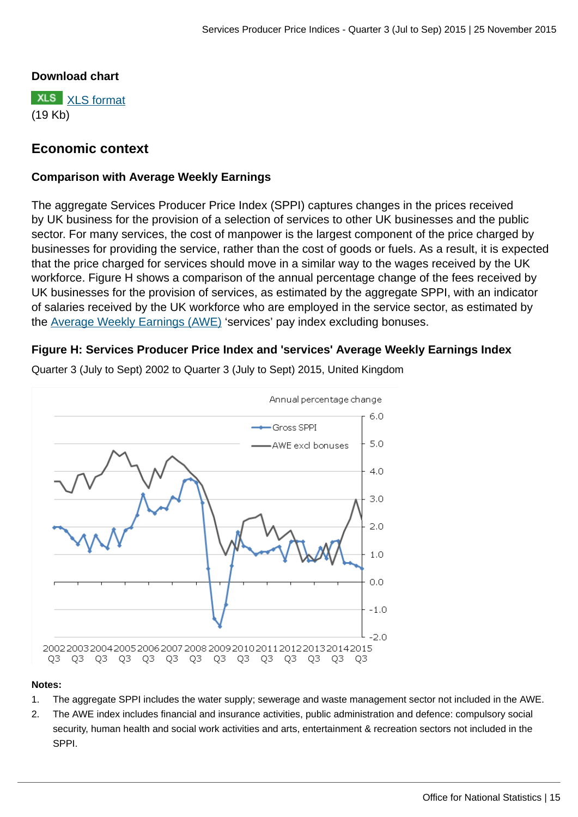## **Download chart**

**XLS** [XLS format](http://www.ons.gov.uk:80/ons/rel/ppi2/services-producer-price-index/quarter-3-2015/chd-figure-7.xls) (19 Kb)

## **Economic context**

## **Comparison with Average Weekly Earnings**

The aggregate Services Producer Price Index (SPPI) captures changes in the prices received by UK business for the provision of a selection of services to other UK businesses and the public sector. For many services, the cost of manpower is the largest component of the price charged by businesses for providing the service, rather than the cost of goods or fuels. As a result, it is expected that the price charged for services should move in a similar way to the wages received by the UK workforce. Figure H shows a comparison of the annual percentage change of the fees received by UK businesses for the provision of services, as estimated by the aggregate SPPI, with an indicator of salaries received by the UK workforce who are employed in the service sector, as estimated by the [Average Weekly Earnings \(AWE\)](http://www.ons.gov.uk:80/ons/external-links/other/average-weekly-earnings---all-editions.html) 'services' pay index excluding bonuses.

## **Figure H: Services Producer Price Index and 'services' Average Weekly Earnings Index**



Quarter 3 (July to Sept) 2002 to Quarter 3 (July to Sept) 2015, United Kingdom

#### **Notes:**

- 1. The aggregate SPPI includes the water supply; sewerage and waste management sector not included in the AWE.
- 2. The AWE index includes financial and insurance activities, public administration and defence: compulsory social security, human health and social work activities and arts, entertainment & recreation sectors not included in the SPPI.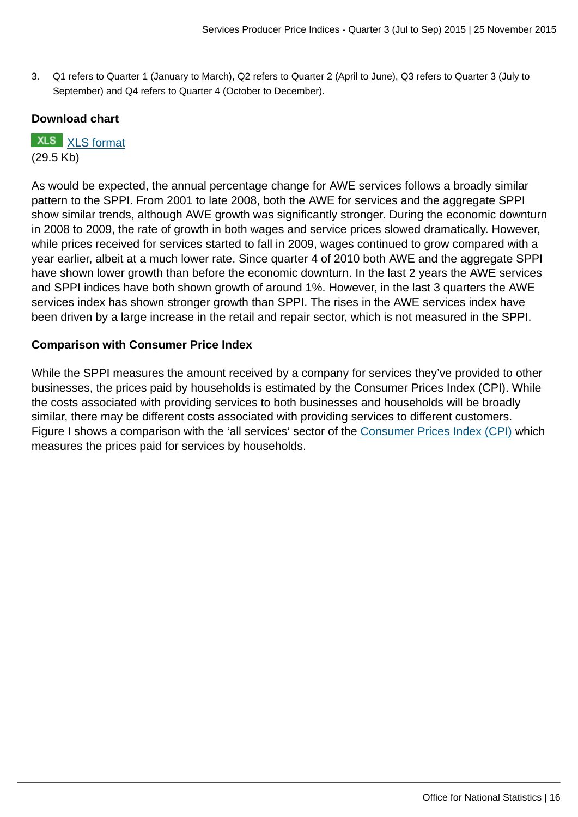3. Q1 refers to Quarter 1 (January to March), Q2 refers to Quarter 2 (April to June), Q3 refers to Quarter 3 (July to September) and Q4 refers to Quarter 4 (October to December).

## **Download chart**

**XLS** [XLS format](http://www.ons.gov.uk:80/ons/rel/ppi2/services-producer-price-index/quarter-3-2015/chd-figure-8.xls) (29.5 Kb)

As would be expected, the annual percentage change for AWE services follows a broadly similar pattern to the SPPI. From 2001 to late 2008, both the AWE for services and the aggregate SPPI show similar trends, although AWE growth was significantly stronger. During the economic downturn in 2008 to 2009, the rate of growth in both wages and service prices slowed dramatically. However, while prices received for services started to fall in 2009, wages continued to grow compared with a year earlier, albeit at a much lower rate. Since quarter 4 of 2010 both AWE and the aggregate SPPI have shown lower growth than before the economic downturn. In the last 2 years the AWE services and SPPI indices have both shown growth of around 1%. However, in the last 3 quarters the AWE services index has shown stronger growth than SPPI. The rises in the AWE services index have been driven by a large increase in the retail and repair sector, which is not measured in the SPPI.

## **Comparison with Consumer Price Index**

While the SPPI measures the amount received by a company for services they've provided to other businesses, the prices paid by households is estimated by the Consumer Prices Index (CPI). While the costs associated with providing services to both businesses and households will be broadly similar, there may be different costs associated with providing services to different customers. Figure I shows a comparison with the 'all services' sector of the [Consumer Prices Index \(CPI\)](http://www.ons.gov.uk:80/ons/external-links/ons---search-definition-results/consumer-price-indices---all-releases.html) which measures the prices paid for services by households.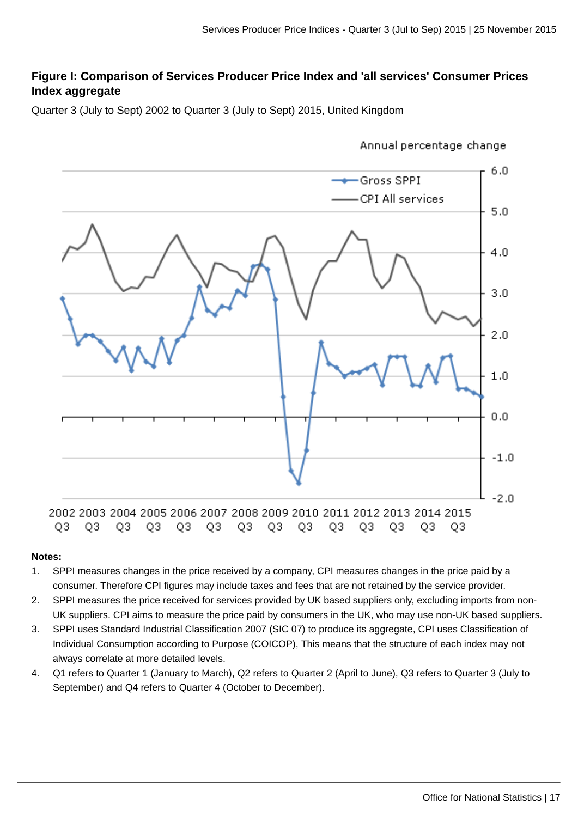## **Figure I: Comparison of Services Producer Price Index and 'all services' Consumer Prices Index aggregate**

Quarter 3 (July to Sept) 2002 to Quarter 3 (July to Sept) 2015, United Kingdom



#### **Notes:**

- 1. SPPI measures changes in the price received by a company, CPI measures changes in the price paid by a consumer. Therefore CPI figures may include taxes and fees that are not retained by the service provider.
- 2. SPPI measures the price received for services provided by UK based suppliers only, excluding imports from non-UK suppliers. CPI aims to measure the price paid by consumers in the UK, who may use non-UK based suppliers.
- 3. SPPI uses Standard Industrial Classification 2007 (SIC 07) to produce its aggregate, CPI uses Classification of Individual Consumption according to Purpose (COICOP), This means that the structure of each index may not always correlate at more detailed levels.
- 4. Q1 refers to Quarter 1 (January to March), Q2 refers to Quarter 2 (April to June), Q3 refers to Quarter 3 (July to September) and Q4 refers to Quarter 4 (October to December).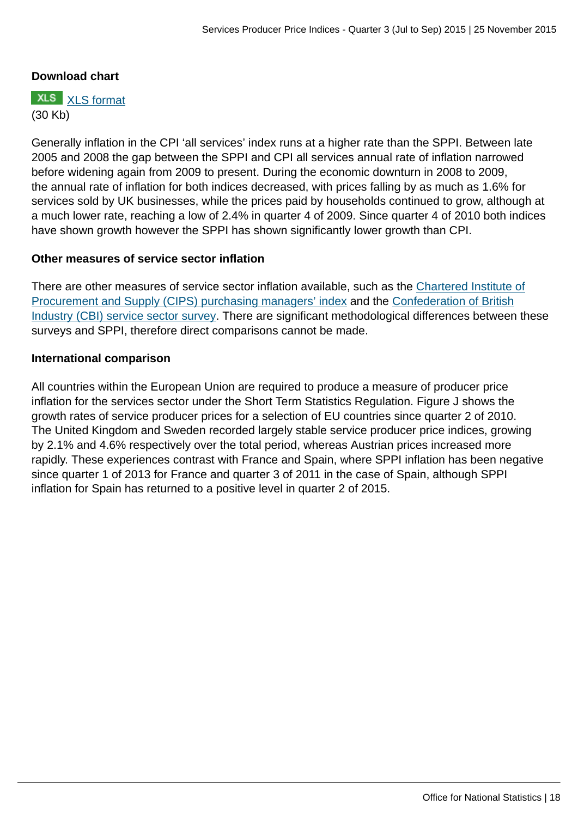## **Download chart**

**XLS** [XLS format](http://www.ons.gov.uk:80/ons/rel/ppi2/services-producer-price-index/quarter-3-2015/chd-figure-9.xls) (30 Kb)

Generally inflation in the CPI 'all services' index runs at a higher rate than the SPPI. Between late 2005 and 2008 the gap between the SPPI and CPI all services annual rate of inflation narrowed before widening again from 2009 to present. During the economic downturn in 2008 to 2009, the annual rate of inflation for both indices decreased, with prices falling by as much as 1.6% for services sold by UK businesses, while the prices paid by households continued to grow, although at a much lower rate, reaching a low of 2.4% in quarter 4 of 2009. Since quarter 4 of 2010 both indices have shown growth however the SPPI has shown significantly lower growth than CPI.

#### **Other measures of service sector inflation**

There are other measures of service sector inflation available, such as the [Chartered Institute of](http://www.cips.org/en-GB/CIPS-for-Business/supply-assurance/pmi/) [Procurement and Supply \(CIPS\) purchasing managers' index](http://www.cips.org/en-GB/CIPS-for-Business/supply-assurance/pmi/) and the [Confederation of British](http://www.cbi.org.uk/business-issues/economy/business-surveys/service-sector-survey/) [Industry \(CBI\) service sector survey](http://www.cbi.org.uk/business-issues/economy/business-surveys/service-sector-survey/). There are significant methodological differences between these surveys and SPPI, therefore direct comparisons cannot be made.

#### **International comparison**

All countries within the European Union are required to produce a measure of producer price inflation for the services sector under the Short Term Statistics Regulation. Figure J shows the growth rates of service producer prices for a selection of EU countries since quarter 2 of 2010. The United Kingdom and Sweden recorded largely stable service producer price indices, growing by 2.1% and 4.6% respectively over the total period, whereas Austrian prices increased more rapidly. These experiences contrast with France and Spain, where SPPI inflation has been negative since quarter 1 of 2013 for France and quarter 3 of 2011 in the case of Spain, although SPPI inflation for Spain has returned to a positive level in quarter 2 of 2015.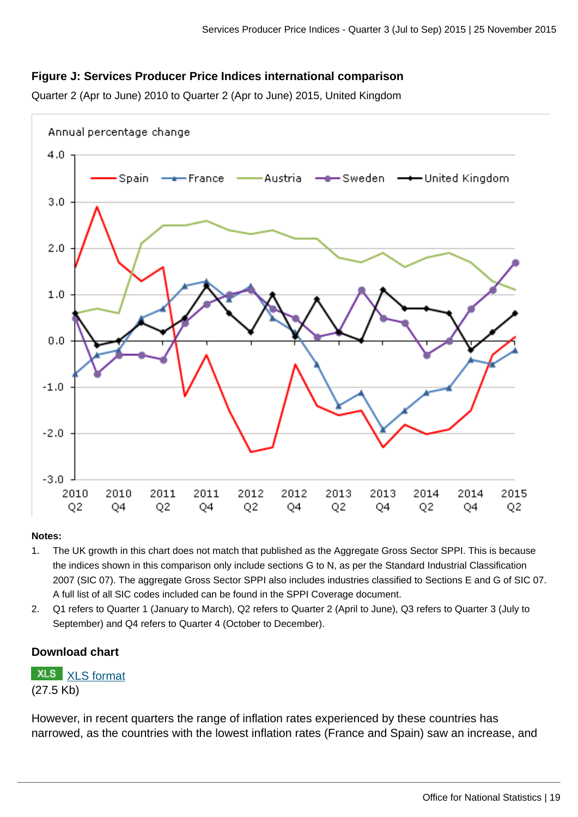## **Figure J: Services Producer Price Indices international comparison**

Quarter 2 (Apr to June) 2010 to Quarter 2 (Apr to June) 2015, United Kingdom



#### **Notes:**

- 1. The UK growth in this chart does not match that published as the Aggregate Gross Sector SPPI. This is because the indices shown in this comparison only include sections G to N, as per the Standard Industrial Classification 2007 (SIC 07). The aggregate Gross Sector SPPI also includes industries classified to Sections E and G of SIC 07. A full list of all SIC codes included can be found in the SPPI Coverage document.
- 2. Q1 refers to Quarter 1 (January to March), Q2 refers to Quarter 2 (April to June), Q3 refers to Quarter 3 (July to September) and Q4 refers to Quarter 4 (October to December).

#### **Download chart**

**XLS** [XLS format](http://www.ons.gov.uk:80/ons/rel/ppi2/services-producer-price-index/quarter-3-2015/chd-figure-10.xls) (27.5 Kb)

However, in recent quarters the range of inflation rates experienced by these countries has narrowed, as the countries with the lowest inflation rates (France and Spain) saw an increase, and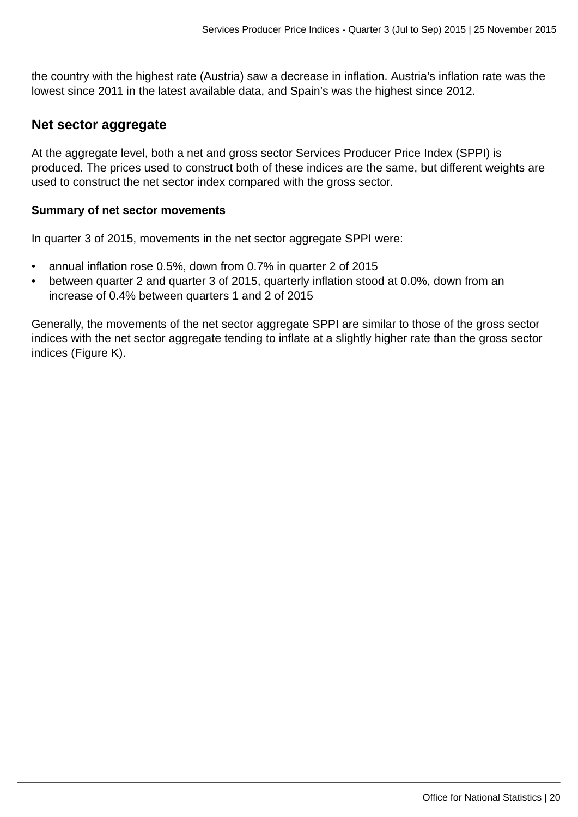the country with the highest rate (Austria) saw a decrease in inflation. Austria's inflation rate was the lowest since 2011 in the latest available data, and Spain's was the highest since 2012.

## **Net sector aggregate**

At the aggregate level, both a net and gross sector Services Producer Price Index (SPPI) is produced. The prices used to construct both of these indices are the same, but different weights are used to construct the net sector index compared with the gross sector.

## **Summary of net sector movements**

In quarter 3 of 2015, movements in the net sector aggregate SPPI were:

- annual inflation rose 0.5%, down from 0.7% in quarter 2 of 2015
- between quarter 2 and quarter 3 of 2015, quarterly inflation stood at 0.0%, down from an increase of 0.4% between quarters 1 and 2 of 2015

Generally, the movements of the net sector aggregate SPPI are similar to those of the gross sector indices with the net sector aggregate tending to inflate at a slightly higher rate than the gross sector indices (Figure K).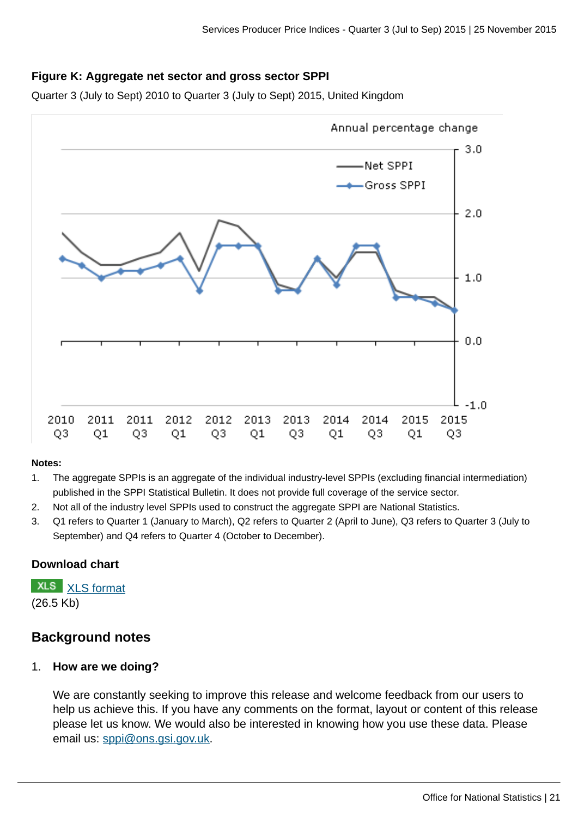## **Figure K: Aggregate net sector and gross sector SPPI**

Quarter 3 (July to Sept) 2010 to Quarter 3 (July to Sept) 2015, United Kingdom



#### **Notes:**

- 1. The aggregate SPPIs is an aggregate of the individual industry-level SPPIs (excluding financial intermediation) published in the SPPI Statistical Bulletin. It does not provide full coverage of the service sector.
- 2. Not all of the industry level SPPIs used to construct the aggregate SPPI are National Statistics.
- 3. Q1 refers to Quarter 1 (January to March), Q2 refers to Quarter 2 (April to June), Q3 refers to Quarter 3 (July to September) and Q4 refers to Quarter 4 (October to December).

## **Download chart**

**XLS** [XLS format](http://www.ons.gov.uk:80/ons/rel/ppi2/services-producer-price-index/quarter-3-2015/chd-figure-11.xls) (26.5 Kb)

## **Background notes**

## 1. **How are we doing?**

We are constantly seeking to improve this release and welcome feedback from our users to help us achieve this. If you have any comments on the format, layout or content of this release please let us know. We would also be interested in knowing how you use these data. Please email us: [sppi@ons.gsi.gov.uk.](mailto:sppi@ons.gsi.gov.uk)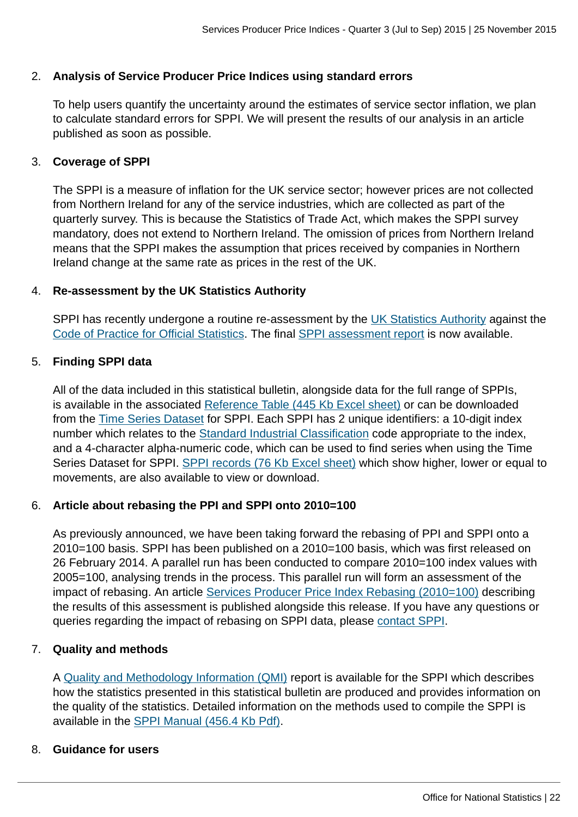## 2. **Analysis of Service Producer Price Indices using standard errors**

To help users quantify the uncertainty around the estimates of service sector inflation, we plan to calculate standard errors for SPPI. We will present the results of our analysis in an article published as soon as possible.

## 3. **Coverage of SPPI**

The SPPI is a measure of inflation for the UK service sector; however prices are not collected from Northern Ireland for any of the service industries, which are collected as part of the quarterly survey. This is because the Statistics of Trade Act, which makes the SPPI survey mandatory, does not extend to Northern Ireland. The omission of prices from Northern Ireland means that the SPPI makes the assumption that prices received by companies in Northern Ireland change at the same rate as prices in the rest of the UK.

## 4. **Re-assessment by the UK Statistics Authority**

SPPI has recently undergone a routine re-assessment by the [UK Statistics Authority](http://www.ons.gov.uk:80/ons/external-links/stats-authority/statistics-authority-s-website.html) against the [Code of Practice for Official Statistics](http://www.ons.gov.uk:80/ons/external-links/stats-authority/uk-statistics-authority-code-of-practice.html). The final [SPPI assessment report](http://www.statisticsauthority.gov.uk/assessment/assessment/assessment-reports/assessment-report-290---services-producer-price-indices.pdf) is now available.

#### 5. **Finding SPPI data**

All of the data included in this statistical bulletin, alongside data for the full range of SPPIs, is available in the associated [Reference Table \(445 Kb Excel sheet\)](http://www.ons.gov.uk:80/ons/rel/ppi2/services-producer-price-index/quarter-3-2015/rft-table-1.xls) or can be downloaded from the [Time Series Dataset](http://www.ons.gov.uk:80/ons/rel/ppi2/services-producer-price-index/quarter-3-2015/tsd-sppi-quarter-3-2015.html) for SPPI. Each SPPI has 2 unique identifiers: a 10-digit index number which relates to the [Standard Industrial Classification](http://www.ons.gov.uk:80/ons/guide-method/classifications/current-standard-classifications/standard-industrial-classification/index.html) code appropriate to the index, and a 4-character alpha-numeric code, which can be used to find series when using the Time Series Dataset for SPPI. [SPPI records \(76 Kb Excel sheet\)](http://www.ons.gov.uk:80/ons/rel/ppi2/services-producer-price-index/quarter-3-2015/rft-table-2.xls) which show higher, lower or equal to movements, are also available to view or download.

## 6. **Article about rebasing the PPI and SPPI onto 2010=100**

As previously announced, we have been taking forward the rebasing of PPI and SPPI onto a 2010=100 basis. SPPI has been published on a 2010=100 basis, which was first released on 26 February 2014. A parallel run has been conducted to compare 2010=100 index values with 2005=100, analysing trends in the process. This parallel run will form an assessment of the impact of rebasing. An article [Services Producer Price Index Rebasing \(2010=100\)](http://www.ons.gov.uk:80/ons/rel/ppi2/producer-price-index/ppi-rebasing-2010---100/rebasing-the-producer-price-index-and-services-producer-price-index-onto-2010---100.html) describing the results of this assessment is published alongside this release. If you have any questions or queries regarding the impact of rebasing on SPPI data, please [contact SPPI.](mailto:sppi@ons.gsi.gov.uk)

## 7. **Quality and methods**

A [Quality and Methodology Information \(QMI\)](http://www.ons.gov.uk/ons/guide-method/method-quality/quality/quality-information/business-statistics/summary-quality-report-for-services-producer-price-indices.pdf) report is available for the SPPI which describes how the statistics presented in this statistical bulletin are produced and provides information on the quality of the statistics. Detailed information on the methods used to compile the SPPI is available in the [SPPI Manual \(456.4 Kb Pdf\)](http://www.ons.gov.uk:80/ons/guide-method/user-guidance/prices/sppi/sppi-methods-and-guidance---march-2014.pdf).

## 8. **Guidance for users**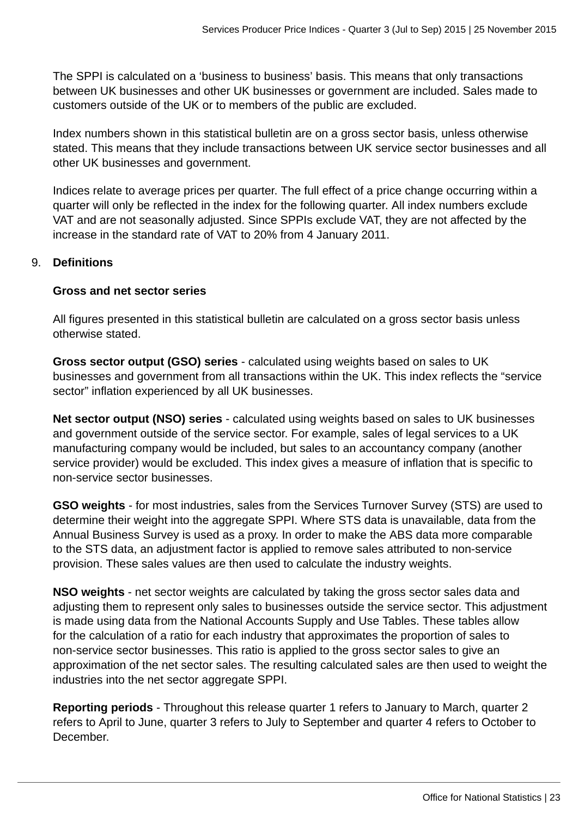The SPPI is calculated on a 'business to business' basis. This means that only transactions between UK businesses and other UK businesses or government are included. Sales made to customers outside of the UK or to members of the public are excluded.

Index numbers shown in this statistical bulletin are on a gross sector basis, unless otherwise stated. This means that they include transactions between UK service sector businesses and all other UK businesses and government.

Indices relate to average prices per quarter. The full effect of a price change occurring within a quarter will only be reflected in the index for the following quarter. All index numbers exclude VAT and are not seasonally adjusted. Since SPPIs exclude VAT, they are not affected by the increase in the standard rate of VAT to 20% from 4 January 2011.

## 9. **Definitions**

## **Gross and net sector series**

All figures presented in this statistical bulletin are calculated on a gross sector basis unless otherwise stated.

**Gross sector output (GSO) series** - calculated using weights based on sales to UK businesses and government from all transactions within the UK. This index reflects the "service sector" inflation experienced by all UK businesses.

**Net sector output (NSO) series** - calculated using weights based on sales to UK businesses and government outside of the service sector. For example, sales of legal services to a UK manufacturing company would be included, but sales to an accountancy company (another service provider) would be excluded. This index gives a measure of inflation that is specific to non-service sector businesses.

**GSO weights** - for most industries, sales from the Services Turnover Survey (STS) are used to determine their weight into the aggregate SPPI. Where STS data is unavailable, data from the Annual Business Survey is used as a proxy. In order to make the ABS data more comparable to the STS data, an adjustment factor is applied to remove sales attributed to non-service provision. These sales values are then used to calculate the industry weights.

**NSO weights** - net sector weights are calculated by taking the gross sector sales data and adjusting them to represent only sales to businesses outside the service sector. This adjustment is made using data from the National Accounts Supply and Use Tables. These tables allow for the calculation of a ratio for each industry that approximates the proportion of sales to non-service sector businesses. This ratio is applied to the gross sector sales to give an approximation of the net sector sales. The resulting calculated sales are then used to weight the industries into the net sector aggregate SPPI.

**Reporting periods** - Throughout this release quarter 1 refers to January to March, quarter 2 refers to April to June, quarter 3 refers to July to September and quarter 4 refers to October to December.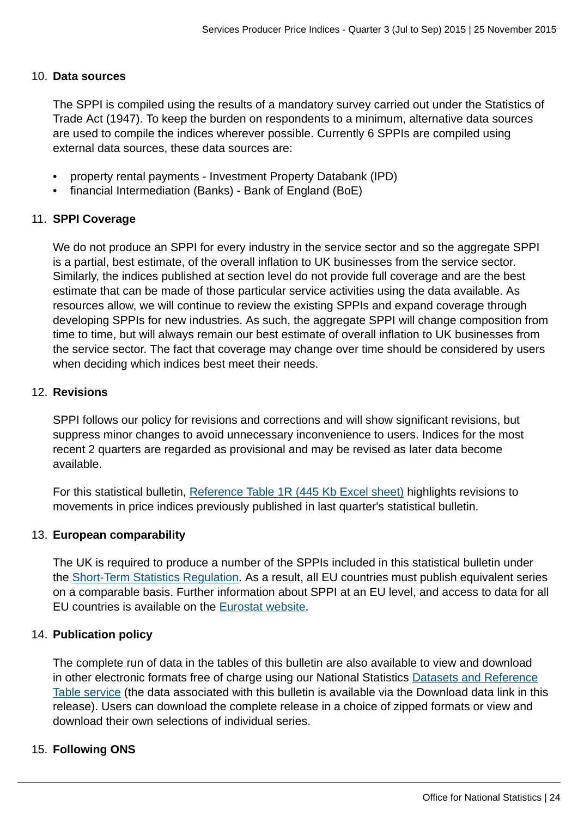#### 10. **Data sources**

The SPPI is compiled using the results of a mandatory survey carried out under the Statistics of Trade Act (1947). To keep the burden on respondents to a minimum, alternative data sources are used to compile the indices wherever possible. Currently 6 SPPIs are compiled using external data sources, these data sources are:

- property rental payments Investment Property Databank (IPD)
- financial Intermediation (Banks) Bank of England (BoE)

## 11. **SPPI Coverage**

We do not produce an SPPI for every industry in the service sector and so the aggregate SPPI is a partial, best estimate, of the overall inflation to UK businesses from the service sector. Similarly, the indices published at section level do not provide full coverage and are the best estimate that can be made of those particular service activities using the data available. As resources allow, we will continue to review the existing SPPIs and expand coverage through developing SPPIs for new industries. As such, the aggregate SPPI will change composition from time to time, but will always remain our best estimate of overall inflation to UK businesses from the service sector. The fact that coverage may change over time should be considered by users when deciding which indices best meet their needs.

## 12. **Revisions**

SPPI follows our policy for revisions and corrections and will show significant revisions, but suppress minor changes to avoid unnecessary inconvenience to users. Indices for the most recent 2 quarters are regarded as provisional and may be revised as later data become available.

For this statistical bulletin, [Reference Table 1R \(445 Kb Excel sheet\)](http://www.ons.gov.uk:80/ons/rel/ppi2/services-producer-price-index/quarter-3-2015/rft-table-1.xls) highlights revisions to movements in price indices previously published in last quarter's statistical bulletin.

## 13. **European comparability**

The UK is required to produce a number of the SPPIs included in this statistical bulletin under the [Short-Term Statistics Regulation.](http://eur-lex.europa.eu/LexUriServ/LexUriServ.do?uri=CELEX:31998R1165:EN:NOT) As a result, all EU countries must publish equivalent series on a comparable basis. Further information about SPPI at an EU level, and access to data for all EU countries is available on the [Eurostat website](http://epp.eurostat.ec.europa.eu/statistics_explained/index.php/Services_producer_price_index_overview).

## 14. **Publication policy**

The complete run of data in the tables of this bulletin are also available to view and download in other electronic formats free of charge using our National Statistics [Datasets and Reference](http://www.ons.gov.uk/ons/datasets-and-tables/index.html) [Table service](http://www.ons.gov.uk/ons/datasets-and-tables/index.html) (the data associated with this bulletin is available via the Download data link in this release). Users can download the complete release in a choice of zipped formats or view and download their own selections of individual series.

## 15. **Following ONS**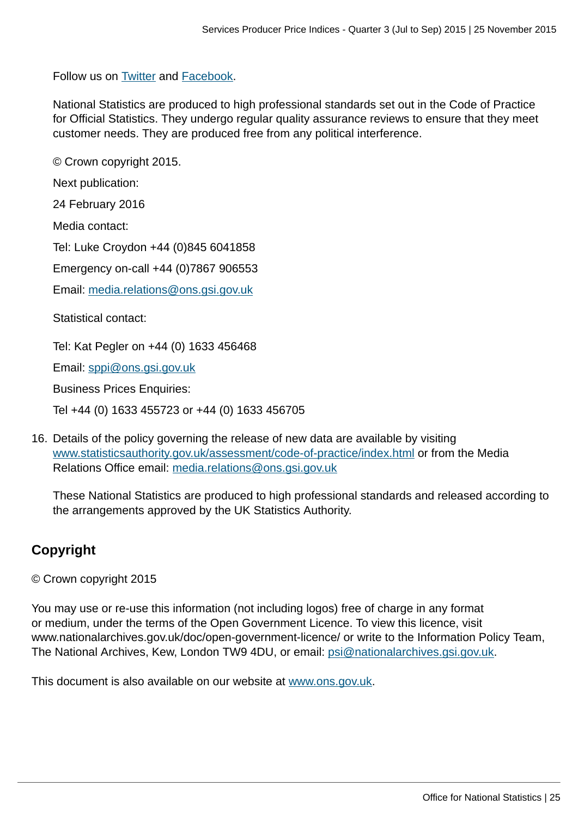Follow us on [Twitter](http://www.ons.gov.uk:80/ons/external-links/social-media/ons-twitter.html) and [Facebook.](http://www.ons.gov.uk:80/ons/external-links/social-media/index.html)

National Statistics are produced to high professional standards set out in the Code of Practice for Official Statistics. They undergo regular quality assurance reviews to ensure that they meet customer needs. They are produced free from any political interference.

© Crown copyright 2015.

Next publication:

24 February 2016

Media contact:

Tel: Luke Croydon +44 (0)845 6041858

Emergency on-call +44 (0)7867 906553

Email: [media.relations@ons.gsi.gov.uk](mailto:media.relations@ons.gsi.gov.uk)

Statistical contact:

Tel: Kat Pegler on +44 (0) 1633 456468

Email: [sppi@ons.gsi.gov.uk](mailto:sppi@ons.gsi.gov.uk)

Business Prices Enquiries:

Tel +44 (0) 1633 455723 or +44 (0) 1633 456705

16. Details of the policy governing the release of new data are available by visiting [www.statisticsauthority.gov.uk/assessment/code-of-practice/index.html](http://www.statisticsauthority.gov.uk/assessment/code-of-practice/index.html) or from the Media Relations Office email: [media.relations@ons.gsi.gov.uk](mailto:media.relations@ons.gsi.gov.uk)

These National Statistics are produced to high professional standards and released according to the arrangements approved by the UK Statistics Authority.

## **Copyright**

© Crown copyright 2015

You may use or re-use this information (not including logos) free of charge in any format or medium, under the terms of the Open Government Licence. To view this licence, visit www.nationalarchives.gov.uk/doc/open-government-licence/ or write to the Information Policy Team, The National Archives, Kew, London TW9 4DU, or email: [psi@nationalarchives.gsi.gov.uk](mailto:psi@nationalarchives.gsi.gov.uk).

This document is also available on our website at [www.ons.gov.uk.](http://www.ons.gov.uk/)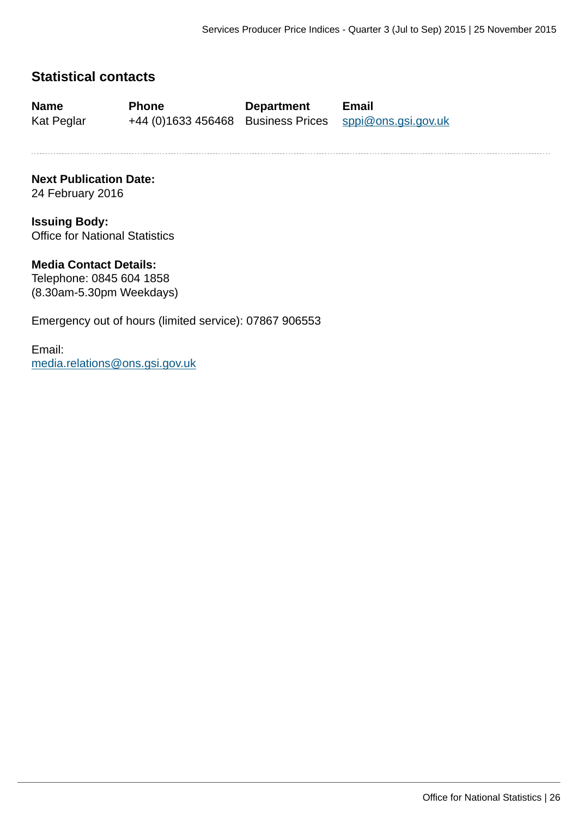## **Statistical contacts**

**Name Phone Department Email**

Kat Peglar +44 (0)1633 456468 Business Prices [sppi@ons.gsi.gov.uk](mailto:sppi@ons.gsi.gov.uk)

**Next Publication Date:** 24 February 2016

**Issuing Body:** Office for National Statistics

#### **Media Contact Details:**

Telephone: 0845 604 1858 (8.30am-5.30pm Weekdays)

Emergency out of hours (limited service): 07867 906553

Email: [media.relations@ons.gsi.gov.uk](mailto:media.relations@ons.gsi.gov.uk)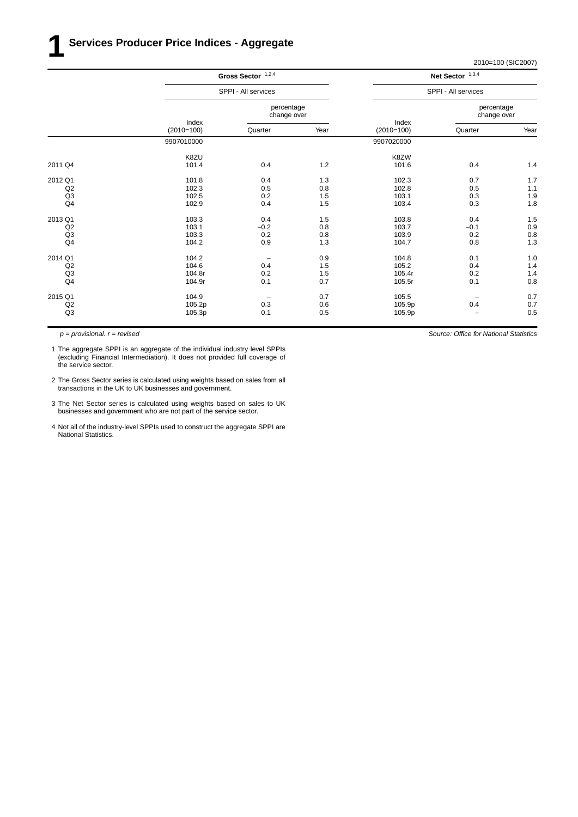2010=100 (SIC2007)

|                | Gross Sector $1,2,4$<br>SPPI - All services |                           |       |                       | Net Sector $1,3,4$        |      |
|----------------|---------------------------------------------|---------------------------|-------|-----------------------|---------------------------|------|
|                |                                             |                           |       | SPPI - All services   |                           |      |
|                |                                             | percentage<br>change over |       |                       | percentage<br>change over |      |
|                | Index<br>$(2010=100)$                       | Quarter                   | Year  | Index<br>$(2010=100)$ | Quarter                   | Year |
|                | 9907010000                                  |                           |       | 9907020000            |                           |      |
|                | K8ZU                                        |                           |       | K8ZW                  |                           |      |
| 2011 Q4        | 101.4                                       | 0.4                       | $1.2$ | 101.6                 | 0.4                       | 1.4  |
| 2012 Q1        | 101.8                                       | 0.4                       | 1.3   | 102.3                 | 0.7                       | 1.7  |
| Q2             | 102.3                                       | 0.5                       | 0.8   | 102.8                 | 0.5                       | 1.1  |
| Q3             | 102.5                                       | 0.2                       | 1.5   | 103.1                 | 0.3                       | 1.9  |
| Q4             | 102.9                                       | 0.4                       | 1.5   | 103.4                 | 0.3                       | 1.8  |
| 2013 Q1        | 103.3                                       | 0.4                       | 1.5   | 103.8                 | 0.4                       | 1.5  |
| Q2             | 103.1                                       | $-0.2$                    | 0.8   | 103.7                 | $-0.1$                    | 0.9  |
| Q <sub>3</sub> | 103.3                                       | 0.2                       | 0.8   | 103.9                 | 0.2                       | 0.8  |
| Q <sub>4</sub> | 104.2                                       | 0.9                       | 1.3   | 104.7                 | 0.8                       | 1.3  |
| 2014 Q1        | 104.2                                       |                           | 0.9   | 104.8                 | 0.1                       | 1.0  |
| Q2             | 104.6                                       | 0.4                       | 1.5   | 105.2                 | 0.4                       | 1.4  |
| Q3             | 104.8r                                      | 0.2                       | 1.5   | 105.4r                | 0.2                       | 1.4  |
| Q <sub>4</sub> | 104.9r                                      | 0.1                       | 0.7   | 105.5r                | 0.1                       | 0.8  |
| 2015 Q1        | 104.9                                       | $\overline{\phantom{a}}$  | 0.7   | 105.5                 | $\qquad \qquad -$         | 0.7  |
| Q2             | 105.2p                                      | 0.3                       | 0.6   | 105.9p                | 0.4                       | 0.7  |
| Q3             | 105.3p                                      | 0.1                       | 0.5   | 105.9p                | $\overline{\phantom{0}}$  | 0.5  |
|                |                                             |                           |       |                       |                           |      |

*p = provisional. r = revised*

1 The aggregate SPPI is an aggregate of the individual industry level SPPIs (excluding Financial Intermediation). It does not provided full coverage of the service sector.

- 2 The Gross Sector series is calculated using weights based on sales from all transactions in the UK to UK businesses and government.
- 3 The Net Sector series is calculated using weights based on sales to UK businesses and government who are not part of the service sector.
- 4 Not all of the industry-level SPPIs used to construct the aggregate SPPI are National Statistics.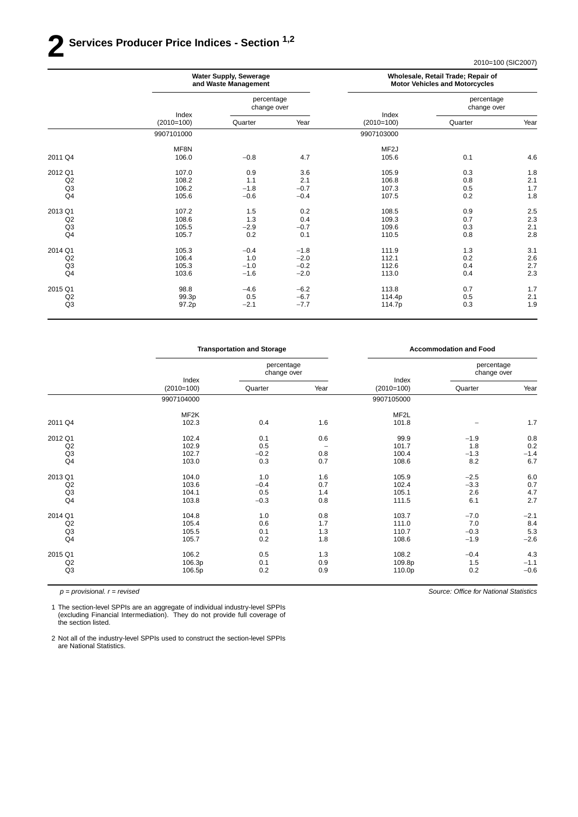## **2 Ser vices Producer Price Indices - Section 1,2**

2010=100 (SIC2007)

|                | <b>Water Supply, Sewerage</b><br>and Waste Management |                           |        | Wholesale, Retail Trade; Repair of<br><b>Motor Vehicles and Motorcycles</b> |                           |      |  |
|----------------|-------------------------------------------------------|---------------------------|--------|-----------------------------------------------------------------------------|---------------------------|------|--|
|                |                                                       | percentage<br>change over |        |                                                                             | percentage<br>change over |      |  |
|                | Index<br>$(2010=100)$                                 | Quarter                   | Year   | Index<br>$(2010=100)$                                                       | Quarter                   | Year |  |
|                | 9907101000                                            |                           |        | 9907103000                                                                  |                           |      |  |
|                | MF8N                                                  |                           |        | MF <sub>2</sub> J                                                           |                           |      |  |
| 2011 Q4        | 106.0                                                 | $-0.8$                    | 4.7    | 105.6                                                                       | 0.1                       | 4.6  |  |
| 2012 Q1        | 107.0                                                 | 0.9                       | 3.6    | 105.9                                                                       | 0.3                       | 1.8  |  |
| Q2             | 108.2                                                 | 1.1                       | 2.1    | 106.8                                                                       | 0.8                       | 2.1  |  |
| Q <sub>3</sub> | 106.2                                                 | $-1.8$                    | $-0.7$ | 107.3                                                                       | 0.5                       | 1.7  |  |
| Q <sub>4</sub> | 105.6                                                 | $-0.6$                    | $-0.4$ | 107.5                                                                       | 0.2                       | 1.8  |  |
| 2013 Q1        | 107.2                                                 | 1.5                       | 0.2    | 108.5                                                                       | 0.9                       | 2.5  |  |
| Q2             | 108.6                                                 | 1.3                       | 0.4    | 109.3                                                                       | 0.7                       | 2.3  |  |
| Q <sub>3</sub> | 105.5                                                 | $-2.9$                    | $-0.7$ | 109.6                                                                       | 0.3                       | 2.1  |  |
| Q <sub>4</sub> | 105.7                                                 | 0.2                       | 0.1    | 110.5                                                                       | 0.8                       | 2.8  |  |
| 2014 Q1        | 105.3                                                 | $-0.4$                    | $-1.8$ | 111.9                                                                       | 1.3                       | 3.1  |  |
| Q2             | 106.4                                                 | 1.0                       | $-2.0$ | 112.1                                                                       | 0.2                       | 2.6  |  |
| Q <sub>3</sub> | 105.3                                                 | $-1.0$                    | $-0.2$ | 112.6                                                                       | 0.4                       | 2.7  |  |
| Q <sub>4</sub> | 103.6                                                 | $-1.6$                    | $-2.0$ | 113.0                                                                       | 0.4                       | 2.3  |  |
| 2015 Q1        | 98.8                                                  | $-4.6$                    | $-6.2$ | 113.8                                                                       | 0.7                       | 1.7  |  |
| Q2             | 99.3p                                                 | 0.5                       | $-6.7$ | 114.4p                                                                      | 0.5                       | 2.1  |  |
| Q <sub>3</sub> | 97.2p                                                 | $-2.1$                    | $-7.7$ | 114.7p                                                                      | 0.3                       | 1.9  |  |
|                |                                                       |                           |        |                                                                             |                           |      |  |

|                | <b>Transportation and Storage</b> |                           |                   |                       | <b>Accommodation and Food</b> |        |
|----------------|-----------------------------------|---------------------------|-------------------|-----------------------|-------------------------------|--------|
|                |                                   | percentage<br>change over |                   |                       | percentage<br>change over     |        |
|                | Index<br>$(2010=100)$             | Quarter                   | Year              | Index<br>$(2010=100)$ | Quarter                       | Year   |
|                | 9907104000                        |                           |                   | 9907105000            |                               |        |
|                | MF2K                              |                           |                   | MF2L                  |                               |        |
| 2011 Q4        | 102.3                             | 0.4                       | 1.6               | 101.8                 |                               | 1.7    |
| 2012 Q1        | 102.4                             | 0.1                       | 0.6               | 99.9                  | $-1.9$                        | 0.8    |
| Q2             | 102.9                             | 0.5                       | $\qquad \qquad -$ | 101.7                 | 1.8                           | 0.2    |
| Q <sub>3</sub> | 102.7                             | $-0.2$                    | 0.8               | 100.4                 | $-1.3$                        | $-1.4$ |
| Q <sub>4</sub> | 103.0                             | 0.3                       | 0.7               | 108.6                 | 8.2                           | 6.7    |
| 2013 Q1        | 104.0                             | 1.0                       | 1.6               | 105.9                 | $-2.5$                        | 6.0    |
| Q2             | 103.6                             | $-0.4$                    | 0.7               | 102.4                 | $-3.3$                        | 0.7    |
| Q3             | 104.1                             | 0.5                       | 1.4               | 105.1                 | 2.6                           | 4.7    |
| Q4             | 103.8                             | $-0.3$                    | 0.8               | 111.5                 | 6.1                           | 2.7    |
| 2014 Q1        | 104.8                             | 1.0                       | 0.8               | 103.7                 | $-7.0$                        | $-2.1$ |
| Q2             | 105.4                             | 0.6                       | 1.7               | 111.0                 | 7.0                           | 8.4    |
| Q <sub>3</sub> | 105.5                             | 0.1                       | 1.3               | 110.7                 | $-0.3$                        | 5.3    |
| Q4             | 105.7                             | 0.2                       | 1.8               | 108.6                 | $-1.9$                        | $-2.6$ |
| 2015 Q1        | 106.2                             | 0.5                       | 1.3               | 108.2                 | $-0.4$                        | 4.3    |
| Q2             | 106.3p                            | 0.1                       | 0.9               | 109.8p                | 1.5                           | $-1.1$ |
| Q3             | 106.5p                            | 0.2                       | 0.9               | 110.0p                | 0.2                           | $-0.6$ |

*p = provisional. r = revised*

1 The section-level SPPIs are an aggregate of individual industry-level SPPIs (excluding Financial Intermediation). They do not provide full coverage of the section listed.

2 Not all of the industry-level SPPIs used to construct the section-level SPPIs are National Statistics.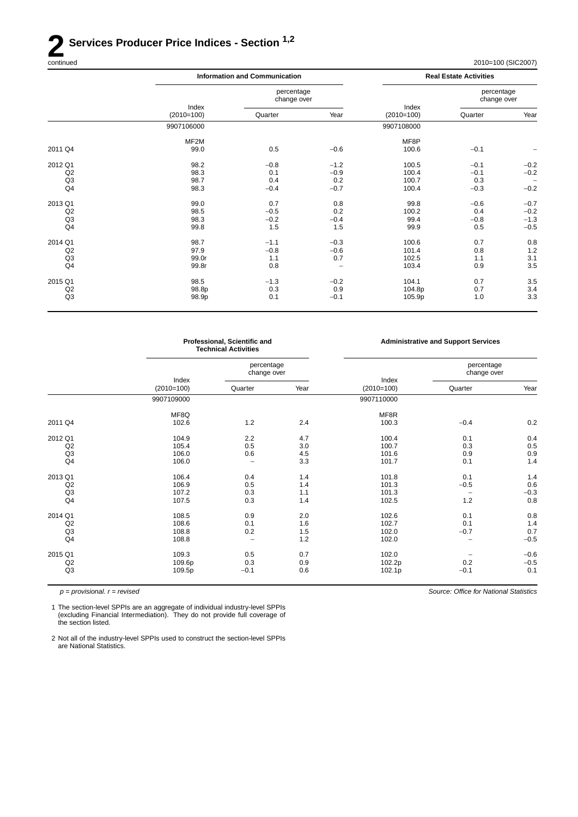# **2 Services Producer Price Indices - Section** <sup>1,2</sup> continued

2010=100 (SIC2007)

|                | <b>Information and Communication</b> |                           |        | <b>Real Estate Activities</b> |                           |                   |
|----------------|--------------------------------------|---------------------------|--------|-------------------------------|---------------------------|-------------------|
|                |                                      | percentage<br>change over |        |                               | percentage<br>change over |                   |
|                | Index<br>$(2010=100)$                | Quarter                   | Year   | Index<br>$(2010=100)$         | Quarter                   | Year              |
|                | 9907106000                           |                           |        | 9907108000                    |                           |                   |
|                | MF2M                                 |                           |        | MF8P                          |                           |                   |
| 2011 Q4        | 99.0                                 | 0.5                       | $-0.6$ | 100.6                         | $-0.1$                    |                   |
| 2012 Q1        | 98.2                                 | $-0.8$                    | $-1.2$ | 100.5                         | $-0.1$                    | $-0.2$            |
| Q2             | 98.3                                 | 0.1                       | $-0.9$ | 100.4                         | $-0.1$                    | $-0.2$            |
| Q3             | 98.7                                 | 0.4                       | 0.2    | 100.7                         | 0.3                       | $\qquad \qquad -$ |
| Q4             | 98.3                                 | $-0.4$                    | $-0.7$ | 100.4                         | $-0.3$                    | $-0.2$            |
| 2013 Q1        | 99.0                                 | 0.7                       | 0.8    | 99.8                          | $-0.6$                    | $-0.7$            |
| Q2             | 98.5                                 | $-0.5$                    | 0.2    | 100.2                         | 0.4                       | $-0.2$            |
| Q <sub>3</sub> | 98.3                                 | $-0.2$                    | $-0.4$ | 99.4                          | $-0.8$                    | $-1.3$            |
| Q4             | 99.8                                 | 1.5                       | 1.5    | 99.9                          | 0.5                       | $-0.5$            |
| 2014 Q1        | 98.7                                 | $-1.1$                    | $-0.3$ | 100.6                         | 0.7                       | 0.8               |
| Q2             | 97.9                                 | $-0.8$                    | $-0.6$ | 101.4                         | 0.8                       | 1.2               |
| Q3             | 99.0r                                | 1.1                       | 0.7    | 102.5                         | 1.1                       | 3.1               |
| Q4             | 99.8r                                | 0.8                       |        | 103.4                         | 0.9                       | 3.5               |
| 2015 Q1        | 98.5                                 | $-1.3$                    | $-0.2$ | 104.1                         | 0.7                       | 3.5               |
| Q2             | 98.8p                                | 0.3                       | 0.9    | 104.8p                        | 0.7                       | 3.4               |
| Q3             | 98.9p                                | 0.1                       | $-0.1$ | 105.9p                        | 1.0                       | 3.3               |
|                |                                      |                           |        |                               |                           |                   |

|                | Professional, Scientific and<br><b>Technical Activities</b> |                           |      | <b>Administrative and Support Services</b> |                           |        |  |
|----------------|-------------------------------------------------------------|---------------------------|------|--------------------------------------------|---------------------------|--------|--|
|                |                                                             | percentage<br>change over |      |                                            | percentage<br>change over |        |  |
|                | Index<br>$(2010=100)$                                       | Quarter                   | Year | Index<br>$(2010=100)$                      | Quarter                   | Year   |  |
|                | 9907109000                                                  |                           |      | 9907110000                                 |                           |        |  |
|                | MF8Q                                                        |                           |      | MF8R                                       |                           |        |  |
| 2011 Q4        | 102.6                                                       | 1.2                       | 2.4  | 100.3                                      | $-0.4$                    | 0.2    |  |
| 2012 Q1        | 104.9                                                       | 2.2                       | 4.7  | 100.4                                      | 0.1                       | 0.4    |  |
| Q2             | 105.4                                                       | 0.5                       | 3.0  | 100.7                                      | 0.3                       | 0.5    |  |
| Q <sub>3</sub> | 106.0                                                       | 0.6                       | 4.5  | 101.6                                      | 0.9                       | 0.9    |  |
| Q <sub>4</sub> | 106.0                                                       | $\overline{\phantom{0}}$  | 3.3  | 101.7                                      | 0.1                       | 1.4    |  |
| 2013 Q1        | 106.4                                                       | 0.4                       | 1.4  | 101.8                                      | 0.1                       | 1.4    |  |
| Q2             | 106.9                                                       | 0.5                       | 1.4  | 101.3                                      | $-0.5$                    | 0.6    |  |
| Q <sub>3</sub> | 107.2                                                       | 0.3                       | 1.1  | 101.3                                      | $\qquad \qquad -$         | $-0.3$ |  |
| Q <sub>4</sub> | 107.5                                                       | 0.3                       | 1.4  | 102.5                                      | 1.2                       | 0.8    |  |
| 2014 Q1        | 108.5                                                       | 0.9                       | 2.0  | 102.6                                      | 0.1                       | 0.8    |  |
| Q2             | 108.6                                                       | 0.1                       | 1.6  | 102.7                                      | 0.1                       | 1.4    |  |
| Q <sub>3</sub> | 108.8                                                       | 0.2                       | 1.5  | 102.0                                      | $-0.7$                    | 0.7    |  |
| Q4             | 108.8                                                       | $\overline{\phantom{0}}$  | 1.2  | 102.0                                      | $\qquad \qquad -$         | $-0.5$ |  |
| 2015 Q1        | 109.3                                                       | 0.5                       | 0.7  | 102.0                                      |                           | $-0.6$ |  |
| Q2             | 109.6p                                                      | 0.3                       | 0.9  | 102.2p                                     | 0.2                       | $-0.5$ |  |
| Q3             | 109.5p                                                      | $-0.1$                    | 0.6  | 102.1p                                     | $-0.1$                    | 0.1    |  |

*p = provisional. r = revised*

1 The section-level SPPIs are an aggregate of individual industry-level SPPIs (excluding Financial Intermediation). They do not provide full coverage of the section listed.

2 Not all of the industry-level SPPIs used to construct the section-level SPPIs are National Statistics.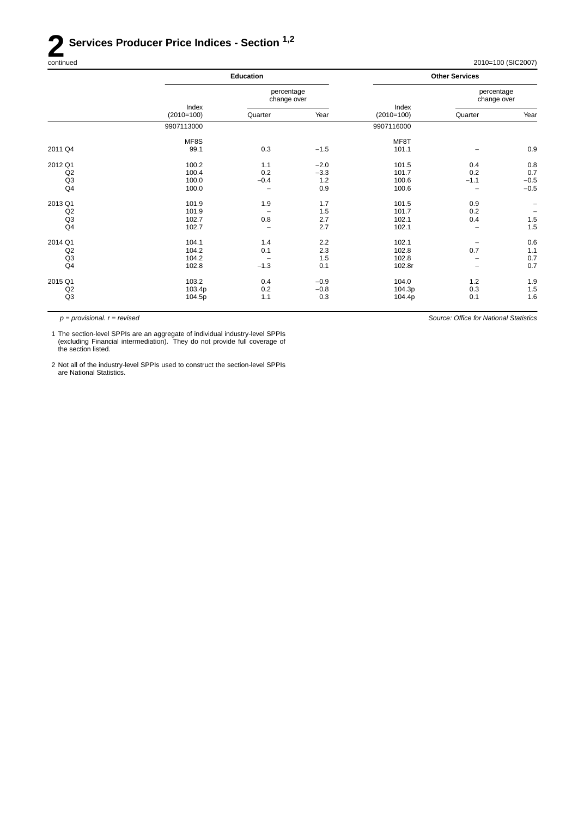# **2 Services Producer Price Indices - Section** <sup>1,2</sup> continued

| continued | 2010=100 (SIC2007)<br>$\sim$ $\sim$ |
|-----------|-------------------------------------|
|-----------|-------------------------------------|

*Source: Office for National Statistics*

| <b>Other Services</b>     |                          |  |
|---------------------------|--------------------------|--|
| percentage<br>change over |                          |  |
| Quarter                   | Year                     |  |
|                           |                          |  |
|                           |                          |  |
|                           | 0.9                      |  |
| 0.4                       | 0.8                      |  |
| 0.2                       | 0.7                      |  |
| $-1.1$                    | $-0.5$                   |  |
|                           | $-0.5$                   |  |
| 0.9                       |                          |  |
| 0.2                       | $\overline{\phantom{m}}$ |  |
| 0.4                       | 1.5                      |  |
|                           | 1.5                      |  |
|                           | 0.6                      |  |
| 0.7                       | 1.1                      |  |
| $\overline{\phantom{a}}$  | 0.7                      |  |
|                           | 0.7                      |  |
| 1.2                       | 1.9                      |  |
|                           | 1.5                      |  |
| 0.1                       | 1.6                      |  |
|                           | 0.3                      |  |

*p = provisional. r = revised*

1 The section-level SPPIs are an aggregate of individual industry-level SPPIs (excluding Financial intermediation). They do not provide full coverage of the section listed.

2 Not all of the industry-level SPPIs used to construct the section-level SPPIs are National Statistics.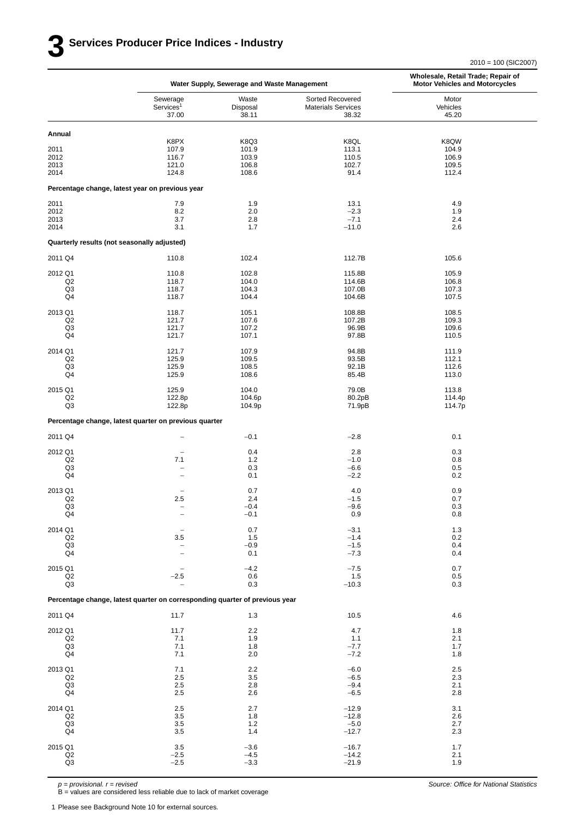2010 = 100 (SIC2007)

|                                             | Water Supply, Sewerage and Waste Management                                 |                            |                                                        | Wholesale, Retail Trade; Repair of<br><b>Motor Vehicles and Motorcycles</b> |
|---------------------------------------------|-----------------------------------------------------------------------------|----------------------------|--------------------------------------------------------|-----------------------------------------------------------------------------|
|                                             | Sewerage<br>Services <sup>1</sup><br>37.00                                  | Waste<br>Disposal<br>38.11 | Sorted Recovered<br><b>Materials Services</b><br>38.32 | Motor<br>Vehicles<br>45.20                                                  |
| Annual                                      |                                                                             |                            |                                                        |                                                                             |
| 2011                                        | K8PX<br>107.9                                                               | K8Q3<br>101.9              | K8QL<br>113.1                                          | K8QW<br>104.9                                                               |
| 2012                                        | 116.7                                                                       | 103.9                      | 110.5                                                  | 106.9                                                                       |
| 2013<br>2014                                | 121.0<br>124.8                                                              | 106.8<br>108.6             | 102.7<br>91.4                                          | 109.5<br>112.4                                                              |
|                                             | Percentage change, latest year on previous year                             |                            |                                                        |                                                                             |
| 2011                                        | 7.9                                                                         | 1.9                        | 13.1                                                   | 4.9                                                                         |
| 2012<br>2013                                | 8.2<br>3.7                                                                  | 2.0<br>2.8                 | $-2.3$<br>$-7.1$                                       | 1.9<br>2.4                                                                  |
| 2014                                        | 3.1                                                                         | 1.7                        | $-11.0$                                                | 2.6                                                                         |
| Quarterly results (not seasonally adjusted) |                                                                             |                            |                                                        |                                                                             |
| 2011 Q4                                     | 110.8                                                                       | 102.4                      | 112.7B                                                 | 105.6                                                                       |
| 2012 Q1                                     | 110.8                                                                       | 102.8                      | 115.8B                                                 | 105.9                                                                       |
| Q <sub>2</sub><br>Q <sub>3</sub>            | 118.7<br>118.7                                                              | 104.0<br>104.3             | 114.6B<br>107.0B                                       | 106.8<br>107.3                                                              |
| Q4                                          | 118.7                                                                       | 104.4                      | 104.6B                                                 | 107.5                                                                       |
| 2013 Q1                                     | 118.7                                                                       | 105.1                      | 108.8B                                                 | 108.5                                                                       |
| Q <sub>2</sub>                              | 121.7                                                                       | 107.6                      | 107.2B                                                 | 109.3                                                                       |
| Q3<br>Q4                                    | 121.7<br>121.7                                                              | 107.2<br>107.1             | 96.9B<br>97.8B                                         | 109.6<br>110.5                                                              |
| 2014 Q1                                     | 121.7                                                                       | 107.9                      | 94.8B                                                  | 111.9                                                                       |
| Q2<br>Q3                                    | 125.9<br>125.9                                                              | 109.5<br>108.5             | 93.5B<br>92.1B                                         | 112.1<br>112.6                                                              |
| Q4                                          | 125.9                                                                       | 108.6                      | 85.4B                                                  | 113.0                                                                       |
| 2015 Q1                                     | 125.9                                                                       | 104.0                      | 79.0B                                                  | 113.8                                                                       |
| Q2<br>Q3                                    | 122.8p<br>122.8p                                                            | 104.6p<br>104.9p           | 80.2pB<br>71.9pB                                       | 114.4p<br>114.7p                                                            |
|                                             | Percentage change, latest quarter on previous quarter                       |                            |                                                        |                                                                             |
| 2011 Q4                                     | $\overline{\phantom{a}}$                                                    | $-0.1$                     | $-2.8$                                                 | 0.1                                                                         |
| 2012 Q1                                     | $\overline{\phantom{m}}$                                                    | 0.4                        | 2.8                                                    | 0.3                                                                         |
| Q <sub>2</sub><br>Q3                        | 7.1<br>$\overline{\phantom{0}}$                                             | $1.2$<br>0.3               | $-1.0$<br>$-6.6$                                       | 0.8<br>0.5                                                                  |
| Q4                                          | $\overline{\phantom{0}}$                                                    | 0.1                        | $-2.2$                                                 | 0.2                                                                         |
| 2013 Q1                                     | $\overline{\phantom{a}}$                                                    | 0.7                        | 4.0                                                    | 0.9                                                                         |
| Q <sub>2</sub><br>Q3                        | 2.5                                                                         | 2.4<br>$-0.4$              | $-1.5$<br>-9.6                                         | 0.7<br>0.3                                                                  |
| Q4                                          | $\overline{\phantom{0}}$                                                    | $-0.1$                     | 0.9                                                    | 0.8                                                                         |
| 2014 Q1                                     |                                                                             | 0.7                        | $-3.1$                                                 | 1.3                                                                         |
| Q2<br>Q <sub>3</sub>                        | 3.5                                                                         | 1.5<br>$-0.9$              | $-1.4$<br>$-1.5$                                       | 0.2<br>0.4                                                                  |
| Q4                                          | $\qquad \qquad -$<br>$\overline{\phantom{a}}$                               | 0.1                        | $-7.3$                                                 | 0.4                                                                         |
| 2015 Q1                                     |                                                                             | $-4.2$                     | $-7.5$                                                 | 0.7                                                                         |
| Q <sub>2</sub><br>Q <sub>3</sub>            | $-2.5$<br>$\overline{\phantom{a}}$                                          | 0.6<br>0.3                 | 1.5<br>$-10.3$                                         | 0.5<br>0.3                                                                  |
|                                             | Percentage change, latest quarter on corresponding quarter of previous year |                            |                                                        |                                                                             |
| 2011 Q4                                     | 11.7                                                                        | 1.3                        | 10.5                                                   | 4.6                                                                         |
|                                             |                                                                             |                            |                                                        |                                                                             |
| 2012 Q1<br>$_{\mathsf{Q2}}$                 | 11.7<br>7.1                                                                 | 2.2<br>1.9                 | 4.7<br>1.1                                             | 1.8<br>2.1                                                                  |
| Q <sub>3</sub><br>Q4                        | 7.1<br>7.1                                                                  | 1.8<br>2.0                 | $-7.7$<br>$-7.2$                                       | 1.7<br>1.8                                                                  |
|                                             |                                                                             |                            |                                                        |                                                                             |
| 2013 Q1<br>Q2                               | 7.1<br>2.5                                                                  | 2.2<br>3.5                 | $-6.0$<br>$-6.5$                                       | 2.5<br>2.3                                                                  |
| Q <sub>3</sub>                              | 2.5                                                                         | 2.8                        | $-9.4$                                                 | 2.1                                                                         |
| Q4                                          | 2.5                                                                         | 2.6                        | $-6.5$                                                 | 2.8                                                                         |
| 2014 Q1<br>Q <sub>2</sub>                   | 2.5<br>$3.5\,$                                                              | 2.7<br>1.8                 | $-12.9$<br>$-12.8$                                     | 3.1<br>2.6                                                                  |
| Q <sub>3</sub>                              | $3.5\,$                                                                     | $1.2$                      | $-5.0$                                                 | 2.7                                                                         |
| Q4                                          | $3.5\,$                                                                     | 1.4                        | $-12.7$                                                | 2.3                                                                         |
| 2015 Q1                                     | 3.5                                                                         | $-3.6$<br>$-4.5$           | $-16.7$<br>$-14.2$                                     | 1.7<br>2.1                                                                  |
| $_{\mathsf{Q2}}$<br>Q3                      | $-2.5$<br>$-2.5$                                                            | $-3.3$                     | $-21.9$                                                | 1.9                                                                         |
|                                             |                                                                             |                            |                                                        |                                                                             |

*p = provisional. r = revised*

B = values are considered less reliable due to lack of market coverage

1 Please see Background Note 10 for external sources.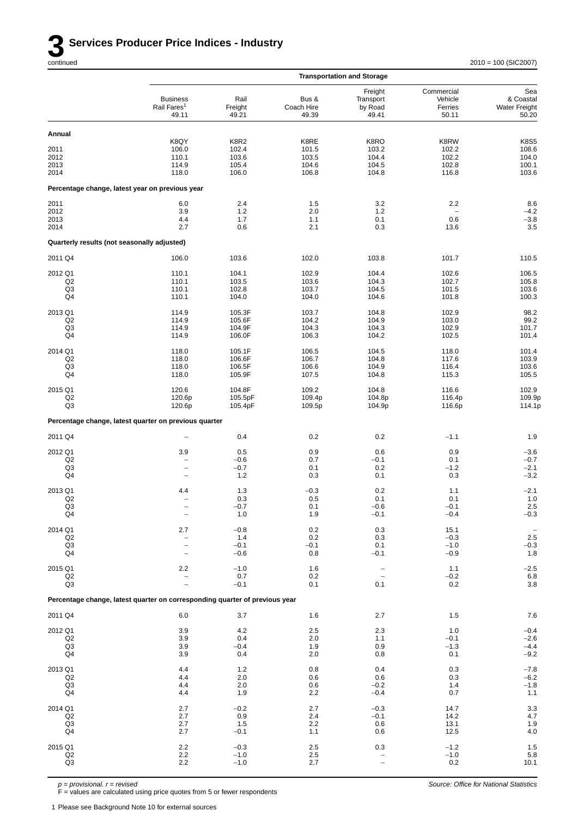|                                             |                                                                             |                          |                              | <b>Transportation and Storage</b>        |                                           |                                                   |
|---------------------------------------------|-----------------------------------------------------------------------------|--------------------------|------------------------------|------------------------------------------|-------------------------------------------|---------------------------------------------------|
|                                             | <b>Business</b><br>Rail Fares <sup>1</sup><br>49.11                         | Rail<br>Freight<br>49.21 | Bus &<br>Coach Hire<br>49.39 | Freight<br>Transport<br>by Road<br>49.41 | Commercial<br>Vehicle<br>Ferries<br>50.11 | Sea<br>& Coastal<br><b>Water Freight</b><br>50.20 |
| Annual                                      |                                                                             |                          |                              |                                          |                                           |                                                   |
| 2011                                        | K8QY<br>106.0                                                               | K8R2<br>102.4            | K8RE<br>101.5                | K8RO<br>103.2                            | K8RW<br>102.2                             | <b>K8S5</b><br>108.6                              |
| 2012<br>2013                                | 110.1<br>114.9                                                              | 103.6<br>105.4           | 103.5<br>104.6               | 104.4<br>104.5                           | 102.2<br>102.8                            | 104.0<br>100.1                                    |
| 2014                                        | 118.0                                                                       | 106.0                    | 106.8                        | 104.8                                    | 116.8                                     | 103.6                                             |
|                                             | Percentage change, latest year on previous year                             |                          |                              |                                          |                                           |                                                   |
| 2011<br>2012                                | 6.0<br>3.9                                                                  | 2.4<br>1.2               | 1.5<br>2.0                   | 3.2<br>1.2                               | 2.2                                       | 8.6<br>$-4.2$                                     |
| 2013                                        | 4.4                                                                         | 1.7                      | 1.1                          | 0.1                                      | 0.6                                       | $-3.8$                                            |
| 2014                                        | 2.7                                                                         | 0.6                      | 2.1                          | 0.3                                      | 13.6                                      | 3.5                                               |
| Quarterly results (not seasonally adjusted) |                                                                             |                          |                              |                                          |                                           |                                                   |
| 2011 Q4                                     | 106.0                                                                       | 103.6                    | 102.0                        | 103.8                                    | 101.7                                     | 110.5                                             |
| 2012 Q1<br>Q <sub>2</sub>                   | 110.1<br>110.1                                                              | 104.1<br>103.5           | 102.9<br>103.6               | 104.4<br>104.3                           | 102.6<br>102.7                            | 106.5<br>105.8                                    |
| Q3<br>Q4                                    | 110.1<br>110.1                                                              | 102.8<br>104.0           | 103.7<br>104.0               | 104.5<br>104.6                           | 101.5<br>101.8                            | 103.6<br>100.3                                    |
|                                             |                                                                             |                          |                              |                                          |                                           |                                                   |
| 2013 Q1<br>Q <sub>2</sub>                   | 114.9<br>114.9                                                              | 105.3F<br>105.6F         | 103.7<br>104.2               | 104.8<br>104.9                           | 102.9<br>103.0                            | 98.2<br>99.2                                      |
| Q3<br>Q4                                    | 114.9<br>114.9                                                              | 104.9F<br>106.0F         | 104.3<br>106.3               | 104.3<br>104.2                           | 102.9<br>102.5                            | 101.7<br>101.4                                    |
| 2014 Q1                                     | 118.0                                                                       | 105.1F                   | 106.5                        | 104.5                                    | 118.0                                     | 101.4                                             |
| Q2<br>Q3                                    | 118.0<br>118.0                                                              | 106.6F<br>106.5F         | 106.7<br>106.6               | 104.8<br>104.9                           | 117.6<br>116.4                            | 103.9<br>103.6                                    |
| Q4                                          | 118.0                                                                       | 105.9F                   | 107.5                        | 104.8                                    | 115.3                                     | 105.5                                             |
| 2015 Q1<br>Q <sub>2</sub>                   | 120.6                                                                       | 104.8F                   | 109.2                        | 104.8                                    | 116.6                                     | 102.9                                             |
| Q3                                          | 120.6p<br>120.6p                                                            | 105.5pF<br>105.4pF       | 109.4p<br>109.5p             | 104.8p<br>104.9p                         | 116.4p<br>116.6p                          | 109.9p<br>114.1p                                  |
|                                             | Percentage change, latest quarter on previous quarter                       |                          |                              |                                          |                                           |                                                   |
| 2011 Q4                                     |                                                                             | 0.4                      | 0.2                          | 0.2                                      | $-1.1$                                    | 1.9                                               |
| 2012 Q1                                     | 3.9                                                                         | 0.5                      | 0.9                          | 0.6                                      | 0.9                                       | $-3.6$                                            |
| Q2<br>Q3                                    | $\overline{\phantom{0}}$<br>$\overline{\phantom{0}}$                        | $-0.6$<br>$-0.7$         | 0.7<br>0.1                   | $-0.1$<br>0.2                            | 0.1<br>$-1.2$                             | $-0.7$<br>$-2.1$                                  |
| Q4                                          | $\overline{\phantom{0}}$                                                    | 1.2                      | 0.3                          | 0.1                                      | 0.3                                       | $-3.2$                                            |
| 2013 Q1<br>Q <sub>2</sub>                   | 4.4<br>$\overline{\phantom{0}}$                                             | 1.3<br>0.3               | $-0.3$<br>0.5                | 0.2<br>0.1                               | 1.1<br>0.1                                | $-2.1$<br>1.0                                     |
| Q3                                          | L.                                                                          | $-0.7$                   | 0.1                          | $-0.6$                                   | $-0.1$                                    | $2.5\,$                                           |
| Q4                                          | $\overline{\phantom{a}}$                                                    | 1.0                      | 1.9                          | $-0.1$                                   | $-0.4$                                    | $-0.3$                                            |
| 2014 Q1<br>Q <sub>2</sub>                   | 2.7<br>$\overline{\phantom{a}}$                                             | $-0.8$<br>1.4            | 0.2<br>0.2                   | 0.3<br>0.3                               | 15.1<br>$-0.3$                            | $2.5\,$                                           |
| Q <sub>3</sub><br>Q4                        | $\hspace{1.0cm} - \hspace{1.0cm}$<br>$\overline{\phantom{0}}$               | $-0.1$<br>$-0.6$         | $-0.1$<br>0.8                | 0.1<br>$-0.1$                            | $-1.0$<br>$-0.9$                          | $-0.3$<br>$1.8\,$                                 |
| 2015 Q1                                     | 2.2                                                                         | $-1.0$                   | 1.6                          | $\hspace{1.0cm} - \hspace{1.0cm}$        | 1.1                                       | $-2.5$                                            |
| Q2<br>Q3                                    | $\overline{\phantom{0}}$<br>$\overline{\phantom{0}}$                        | 0.7<br>$-0.1$            | 0.2<br>0.1                   | $\overline{\phantom{0}}$<br>0.1          | $-0.2$<br>0.2                             | $6.8\,$<br>$3.8\,$                                |
|                                             | Percentage change, latest quarter on corresponding quarter of previous year |                          |                              |                                          |                                           |                                                   |
| 2011 Q4                                     | 6.0                                                                         | 3.7                      | 1.6                          | 2.7                                      | $1.5$                                     | 7.6                                               |
| 2012 Q1                                     | 3.9                                                                         | 4.2                      | 2.5                          | 2.3                                      | 1.0                                       | $-0.4$                                            |
| Q <sub>2</sub>                              | 3.9                                                                         | 0.4                      | 2.0                          | 1.1                                      | $-0.1$                                    | $-2.6$                                            |
| Q <sub>3</sub><br>Q4                        | 3.9<br>3.9                                                                  | $-0.4$<br>0.4            | 1.9<br>2.0                   | 0.9<br>0.8                               | $-1.3$<br>0.1                             | $-4.4$<br>$-9.2$                                  |
| 2013 Q1                                     | 4.4                                                                         | 1.2                      | 0.8                          | 0.4                                      | 0.3                                       | $-7.8$                                            |
| Q <sub>2</sub><br>Q <sub>3</sub>            | 4.4<br>4.4                                                                  | 2.0<br>2.0               | 0.6<br>0.6                   | 0.6<br>$-0.2$                            | 0.3<br>1.4                                | $-6.2$<br>$-1.8$                                  |
| Q4                                          | 4.4                                                                         | 1.9                      | 2.2                          | $-0.4$                                   | 0.7                                       | $1.1$                                             |
| 2014 Q1                                     | 2.7                                                                         | $-0.2$                   | 2.7                          | $-0.3$                                   | 14.7                                      | $\frac{3.3}{4.7}$                                 |
| Q <sub>2</sub><br>Q <sub>3</sub>            | 2.7<br>2.7                                                                  | 0.9<br>1.5               | 2.4<br>2.2                   | $-0.1$<br>0.6                            | 14.2<br>13.1                              |                                                   |
| Q4                                          | 2.7                                                                         | $-0.1$                   | 1.1                          | 0.6                                      | 12.5                                      | $\begin{array}{c} 1.9 \\ 4.0 \end{array}$         |
| 2015 Q1<br>Q2                               | $2.2\,$<br>2.2                                                              | $-0.3$<br>$-1.0$         | 2.5<br>2.5                   | 0.3<br>$\qquad \qquad -$                 | $-1.2$<br>$-1.0$                          | $\frac{1.5}{5.8}$                                 |
| Q3                                          | 2.2                                                                         | $-1.0$                   | 2.7                          | $\qquad \qquad -$                        | $0.2\,$                                   | 10.1                                              |

*p = provisional. r = revised*

F = values are calculated using price quotes from 5 or fewer respondents

1 Please see Background Note 10 for external sources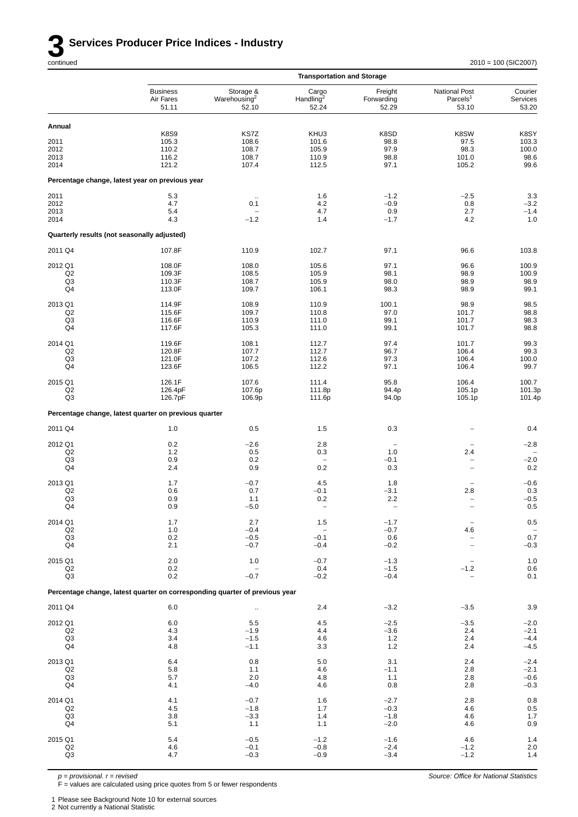

*Source: Office for National Statistics*

|                                             |                                                                             |                                                | <b>Transportation and Storage</b>       |                                |                                                |                              |
|---------------------------------------------|-----------------------------------------------------------------------------|------------------------------------------------|-----------------------------------------|--------------------------------|------------------------------------------------|------------------------------|
|                                             | <b>Business</b><br>Air Fares<br>51.11                                       | Storage &<br>Warehousing <sup>2</sup><br>52.10 | Cargo<br>Handling <sup>2</sup><br>52.24 | Freight<br>Forwarding<br>52.29 | National Post<br>Parcels <sup>1</sup><br>53.10 | Courier<br>Services<br>53.20 |
| Annual                                      |                                                                             |                                                |                                         |                                |                                                |                              |
|                                             | <b>K8S9</b>                                                                 | KS7Z                                           | KHU3                                    | K8SD                           | K8SW                                           | K8SY                         |
| 2011                                        | 105.3                                                                       | 108.6                                          | 101.6                                   | 98.8                           | 97.5                                           | 103.3                        |
| 2012                                        | 110.2                                                                       | 108.7<br>108.7                                 | 105.9<br>110.9                          | 97.9<br>98.8                   | 98.3                                           | 100.0<br>98.6                |
| 2013<br>2014                                | 116.2<br>121.2                                                              | 107.4                                          | 112.5                                   | 97.1                           | 101.0<br>105.2                                 | 99.6                         |
|                                             | Percentage change, latest year on previous year                             |                                                |                                         |                                |                                                |                              |
| 2011                                        | 5.3                                                                         | $\ldots$                                       | 1.6                                     | $-1.2$                         | $-2.5$                                         | 3.3                          |
| 2012                                        | 4.7                                                                         | 0.1                                            | 4.2                                     | $-0.9$                         | 0.8                                            | $-3.2$                       |
| 2013<br>2014                                | 5.4<br>4.3                                                                  | $-1.2$                                         | 4.7<br>1.4                              | 0.9<br>$-1.7$                  | 2.7<br>4.2                                     | $-1.4$<br>1.0                |
| Quarterly results (not seasonally adjusted) |                                                                             |                                                |                                         |                                |                                                |                              |
| 2011 Q4                                     | 107.8F                                                                      | 110.9                                          | 102.7                                   | 97.1                           | 96.6                                           | 103.8                        |
| 2012 Q1                                     | 108.0F                                                                      | 108.0                                          | 105.6                                   | 97.1                           | 96.6                                           | 100.9                        |
| Q2                                          | 109.3F                                                                      | 108.5                                          | 105.9                                   | 98.1                           | 98.9                                           | 100.9                        |
| Q3                                          | 110.3F                                                                      | 108.7                                          | 105.9                                   | 98.0                           | 98.9                                           | 98.9                         |
| Q4                                          | 113.0F                                                                      | 109.7                                          | 106.1                                   | 98.3                           | 98.9                                           | 99.1                         |
| 2013 Q1                                     | 114.9F                                                                      | 108.9                                          | 110.9                                   | 100.1                          | 98.9                                           | 98.5                         |
| Q2                                          | 115.6F                                                                      | 109.7                                          | 110.8                                   | 97.0                           | 101.7                                          | 98.8                         |
| Q3<br>Q4                                    | 116.6F<br>117.6F                                                            | 110.9<br>105.3                                 | 111.0<br>111.0                          | 99.1<br>99.1                   | 101.7<br>101.7                                 | 98.3<br>98.8                 |
|                                             |                                                                             |                                                |                                         |                                |                                                |                              |
| 2014 Q1<br>Q2                               | 119.6F                                                                      | 108.1<br>107.7                                 | 112.7<br>112.7                          | 97.4<br>96.7                   | 101.7<br>106.4                                 | 99.3<br>99.3                 |
| Q3                                          | 120.8F<br>121.0F                                                            | 107.2                                          | 112.6                                   | 97.3                           | 106.4                                          | 100.0                        |
| Q4                                          | 123.6F                                                                      | 106.5                                          | 112.2                                   | 97.1                           | 106.4                                          | 99.7                         |
| 2015 Q1                                     | 126.1F                                                                      | 107.6                                          | 111.4                                   | 95.8                           | 106.4                                          | 100.7                        |
| Q <sub>2</sub>                              | 126.4pF                                                                     | 107.6p                                         | 111.8p                                  | 94.4p                          | 105.1p                                         | 101.3p                       |
| Q3                                          | 126.7pF                                                                     | 106.9p                                         | 111.6p                                  | 94.0p                          | 105.1p                                         | 101.4p                       |
|                                             | Percentage change, latest quarter on previous quarter                       |                                                |                                         |                                |                                                |                              |
| 2011 Q4                                     | 1.0                                                                         | 0.5                                            | 1.5                                     | 0.3                            |                                                | 0.4                          |
| 2012 Q1                                     | 0.2                                                                         | $-2.6$                                         | 2.8                                     |                                |                                                | $-2.8$                       |
| Q2<br>Q3                                    | 1.2                                                                         | 0.5                                            | 0.3                                     | 1.0                            | 2.4                                            |                              |
| Q4                                          | 0.9<br>2.4                                                                  | 0.2<br>0.9                                     | $\qquad \qquad -$<br>0.2                | $-0.1$<br>0.3                  | $\qquad \qquad -$<br>$\overline{\phantom{0}}$  | $-2.0$<br>$0.2\,$            |
|                                             |                                                                             |                                                |                                         |                                |                                                |                              |
| 2013 Q1<br>Q <sub>2</sub>                   | 1.7<br>0.6                                                                  | $-0.7$<br>0.7                                  | 4.5<br>$-0.1$                           | 1.8<br>$-3.1$                  | $\overline{\phantom{m}}$<br>2.8                | $-0.6$<br>0.3                |
| Q3                                          | 0.9                                                                         | 1.1                                            | 0.2                                     | 2.2                            | $\qquad \qquad -$                              | $-0.5$                       |
| Q4                                          | 0.9                                                                         | $-5.0$                                         | $\qquad \qquad -$                       | $\qquad \qquad -$              |                                                | $0.5\,$                      |
| 2014 Q1                                     | 1.7                                                                         | 2.7                                            | 1.5                                     | $-1.7$                         |                                                | 0.5                          |
| Q2                                          | 1.0                                                                         | $-0.4$                                         |                                         | $-0.7$                         | 4.6                                            |                              |
| Q <sub>3</sub><br>Q4                        | 0.2<br>2.1                                                                  | $-0.5$<br>$-0.7$                               | $-0.1$<br>$-0.4$                        | $0.6\,$<br>$-0.2$              | $\overline{\phantom{0}}$                       | $0.7\,$<br>$-0.3$            |
|                                             |                                                                             |                                                |                                         |                                |                                                |                              |
| 2015 Q1<br>Q2                               | 2.0<br>0.2                                                                  | 1.0                                            | $-0.7$<br>0.4                           | $-1.3$<br>$-1.5$               | $\overline{\phantom{0}}$<br>$-1.2$             | $1.0$<br>0.6                 |
| Q3                                          | 0.2                                                                         | $-0.7$                                         | $-0.2$                                  | $-0.4$                         | $\overline{\phantom{0}}$                       | 0.1                          |
|                                             | Percentage change, latest quarter on corresponding quarter of previous year |                                                |                                         |                                |                                                |                              |
| 2011 Q4                                     | 6.0                                                                         | $\ddot{\phantom{1}}$                           | 2.4                                     | $-3.2$                         | $-3.5$                                         | $3.9\,$                      |
| 2012 Q1                                     | 6.0                                                                         | 5.5                                            | 4.5                                     | $-2.5$                         | $-3.5$                                         | $-2.0$                       |
| Q2                                          | 4.3                                                                         | $-1.9$                                         | 4.4                                     | $-3.6$                         | 2.4                                            | $-2.1$                       |
| Q <sub>3</sub><br>Q <sub>4</sub>            | 3.4<br>4.8                                                                  | $-1.5$<br>$-1.1$                               | 4.6<br>3.3                              | $1.2$<br>1.2                   | 2.4<br>2.4                                     | $-4.4$<br>$-4.5$             |
|                                             |                                                                             |                                                |                                         |                                |                                                |                              |
| 2013 Q1                                     | 6.4                                                                         | 0.8                                            | 5.0                                     | 3.1                            | 2.4                                            | $-2.4$                       |
| Q <sub>2</sub><br>Q <sub>3</sub>            | 5.8<br>5.7                                                                  | 1.1<br>2.0                                     | 4.6<br>4.8                              | $-1.1$<br>1.1                  | 2.8<br>2.8                                     | $-2.1$<br>$-0.6$             |
| Q4                                          | 4.1                                                                         | $-4.0$                                         | 4.6                                     | 0.8                            | 2.8                                            | $-0.3$                       |
| 2014 Q1                                     | 4.1                                                                         | $-0.7$                                         | 1.6                                     | $-2.7$                         | 2.8                                            | $0.8\,$                      |
| Q2                                          | 4.5                                                                         | $-1.8$                                         | 1.7                                     | $-0.3$                         | 4.6                                            | $0.5\,$                      |
| Q <sub>3</sub>                              | 3.8                                                                         | $-3.3$                                         | 1.4                                     | $-1.8$                         | 4.6                                            | $1.7$                        |
| Q4                                          | 5.1                                                                         | 1.1                                            | 1.1                                     | $-2.0$                         | 4.6                                            | 0.9                          |
| 2015 Q1                                     | 5.4                                                                         | $-0.5$                                         | $-1.2$                                  | $-1.6$                         | 4.6                                            | 1.4                          |
| Q2                                          | 4.6                                                                         | $-0.1$                                         | $-0.8$                                  | $-2.4$                         | $-1.2$                                         | 2.0                          |
| Q <sub>3</sub>                              | 4.7                                                                         | $-0.3$                                         | $-0.9$                                  | $-3.4$                         | $-1.2$                                         | 1.4                          |

*p = provisional. r = revised*

F = values are calculated using price quotes from 5 or fewer respondents

1 Please see Background Note 10 for external sources

2 Not currently a National Statistic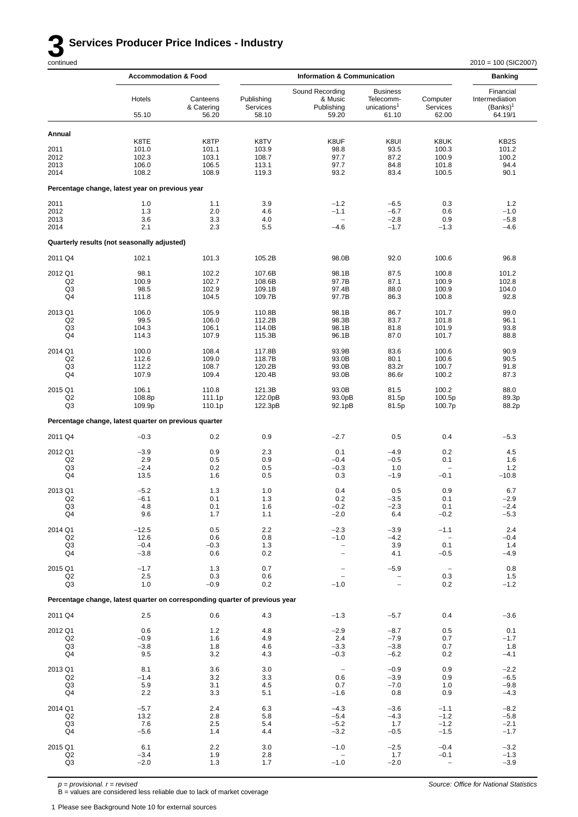# **3 Services Producer Price Indices - Industry** continued

|                                 | <b>Accommodation &amp; Food</b>                                             |                                          |                                          | <b>Information &amp; Communication</b>            |                                                                  |                                              | <b>Banking</b>                                        |
|---------------------------------|-----------------------------------------------------------------------------|------------------------------------------|------------------------------------------|---------------------------------------------------|------------------------------------------------------------------|----------------------------------------------|-------------------------------------------------------|
|                                 | Hotels<br>55.10                                                             | Canteens<br>& Catering<br>56.20          | Publishing<br>Services<br>58.10          | Sound Recording<br>& Music<br>Publishing<br>59.20 | <b>Business</b><br>Telecomm-<br>unications <sup>1</sup><br>61.10 | Computer<br>Services<br>62.00                | Financial<br>Intermediation<br>$(Banks)^1$<br>64.19/1 |
| Annual                          |                                                                             |                                          |                                          |                                                   |                                                                  |                                              |                                                       |
| 2011<br>2012<br>2013<br>2014    | K8TE<br>101.0<br>102.3<br>106.0<br>108.2                                    | K8TP<br>101.1<br>103.1<br>106.5<br>108.9 | K8TV<br>103.9<br>108.7<br>113.1<br>119.3 | K8UF<br>98.8<br>97.7<br>97.7<br>93.2              | K8UI<br>93.5<br>87.2<br>84.8<br>83.4                             | K8UK<br>100.3<br>100.9<br>101.8<br>100.5     | KB <sub>2</sub> S<br>101.2<br>100.2<br>94.4<br>90.1   |
|                                 | Percentage change, latest year on previous year                             |                                          |                                          |                                                   |                                                                  |                                              |                                                       |
| 2011                            | 1.0                                                                         | 1.1                                      | 3.9                                      | $-1.2$                                            | $-6.5$                                                           | 0.3                                          | 1.2                                                   |
| 2012                            | 1.3                                                                         | 2.0                                      | 4.6                                      | $-1.1$                                            | $-6.7$                                                           | 0.6                                          | $-1.0$                                                |
| 2013                            | 3.6                                                                         | 3.3                                      | 4.0                                      | $\overline{\phantom{0}}$                          | $-2.8$                                                           | 0.9                                          | $-5.8$                                                |
| 2014                            | 2.1                                                                         | 2.3                                      | 5.5                                      | $-4.6$                                            | $-1.7$                                                           | $-1.3$                                       | $-4.6$                                                |
|                                 | Quarterly results (not seasonally adjusted)                                 |                                          |                                          |                                                   |                                                                  |                                              |                                                       |
| 2011 Q4                         | 102.1                                                                       | 101.3                                    | 105.2B                                   | 98.0B                                             | 92.0                                                             | 100.6                                        | 96.8                                                  |
| 2012 Q1                         | 98.1                                                                        | 102.2                                    | 107.6B                                   | 98.1B                                             | 87.5                                                             | 100.8                                        | 101.2                                                 |
| Q2                              | 100.9                                                                       | 102.7                                    | 108.6B                                   | 97.7B                                             | 87.1                                                             | 100.9                                        | 102.8                                                 |
| Q3                              | 98.5                                                                        | 102.9                                    | 109.1B                                   | 97.4B                                             | 88.0                                                             | 100.9                                        | 104.0                                                 |
| Q <sub>4</sub>                  | 111.8                                                                       | 104.5                                    | 109.7B                                   | 97.7B                                             | 86.3                                                             | 100.8                                        | 92.8                                                  |
| 2013 Q1                         | 106.0                                                                       | 105.9                                    | 110.8B                                   | 98.1B                                             | 86.7                                                             | 101.7                                        | 99.0                                                  |
| Q2                              | 99.5                                                                        | 106.0                                    | 112.2B                                   | 98.3B                                             | 83.7                                                             | 101.8                                        | 96.1                                                  |
| Q3                              | 104.3                                                                       | 106.1                                    | 114.0B                                   | 98.1B                                             | 81.8                                                             | 101.9                                        | 93.8                                                  |
| Q <sub>4</sub>                  | 114.3                                                                       | 107.9                                    | 115.3B                                   | 96.1B                                             | 87.0                                                             | 101.7                                        | 88.8                                                  |
| 2014 Q1                         | 100.0                                                                       | 108.4                                    | 117.8B                                   | 93.9B                                             | 83.6                                                             | 100.6                                        | 90.9                                                  |
| Q <sub>2</sub>                  | 112.6                                                                       | 109.0                                    | 118.7B                                   | 93.0B                                             | 80.1                                                             | 100.6                                        | 90.5                                                  |
| Q3                              | 112.2                                                                       | 108.7                                    | 120.2B                                   | 93.0B                                             | 83.2r                                                            | 100.7                                        | 91.8                                                  |
| Q4                              | 107.9                                                                       | 109.4                                    | 120.4B                                   | 93.0B                                             | 86.6r                                                            | 100.2                                        | 87.3                                                  |
| 2015 Q1                         | 106.1                                                                       | 110.8                                    | 121.3B                                   | 93.0B                                             | 81.5                                                             | 100.2                                        | 88.0                                                  |
| Q2                              | 108.8p                                                                      | 111.1p                                   | 122.0pB                                  | 93.0pB                                            | 81.5p                                                            | 100.5p                                       | 89.3p                                                 |
| Q3                              | 109.9p                                                                      | 110.1p                                   | 122.3pB                                  | 92.1pB                                            | 81.5p                                                            | 100.7p                                       | 88.2p                                                 |
|                                 | Percentage change, latest quarter on previous quarter                       |                                          |                                          |                                                   |                                                                  |                                              |                                                       |
| 2011 Q4                         | $-0.3$                                                                      | 0.2                                      | 0.9                                      | $-2.7$                                            | 0.5                                                              | 0.4                                          | $-5.3$                                                |
| 2012 Q1                         | $-3.9$                                                                      | 0.9                                      | 2.3                                      | 0.1                                               | $-4.9$                                                           | 0.2                                          | 4.5                                                   |
| Q2                              | 2.9                                                                         | 0.5                                      | 0.9                                      | $-0.4$                                            | $-0.5$                                                           | 0.1                                          | 1.6                                                   |
| Q3                              | $-2.4$                                                                      | 0.2                                      | 0.5                                      | $-0.3$                                            | 1.0                                                              | $\overline{\phantom{0}}$                     | 1.2                                                   |
| Q4                              | 13.5                                                                        | 1.6                                      | 0.5                                      | 0.3                                               | $-1.9$                                                           | $-0.1$                                       | $-10.8$                                               |
| 2013 Q1                         | $-5.2$                                                                      | 1.3                                      | 1.0                                      | 0.4                                               | 0.5                                                              | 0.9                                          | 6.7                                                   |
| Q2                              | $-6.1$                                                                      | 0.1                                      | 1.3                                      | 0.2                                               | $-3.5$                                                           | 0.1                                          | $-2.9$                                                |
| Q3                              | 4.8                                                                         | 0.1                                      | 1.6                                      | $-0.2$                                            | $-2.3$                                                           | 0.1                                          | $-2.4$                                                |
| Q4                              | 9.6                                                                         | 1.7                                      | 1.1                                      | $-2.0$                                            | 6.4                                                              | $-0.2$                                       | $-5.3$                                                |
| 2014 Q1                         | $-12.5$                                                                     | 0.5                                      | 2.2                                      | $-2.3$                                            | $-3.9$                                                           | $-1.1$                                       | 2.4                                                   |
| Q <sub>2</sub>                  | 12.6                                                                        | 0.6                                      | 0.8                                      | $-1.0$                                            | $-4.2$                                                           | $\overline{\phantom{0}}$                     | $-0.4$                                                |
| Q <sub>3</sub>                  | $-0.4$                                                                      | $-0.3$                                   | 1.3                                      | $\qquad \qquad -$                                 | 3.9                                                              | 0.1                                          | 1.4                                                   |
| Q4                              | $-3.8$                                                                      | 0.6                                      | 0.2                                      | $\qquad \qquad -$                                 | 4.1                                                              | $-0.5$                                       | $-4.9$                                                |
| 2015 Q1                         | $-1.7$                                                                      | 1.3                                      | 0.7                                      | $\qquad \qquad -$                                 | $-5.9$                                                           | $\overline{\phantom{m}}$                     | 0.8                                                   |
| Q <sub>2</sub>                  | 2.5                                                                         | 0.3                                      | 0.6                                      | $\qquad \qquad -$                                 | $\qquad \qquad -$                                                | 0.3                                          | 1.5                                                   |
| Q <sub>3</sub>                  | 1.0                                                                         | $-0.9$                                   | 0.2                                      | $-1.0$                                            | $\overline{\phantom{a}}$                                         | 0.2                                          | $-1.2$                                                |
|                                 | Percentage change, latest quarter on corresponding quarter of previous year |                                          |                                          |                                                   |                                                                  |                                              |                                                       |
| 2011 Q4                         | 2.5                                                                         | 0.6                                      | 4.3                                      | $-1.3$                                            | $-5.7$                                                           | 0.4                                          | $-3.6$                                                |
| 2012 Q1                         | 0.6                                                                         | 1.2                                      | 4.8                                      | $-2.9$                                            | $-8.7$                                                           | 0.5                                          | 0.1                                                   |
| Q <sub>2</sub>                  | $-0.9$                                                                      | 1.6                                      | 4.9                                      | 2.4                                               | $-7.9$                                                           | 0.7                                          | $-1.7$                                                |
| Q <sub>3</sub>                  | $-3.8$                                                                      | 1.8                                      | 4.6                                      | $-3.3$                                            | $-3.8$                                                           | 0.7                                          | 1.8                                                   |
| Q4                              | 9.5                                                                         | 3.2                                      | 4.3                                      | $-0.3$                                            | $-6.2$                                                           | 0.2                                          | $-4.1$                                                |
| 2013 Q1                         | 8.1                                                                         | 3.6                                      | 3.0                                      | $\overline{\phantom{a}}$                          | $-0.9$                                                           | 0.9                                          | $-2.2$                                                |
| Q <sub>2</sub>                  | $-1.4$                                                                      | 3.2                                      | 3.3                                      | 0.6                                               | $-3.9$                                                           | 0.9                                          | $-6.5$                                                |
| Q <sub>3</sub>                  | 5.9                                                                         | 3.1                                      | 4.5                                      | 0.7                                               | $-7.0$                                                           | 1.0                                          | $-9.8$                                                |
| Q4                              | 2.2                                                                         | 3.3                                      | 5.1                                      | $-1.6$                                            | 0.8                                                              | 0.9                                          | $-4.3$                                                |
| 2014 Q1                         | $-5.7$                                                                      | 2.4                                      | 6.3                                      | $-4.3$                                            | $-3.6$                                                           | $-1.1$                                       | $-8.2$                                                |
| Q2                              | 13.2                                                                        | 2.8                                      | 5.8                                      | $-5.4$                                            | $-4.3$                                                           | $-1.2$                                       | $-5.8$                                                |
| Q <sub>3</sub>                  | 7.6                                                                         | 2.5                                      | 5.4                                      | $-5.2$                                            | 1.7                                                              | $-1.2$                                       | $-2.1$                                                |
| Q4                              | $-5.6$                                                                      | 1.4                                      | 4.4                                      | $-3.2$                                            | $-0.5$                                                           | $-1.5$                                       | $-1.7$                                                |
| 2015 Q1<br>Q2<br>Q <sub>3</sub> | 6.1<br>$-3.4$<br>$-2.0$                                                     | 2.2<br>1.9<br>1.3                        | 3.0<br>2.8<br>1.7                        | $-1.0$<br>$-1.0$                                  | $-2.5$<br>1.7<br>$-2.0$                                          | $-0.4$<br>$-0.1$<br>$\overline{\phantom{0}}$ | $-3.2$<br>$-1.3$<br>$-3.9$                            |

*p = provisional. r = revised* B = values are considered less reliable due to lack of market coverage

1 Please see Background Note 10 for external sources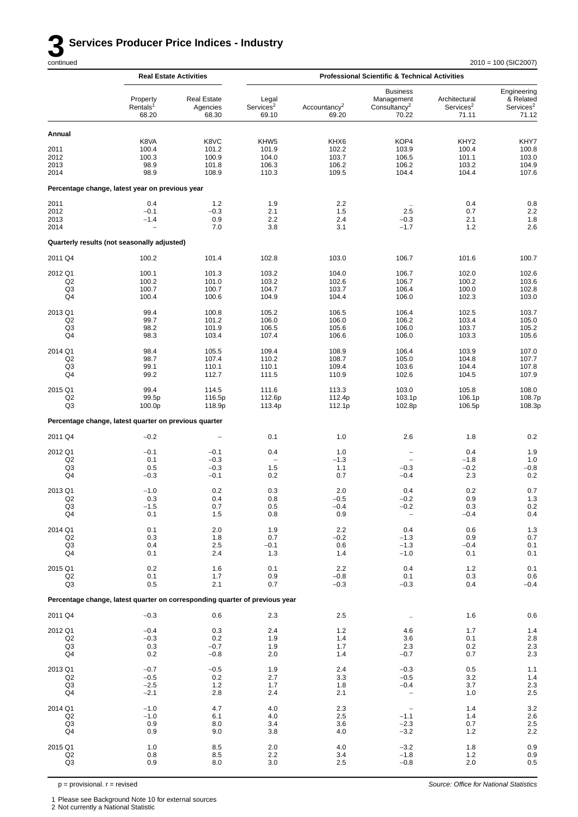*Source: Office for National Statistics*

|                                                   |                                                                             | <b>Real Estate Activities</b>            |                                                      |                                          | <b>Professional Scientific &amp; Technical Activities</b>          |                                                      |                                                            |
|---------------------------------------------------|-----------------------------------------------------------------------------|------------------------------------------|------------------------------------------------------|------------------------------------------|--------------------------------------------------------------------|------------------------------------------------------|------------------------------------------------------------|
|                                                   | Property<br>Rentals <sup>1</sup><br>68.20                                   | <b>Real Estate</b><br>Agencies<br>68.30  | Legal<br>Services <sup>2</sup><br>69.10              | Accountancy <sup>2</sup><br>69.20        | <b>Business</b><br>Management<br>Consultancy <sup>2</sup><br>70.22 | Architectural<br>Services <sup>2</sup><br>71.11      | Engineering<br>& Related<br>Services <sup>2</sup><br>71.12 |
| Annual                                            |                                                                             |                                          |                                                      |                                          |                                                                    |                                                      |                                                            |
| 2011<br>2012<br>2013<br>2014                      | K8VA<br>100.4<br>100.3<br>98.9<br>98.9                                      | K8VC<br>101.2<br>100.9<br>101.8<br>108.9 | KHW <sub>5</sub><br>101.9<br>104.0<br>106.3<br>110.3 | KHX6<br>102.2<br>103.7<br>106.2<br>109.5 | KOP4<br>103.9<br>106.5<br>106.2<br>104.4                           | KHY <sub>2</sub><br>100.4<br>101.1<br>103.2<br>104.4 | KHY7<br>100.8<br>103.0<br>104.9<br>107.6                   |
|                                                   | Percentage change, latest year on previous year                             |                                          |                                                      |                                          |                                                                    |                                                      |                                                            |
| 2011<br>2012<br>2013<br>2014                      | 0.4<br>$-0.1$<br>$-1.4$                                                     | 1.2<br>$-0.3$<br>0.9<br>7.0              | 1.9<br>2.1<br>2.2<br>3.8                             | 2.2<br>1.5<br>2.4<br>3.1                 | 2.5<br>$-0.3$<br>$-1.7$                                            | 0.4<br>0.7<br>2.1<br>1.2                             | 0.8<br>$2.2\,$<br>1.8<br>2.6                               |
|                                                   | Quarterly results (not seasonally adjusted)                                 |                                          |                                                      |                                          |                                                                    |                                                      |                                                            |
| 2011 Q4                                           | 100.2                                                                       | 101.4                                    | 102.8                                                | 103.0                                    | 106.7                                                              | 101.6                                                | 100.7                                                      |
| 2012 Q1<br>Q <sub>2</sub><br>Q3<br>Q4             | 100.1<br>100.2<br>100.7<br>100.4                                            | 101.3<br>101.0<br>100.7<br>100.6         | 103.2<br>103.2<br>104.7<br>104.9                     | 104.0<br>102.6<br>103.7<br>104.4         | 106.7<br>106.7<br>106.4<br>106.0                                   | 102.0<br>100.2<br>100.0<br>102.3                     | 102.6<br>103.6<br>102.8<br>103.0                           |
| 2013 Q1<br>Q2<br>Q3<br>Q4                         | 99.4<br>99.7<br>98.2<br>98.3                                                | 100.8<br>101.2<br>101.9<br>103.4         | 105.2<br>106.0<br>106.5<br>107.4                     | 106.5<br>106.0<br>105.6<br>106.6         | 106.4<br>106.2<br>106.0<br>106.0                                   | 102.5<br>103.4<br>103.7<br>103.3                     | 103.7<br>105.0<br>105.2<br>105.6                           |
| 2014 Q1<br>Q2<br>Q3<br>Q4                         | 98.4<br>98.7<br>99.1<br>99.2                                                | 105.5<br>107.4<br>110.1<br>112.7         | 109.4<br>110.2<br>110.1<br>111.5                     | 108.9<br>108.7<br>109.4<br>110.9         | 106.4<br>105.0<br>103.6<br>102.6                                   | 103.9<br>104.8<br>104.4<br>104.5                     | 107.0<br>107.7<br>107.8<br>107.9                           |
| 2015 Q1<br>Q <sub>2</sub><br>Q3                   | 99.4<br>99.5p<br>100.0p                                                     | 114.5<br>116.5p<br>118.9p                | 111.6<br>112.6p<br>113.4p                            | 113.3<br>112.4p<br>112.1p                | 103.0<br>103.1p<br>102.8p                                          | 105.8<br>106.1p<br>106.5p                            | 108.0<br>108.7p<br>108.3p                                  |
|                                                   | Percentage change, latest quarter on previous quarter                       |                                          |                                                      |                                          |                                                                    |                                                      |                                                            |
| 2011 Q4                                           | $-0.2$                                                                      |                                          | 0.1                                                  | 1.0                                      | 2.6                                                                | 1.8                                                  | 0.2                                                        |
| 2012 Q1<br>Q2<br>Q3<br>Q4                         | $-0.1$<br>0.1<br>0.5<br>$-0.3$                                              | $-0.1$<br>$-0.3$<br>$-0.3$<br>$-0.1$     | 0.4<br>1.5<br>0.2                                    | 1.0<br>$-1.3$<br>1.1<br>0.7              | $\overline{\phantom{a}}$<br>$\qquad \qquad -$<br>$-0.3$<br>$-0.4$  | 0.4<br>$-1.8$<br>$-0.2$<br>2.3                       | 1.9<br>1.0<br>$-0.8$<br>0.2                                |
| 2013 Q1<br>Q <sub>2</sub><br>Q3<br>Q <sub>4</sub> | $-1.0$<br>0.3<br>$-1.5$<br>0.1                                              | 0.2<br>0.4<br>0.7<br>1.5                 | 0.3<br>0.8<br>0.5<br>0.8                             | 2.0<br>$-0.5$<br>$-0.4$<br>0.9           | 0.4<br>$-0.2$<br>$-0.2$                                            | 0.2<br>0.9<br>0.3<br>$-0.4$                          | 0.7<br>1.3<br>$0.2\,$<br>0.4                               |
| 2014 Q1<br>Q <sub>2</sub><br>Q3<br>Q4             | 0.1<br>0.3<br>0.4<br>0.1                                                    | 2.0<br>1.8<br>2.5<br>2.4                 | 1.9<br>0.7<br>$-0.1$<br>1.3                          | $2.2\,$<br>$-0.2$<br>0.6<br>1.4          | 0.4<br>$-1.3$<br>$-1.3$<br>$-1.0$                                  | 0.6<br>0.9<br>$-0.4$<br>0.1                          | $1.3$<br>0.7<br>0.1<br>0.1                                 |
| 2015 Q1<br>Q2<br>Q <sub>3</sub>                   | 0.2<br>0.1<br>0.5                                                           | 1.6<br>1.7<br>2.1                        | 0.1<br>0.9<br>0.7                                    | 2.2<br>$-0.8$<br>$-0.3$                  | 0.4<br>0.1<br>$-0.3$                                               | 1.2<br>0.3<br>0.4                                    | 0.1<br>0.6<br>$-0.4$                                       |
|                                                   | Percentage change, latest quarter on corresponding quarter of previous year |                                          |                                                      |                                          |                                                                    |                                                      |                                                            |
| 2011 Q4                                           | $-0.3$                                                                      | 0.6                                      | 2.3                                                  | $2.5\,$                                  | $\ddot{\phantom{1}}$                                               | 1.6                                                  | 0.6                                                        |
| 2012 Q1<br>Q2<br>Q3<br>Q4                         | $-0.4$<br>$-0.3$<br>0.3<br>0.2                                              | 0.3<br>0.2<br>$-0.7$<br>$-0.8$           | 2.4<br>1.9<br>1.9<br>2.0                             | 1.2<br>1.4<br>1.7<br>1.4                 | 4.6<br>3.6<br>2.3<br>$-0.7$                                        | 1.7<br>0.1<br>0.2<br>0.7                             | $1.4\,$<br>$2.8\,$<br>$2.3\,$<br>2.3                       |
| 2013 Q1<br>Q2<br>Q3<br>Q4                         | $-0.7$<br>$-0.5$<br>$-2.5$<br>$-2.1$                                        | $-0.5$<br>0.2<br>1.2<br>2.8              | 1.9<br>2.7<br>1.7<br>2.4                             | 2.4<br>3.3<br>1.8<br>2.1                 | $-0.3$<br>$-0.5$<br>$-0.4$<br>$\qquad \qquad -$                    | 0.5<br>3.2<br>3.7<br>1.0                             | 1.1<br>1.4<br>$2.3\,$<br>2.5                               |
| 2014 Q1<br>Q <sub>2</sub><br>Q3<br>Q4             | $-1.0$<br>$-1.0$<br>0.9<br>0.9                                              | 4.7<br>6.1<br>8.0<br>9.0                 | 4.0<br>4.0<br>3.4<br>3.8                             | 2.3<br>2.5<br>3.6<br>4.0                 | $\overline{\phantom{a}}$<br>$-1.1$<br>$-2.3$<br>$-3.2$             | 1.4<br>1.4<br>0.7<br>1.2                             | $3.2\,$<br>$2.6\,$<br>$2.5$<br>$2.2$                       |
| 2015 Q1<br>Q2<br>Q <sub>3</sub>                   | 1.0<br>0.8<br>0.9                                                           | 8.5<br>8.5<br>8.0                        | 2.0<br>2.2<br>3.0                                    | 4.0<br>3.4<br>2.5                        | $-3.2$<br>$-1.8$<br>$-0.8$                                         | 1.8<br>1.2<br>2.0                                    | 0.9<br>0.9<br>$0.5\,$                                      |

 $p =$  provisional.  $r =$  revised

2 Not currently a National Statistic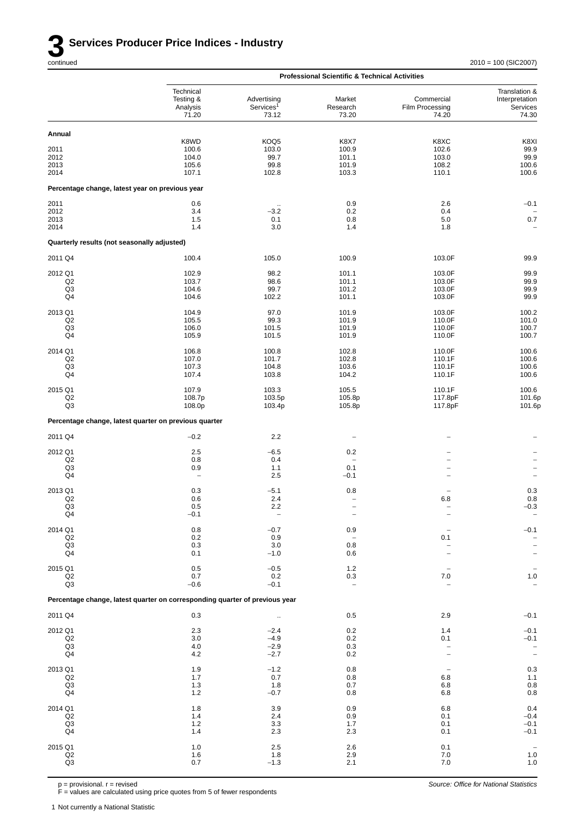|                                                       |                                                                             |                                                  | <b>Professional Scientific &amp; Technical Activities</b>                               |                                                                        |                                                         |
|-------------------------------------------------------|-----------------------------------------------------------------------------|--------------------------------------------------|-----------------------------------------------------------------------------------------|------------------------------------------------------------------------|---------------------------------------------------------|
|                                                       | Technical<br>Testing &<br>Analysis<br>71.20                                 | Advertising<br>Services <sup>1</sup><br>73.12    | Market<br>Research<br>73.20                                                             | Commercial<br>Film Processing<br>74.20                                 | Translation &<br>Interpretation<br>Services<br>74.30    |
| Annual                                                |                                                                             |                                                  |                                                                                         |                                                                        |                                                         |
| 2011<br>2012<br>2013<br>2014                          | K8WD<br>100.6<br>104.0<br>105.6<br>107.1                                    | KOQ5<br>103.0<br>99.7<br>99.8<br>102.8           | K8X7<br>100.9<br>101.1<br>101.9<br>103.3                                                | K8XC<br>102.6<br>103.0<br>108.2<br>110.1                               | K8XI<br>99.9<br>99.9<br>100.6<br>100.6                  |
| Percentage change, latest year on previous year       |                                                                             |                                                  |                                                                                         |                                                                        |                                                         |
| 2011<br>2012<br>2013<br>2014                          | 0.6<br>3.4<br>1.5<br>1.4                                                    | $\cdot$ .<br>$-3.2$<br>0.1<br>3.0                | 0.9<br>0.2<br>0.8<br>1.4                                                                | 2.6<br>0.4<br>5.0<br>1.8                                               | $-0.1$<br>$0.7\,$                                       |
| Quarterly results (not seasonally adjusted)           |                                                                             |                                                  |                                                                                         |                                                                        |                                                         |
| 2011 Q4                                               | 100.4                                                                       | 105.0                                            | 100.9                                                                                   | 103.0F                                                                 | 99.9                                                    |
| 2012 Q1<br>Q2<br>Q <sub>3</sub><br>Q4                 | 102.9<br>103.7<br>104.6<br>104.6                                            | 98.2<br>98.6<br>99.7<br>102.2                    | 101.1<br>101.1<br>101.2<br>101.1                                                        | 103.0F<br>103.0F<br>103.0F<br>103.0F                                   | 99.9<br>99.9<br>99.9<br>99.9                            |
| 2013 Q1<br>Q2<br>Q <sub>3</sub><br>Q4                 | 104.9<br>105.5<br>106.0<br>105.9                                            | 97.0<br>99.3<br>101.5<br>101.5                   | 101.9<br>101.9<br>101.9<br>101.9                                                        | 103.0F<br>110.0F<br>110.0F<br>110.0F                                   | 100.2<br>101.0<br>100.7<br>100.7                        |
| 2014 Q1<br>Q <sub>2</sub><br>Q3<br>Q4                 | 106.8<br>107.0<br>107.3<br>107.4                                            | 100.8<br>101.7<br>104.8<br>103.8                 | 102.8<br>102.8<br>103.6<br>104.2                                                        | 110.0F<br>110.1F<br>110.1F<br>110.1F                                   | 100.6<br>100.6<br>100.6<br>100.6                        |
| 2015 Q1<br>Q2<br>Q3                                   | 107.9<br>108.7p<br>108.0p                                                   | 103.3<br>103.5p<br>103.4p                        | 105.5<br>105.8p<br>105.8p                                                               | 110.1F<br>117.8pF<br>117.8pF                                           | 100.6<br>101.6p<br>101.6p                               |
| Percentage change, latest quarter on previous quarter |                                                                             |                                                  |                                                                                         |                                                                        |                                                         |
| 2011 Q4                                               | $-0.2$                                                                      | 2.2                                              |                                                                                         |                                                                        |                                                         |
| 2012 Q1<br>Q2<br>Q3<br>Q4                             | 2.5<br>0.8<br>0.9<br>$\hspace{1.0cm} - \hspace{1.0cm}$                      | $-6.5$<br>0.4<br>1.1<br>2.5                      | 0.2<br>$\overline{\phantom{0}}$<br>0.1<br>$-0.1$                                        | $\overline{a}$<br>$\overline{\phantom{0}}$<br>$\overline{\phantom{0}}$ | $\qquad \qquad -$<br>$\overline{\phantom{0}}$           |
| 2013 Q1<br>Q2<br>Q3<br>Q4                             | 0.3<br>0.6<br>0.5<br>$-0.1$                                                 | $-5.1$<br>2.4<br>2.2<br>$\overline{\phantom{0}}$ | 0.8<br>$\overline{\phantom{m}}$<br>$\overline{\phantom{0}}$<br>$\overline{\phantom{a}}$ | 6.8<br>L.                                                              | 0.3<br>0.8<br>$-0.3$                                    |
| 2014 Q1<br>Q2<br>Q <sub>3</sub><br>Q4                 | $0.8\,$<br>0.2<br>0.3<br>0.1                                                | $-0.7$<br>0.9<br>3.0<br>$-1.0$                   | 0.9<br>$\overline{\phantom{a}}$<br>0.8<br>0.6                                           | 0.1                                                                    | $-0.1$                                                  |
| 2015 Q1<br>Q2<br>Q <sub>3</sub>                       | 0.5<br>0.7<br>$-0.6$                                                        | $-0.5$<br>0.2<br>$-0.1$                          | 1.2<br>0.3<br>$\overline{\phantom{0}}$                                                  | 7.0                                                                    | $1.0$                                                   |
|                                                       | Percentage change, latest quarter on corresponding quarter of previous year |                                                  |                                                                                         |                                                                        |                                                         |
| 2011 Q4                                               | 0.3                                                                         | $\ddot{\phantom{1}}$                             | 0.5                                                                                     | 2.9                                                                    | $-0.1$                                                  |
| 2012 Q1<br>Q <sub>2</sub><br>Q <sub>3</sub><br>Q4     | 2.3<br>3.0<br>4.0<br>4.2                                                    | $-2.4$<br>$-4.9$<br>$-2.9$<br>$-2.7$             | 0.2<br>0.2<br>0.3<br>0.2                                                                | 1.4<br>0.1                                                             | $-0.1$<br>$-0.1$<br>$\overline{\phantom{a}}$            |
| 2013 Q1<br>Q2<br>Q <sub>3</sub><br>Q4                 | 1.9<br>1.7<br>1.3<br>1.2                                                    | $-1.2$<br>0.7<br>1.8<br>$-0.7$                   | 0.8<br>0.8<br>0.7<br>0.8                                                                | 6.8<br>6.8<br>6.8                                                      | 0.3<br>1.1<br>$\begin{array}{c} 0.8 \\ 0.8 \end{array}$ |
| 2014 Q1<br>Q <sub>2</sub><br>Q <sub>3</sub><br>Q4     | 1.8<br>1.4<br>$1.2$<br>1.4                                                  | 3.9<br>2.4<br>3.3<br>2.3                         | 0.9<br>0.9<br>1.7<br>2.3                                                                | 6.8<br>0.1<br>0.1<br>0.1                                               | 0.4<br>$-0.4$<br>$-0.1$<br>$-0.1$                       |
| 2015 Q1<br>$_{\mathsf{Q2}}$<br>Q3                     | 1.0<br>1.6<br>0.7                                                           | 2.5<br>1.8<br>$-1.3$                             | 2.6<br>2.9<br>2.1                                                                       | 0.1<br>7.0<br>7.0                                                      | $1.0$<br>$1.0$                                          |

p = provisional. r = revised

F = values are calculated using price quotes from 5 of fewer respondents

1 Not currently a National Statistic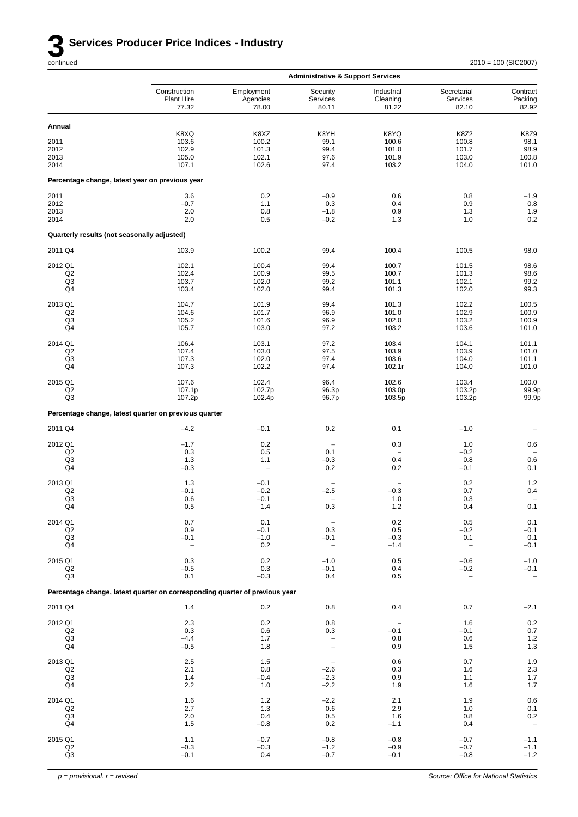

|                                             |                                                                             |                                 | <b>Administrative &amp; Support Services</b> |                                 |                                    |                              |
|---------------------------------------------|-----------------------------------------------------------------------------|---------------------------------|----------------------------------------------|---------------------------------|------------------------------------|------------------------------|
|                                             | Construction<br>Plant Hire<br>77.32                                         | Employment<br>Agencies<br>78.00 | Security<br>Services<br>80.11                | Industrial<br>Cleaning<br>81.22 | Secretarial<br>Services<br>82.10   | Contract<br>Packing<br>82.92 |
| Annual                                      |                                                                             |                                 |                                              |                                 |                                    |                              |
|                                             | K8XQ                                                                        | K8XZ                            | K8YH                                         | K8YQ                            | <b>K8Z2</b>                        | K8Z9                         |
| 2011                                        | 103.6                                                                       | 100.2                           | 99.1                                         | 100.6                           | 100.8                              | 98.1                         |
| 2012<br>2013                                | 102.9<br>105.0                                                              | 101.3<br>102.1                  | 99.4<br>97.6                                 | 101.0<br>101.9                  | 101.7<br>103.0                     | 98.9<br>100.8                |
| 2014                                        | 107.1                                                                       | 102.6                           | 97.4                                         | 103.2                           | 104.0                              | 101.0                        |
|                                             | Percentage change, latest year on previous year                             |                                 |                                              |                                 |                                    |                              |
| 2011                                        | 3.6                                                                         | 0.2                             | $-0.9$                                       | 0.6                             | 0.8                                | $-1.9$                       |
| 2012<br>2013                                | $-0.7$<br>2.0                                                               | 1.1<br>0.8                      | 0.3<br>$-1.8$                                | 0.4<br>0.9                      | 0.9<br>1.3                         | $0.8\,$<br>1.9               |
| 2014                                        | 2.0                                                                         | 0.5                             | $-0.2$                                       | 1.3                             | 1.0                                | 0.2                          |
| Quarterly results (not seasonally adjusted) |                                                                             |                                 |                                              |                                 |                                    |                              |
| 2011 Q4                                     | 103.9                                                                       | 100.2                           | 99.4                                         | 100.4                           | 100.5                              | 98.0                         |
| 2012 Q1                                     | 102.1                                                                       | 100.4                           | 99.4                                         | 100.7                           | 101.5                              | 98.6                         |
| Q2                                          | 102.4                                                                       | 100.9                           | 99.5                                         | 100.7                           | 101.3                              | 98.6                         |
| Q <sub>3</sub><br>Q4                        | 103.7<br>103.4                                                              | 102.0<br>102.0                  | 99.2<br>99.4                                 | 101.1<br>101.3                  | 102.1<br>102.0                     | 99.2<br>99.3                 |
| 2013 Q1                                     | 104.7                                                                       | 101.9                           | 99.4                                         | 101.3                           | 102.2                              | 100.5                        |
| Q <sub>2</sub>                              | 104.6                                                                       | 101.7                           | 96.9                                         | 101.0                           | 102.9                              | 100.9                        |
| Q3                                          | 105.2                                                                       | 101.6                           | 96.9                                         | 102.0                           | 103.2                              | 100.9                        |
| Q4                                          | 105.7                                                                       | 103.0                           | 97.2                                         | 103.2                           | 103.6                              | 101.0                        |
| 2014 Q1                                     | 106.4                                                                       | 103.1                           | 97.2                                         | 103.4                           | 104.1                              | 101.1                        |
| Q <sub>2</sub>                              | 107.4                                                                       | 103.0                           | 97.5                                         | 103.9                           | 103.9                              | 101.0                        |
| Q3<br>Q4                                    | 107.3<br>107.3                                                              | 102.0<br>102.2                  | 97.4<br>97.4                                 | 103.6<br>102.1r                 | 104.0<br>104.0                     | 101.1<br>101.0               |
| 2015 Q1                                     | 107.6                                                                       | 102.4                           | 96.4                                         | 102.6                           | 103.4                              | 100.0                        |
| Q2                                          | 107.1p                                                                      | 102.7p                          | 96.3p                                        | 103.0p                          | 103.2p                             | 99.9p                        |
| Q3                                          | 107.2p                                                                      | 102.4p                          | 96.7p                                        | 103.5p                          | 103.2p                             | 99.9p                        |
|                                             | Percentage change, latest quarter on previous quarter                       |                                 |                                              |                                 |                                    |                              |
| 2011 Q4                                     | $-4.2$                                                                      | $-0.1$                          | 0.2                                          | 0.1                             | $-1.0$                             |                              |
| 2012 Q1                                     | $-1.7$                                                                      | 0.2                             | $\overline{\phantom{0}}$                     | 0.3                             | 1.0                                | 0.6                          |
| Q <sub>2</sub><br>Q3                        | 0.3                                                                         | 0.5<br>1.1                      | 0.1                                          | $\qquad \qquad -$<br>0.4        | $-0.2$                             | 0.6                          |
| Q4                                          | 1.3<br>$-0.3$                                                               | $\qquad \qquad -$               | $-0.3$<br>0.2                                | 0.2                             | 0.8<br>$-0.1$                      | 0.1                          |
| 2013 Q1                                     | 1.3                                                                         | $-0.1$                          | $\overline{\phantom{0}}$                     | $\overline{\phantom{0}}$        | 0.2                                | 1.2                          |
| Q <sub>2</sub>                              | $-0.1$                                                                      | $-0.2$                          | $-2.5$                                       | $-0.3$                          | 0.7                                | 0.4                          |
| Q3                                          | 0.6                                                                         | $-0.1$                          | $\overline{a}$                               | 1.0                             | 0.3                                | $\qquad \qquad -$            |
| Q4                                          | 0.5                                                                         | 1.4                             | 0.3                                          | 1.2                             | 0.4                                | 0.1                          |
| 2014 Q1                                     | 0.7                                                                         | 0.1                             |                                              | 0.2                             | 0.5                                | 0.1                          |
| Q2<br>Q <sub>3</sub>                        | 0.9<br>$-0.1$                                                               | $-0.1$<br>$-1.0$                | 0.3<br>$-0.1$                                | 0.5<br>$-0.3$                   | $-0.2$<br>0.1                      | $-0.1$<br>0.1                |
| Q4                                          | $\qquad \qquad -$                                                           | 0.2                             | $\overline{\phantom{a}}$                     | $-1.4$                          | $\overline{\phantom{a}}$           | $-0.1$                       |
| 2015 Q1                                     | 0.3                                                                         | 0.2                             | $-1.0$                                       | 0.5                             | $-0.6$                             | $-1.0$                       |
| Q2<br>Q3                                    | $-0.5$<br>0.1                                                               | 0.3<br>$-0.3$                   | $-0.1$<br>0.4                                | 0.4<br>0.5                      | $-0.2$<br>$\overline{\phantom{0}}$ | $-0.1$                       |
|                                             | Percentage change, latest quarter on corresponding quarter of previous year |                                 |                                              |                                 |                                    |                              |
| 2011 Q4                                     |                                                                             |                                 |                                              |                                 |                                    |                              |
|                                             | 1.4                                                                         | 0.2                             | 0.8                                          | 0.4                             | 0.7                                | $-2.1$                       |
| 2012 Q1<br>Q2                               | 2.3<br>0.3                                                                  | 0.2<br>0.6                      | 0.8<br>0.3                                   | $-0.1$                          | 1.6<br>$-0.1$                      | 0.2                          |
| Q3                                          | $-4.4$                                                                      | 1.7                             | $\overline{\phantom{m}}$                     | 0.8                             | 0.6                                | 0.7<br>$1.2$                 |
| Q4                                          | $-0.5$                                                                      | 1.8                             | $\overline{\phantom{a}}$                     | 0.9                             | 1.5                                | $1.3$                        |
| 2013 Q1                                     | 2.5                                                                         | 1.5                             | $\overline{\phantom{a}}$                     | 0.6                             | 0.7                                | 1.9                          |
| Q2                                          | 2.1                                                                         | 0.8                             | $-2.6$                                       | 0.3                             | 1.6                                | $2.3\,$                      |
| Q <sub>3</sub><br>Q4                        | 1.4<br>2.2                                                                  | $-0.4$<br>1.0                   | $-2.3$<br>$-2.2$                             | 0.9<br>1.9                      | 1.1<br>1.6                         | 1.7<br>$1.7$                 |
| 2014 Q1                                     | 1.6                                                                         | 1.2                             | $-2.2$                                       | 2.1                             | 1.9                                | 0.6                          |
| Q2                                          | 2.7                                                                         | 1.3                             | 0.6                                          | 2.9                             | $1.0$                              | 0.1                          |
| Q <sub>3</sub>                              | 2.0                                                                         | 0.4                             | 0.5                                          | 1.6                             | 0.8                                | $0.2\,$                      |
| Q4                                          | 1.5                                                                         | $-0.8$                          | 0.2                                          | $-1.1$                          | 0.4                                | $\qquad \qquad -$            |
| 2015 Q1                                     | $1.1$                                                                       | $-0.7$                          | $-0.8$                                       | $-0.8$                          | $-0.7$                             | $-1.1$                       |
| Q2<br>Q3                                    | $-0.3$<br>$-0.1$                                                            | $-0.3$<br>0.4                   | $-1.2$<br>$-0.7$                             | $-0.9$<br>$-0.1$                | $-0.7$<br>$-0.8$                   | $-1.1$<br>$-1.2$             |
|                                             |                                                                             |                                 |                                              |                                 |                                    |                              |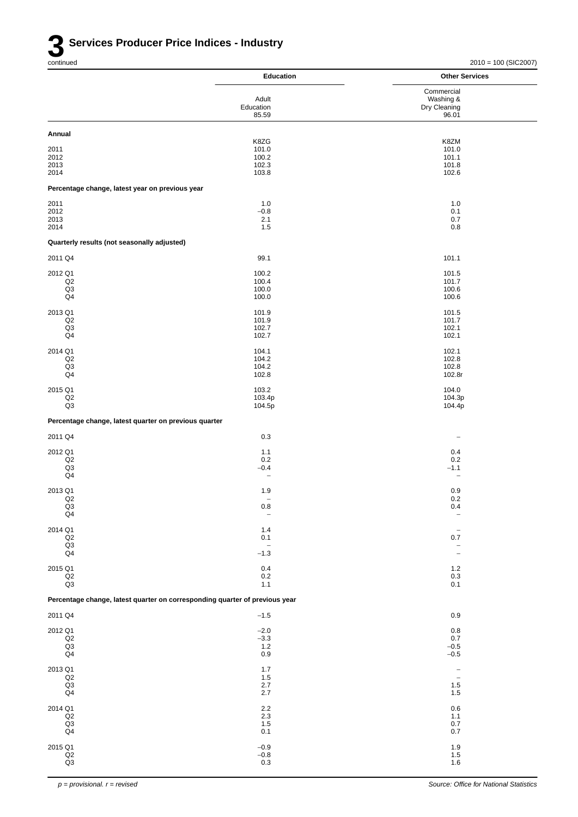|                                                                             | <b>Education</b>             | <b>Other Services</b>               |
|-----------------------------------------------------------------------------|------------------------------|-------------------------------------|
|                                                                             | Adult                        | Commercial<br>Washing &             |
|                                                                             | Education                    | Dry Cleaning                        |
|                                                                             | 85.59                        | 96.01                               |
| Annual                                                                      | K8ZG                         | K8ZM                                |
| 2011                                                                        | 101.0                        | 101.0                               |
| 2012<br>2013                                                                | 100.2<br>102.3               | 101.1<br>101.8                      |
| 2014                                                                        | 103.8                        | 102.6                               |
| Percentage change, latest year on previous year                             |                              |                                     |
| 2011<br>2012                                                                | 1.0<br>$-0.8$                | 1.0<br>0.1                          |
| 2013                                                                        | 2.1                          | 0.7                                 |
| 2014                                                                        | 1.5                          | 0.8                                 |
| Quarterly results (not seasonally adjusted)                                 |                              |                                     |
| 2011 Q4                                                                     | 99.1                         | 101.1                               |
| 2012 Q1<br>Q2                                                               | 100.2<br>100.4               | 101.5<br>101.7                      |
| Q <sub>3</sub>                                                              | 100.0                        | 100.6                               |
| Q4                                                                          | 100.0                        | 100.6                               |
| 2013 Q1<br>Q2                                                               | 101.9<br>101.9               | 101.5<br>101.7                      |
| Q <sub>3</sub>                                                              | 102.7                        | 102.1                               |
| Q4                                                                          | 102.7                        | 102.1                               |
| 2014 Q1<br>Q2                                                               | 104.1<br>104.2               | 102.1<br>102.8                      |
| Q <sub>3</sub>                                                              | 104.2                        | 102.8                               |
| Q <sub>4</sub>                                                              | 102.8                        | 102.8r                              |
| 2015 Q1<br>$_{\mathsf{Q2}}$                                                 | 103.2<br>103.4p              | 104.0<br>104.3p                     |
| Q3                                                                          | 104.5p                       | 104.4p                              |
| Percentage change, latest quarter on previous quarter                       |                              |                                     |
| 2011 Q4                                                                     | 0.3                          | $\overline{\phantom{a}}$            |
| 2012 Q1                                                                     | 1.1                          | 0.4                                 |
| Q2<br>Q <sub>3</sub>                                                        | 0.2<br>$-0.4$                | 0.2<br>$-1.1$                       |
| Q4                                                                          | $\overline{\phantom{a}}$     | $\qquad \qquad -$                   |
| 2013 Q1                                                                     | 1.9                          | 0.9                                 |
| Q2<br>Q3                                                                    | $\qquad \qquad -$<br>$0.8\,$ | 0.2<br>0.4                          |
| Q <sub>4</sub>                                                              | $\overline{\phantom{a}}$     | $\overline{\phantom{a}}$            |
| 2014 Q1<br>$_{\mathsf{Q2}}$                                                 | 1.4<br>0.1                   | $\overline{\phantom{0}}$<br>$0.7\,$ |
| $_{\mathsf{Q4}}^{\mathsf{Q3}}$                                              | $\overline{\phantom{a}}$     | $\qquad \qquad -$                   |
|                                                                             | $-1.3$                       | $\overline{\phantom{a}}$            |
| 2015 Q1<br>$_{\mathsf{Q2}}$                                                 | 0.4<br>0.2                   | 1.2<br>0.3                          |
| $\mathsf{Q3}$                                                               | $1.1$                        | 0.1                                 |
| Percentage change, latest quarter on corresponding quarter of previous year |                              |                                     |
| 2011 Q4                                                                     | $-1.5$                       | 0.9                                 |
| 2012 Q1                                                                     | $-2.0$                       | $0.8\,$                             |
| Q2<br>Q3                                                                    | $-3.3$<br>1.2                | 0.7<br>$-0.5$                       |
| Q4                                                                          | 0.9                          | $-0.5$                              |
| 2013 Q1                                                                     | 1.7                          | $\overline{\phantom{a}}$            |
| $_{\mathsf{Q2}}$<br>$_{\mathsf{Q3}}$                                        | 1.5<br>2.7                   | $\overline{\phantom{a}}$<br>1.5     |
| Q4                                                                          | $2.7\,$                      | 1.5                                 |
| 2014 Q1                                                                     | $2.2\,$                      | 0.6                                 |
| Q2<br>Q3                                                                    | $2.3\,$<br>1.5               | 1.1<br>$0.7\,$                      |
| Q4                                                                          | 0.1                          | 0.7                                 |
| 2015 Q1                                                                     | $-0.9$<br>$-0.8$             | 1.9<br>1.5                          |
| $_{\mathsf{Q3}}^{\mathsf{Q2}}$                                              | 0.3                          | 1.6                                 |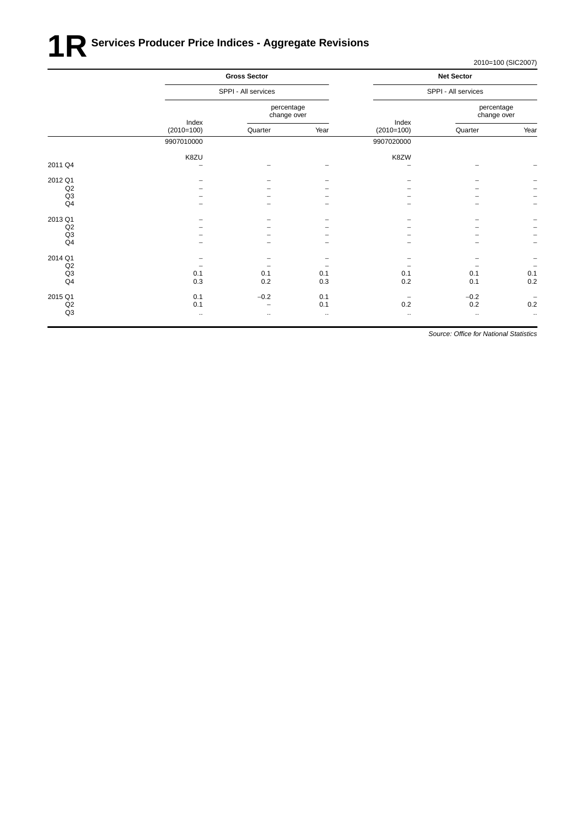# **1R** Services Producer Price Indices - Aggregate Revisions

2010=100 (SIC2007)

|                |                       | <b>Gross Sector</b>       |          |                          | <b>Net Sector</b>         |                          |
|----------------|-----------------------|---------------------------|----------|--------------------------|---------------------------|--------------------------|
|                |                       | SPPI - All services       |          |                          | SPPI - All services       |                          |
|                |                       | percentage<br>change over |          |                          | percentage<br>change over |                          |
|                | Index<br>$(2010=100)$ | Quarter                   | Year     | Index<br>$(2010=100)$    | Quarter                   | Year                     |
|                | 9907010000            |                           |          | 9907020000               |                           |                          |
|                | K8ZU                  |                           |          | K8ZW                     |                           |                          |
| 2011 Q4        | -                     |                           |          |                          |                           |                          |
| 2012 Q1        |                       |                           |          |                          |                           |                          |
| Q2             |                       |                           |          |                          |                           |                          |
| Q3             |                       |                           |          |                          |                           | -                        |
| Q4             |                       |                           |          |                          |                           | $\qquad \qquad -$        |
| 2013 Q1        |                       |                           |          |                          |                           | -                        |
| Q2             |                       |                           |          |                          |                           | -                        |
| Q <sub>3</sub> |                       |                           |          |                          |                           | $\overline{\phantom{0}}$ |
| Q4             |                       |                           |          |                          |                           | $\overline{\phantom{0}}$ |
| 2014 Q1        |                       |                           |          |                          |                           | -                        |
| Q2             |                       |                           |          |                          |                           | $\qquad \qquad -$        |
| Q3             | 0.1                   | 0.1                       | 0.1      | 0.1                      | 0.1                       | 0.1                      |
| Q4             | 0.3                   | 0.2                       | 0.3      | 0.2                      | 0.1                       | 0.2                      |
| 2015 Q1        | 0.1                   | $-0.2$                    | 0.1      | $\overline{\phantom{0}}$ | $-0.2$                    | $\overline{\phantom{0}}$ |
| Q2             | 0.1                   |                           | 0.1      | 0.2                      | $0.2\,$                   | 0.2                      |
| Q <sub>3</sub> | $\ddotsc$             | $\ldots$                  | $\ldots$ | $\ldots$                 | $\ddotsc$                 | $\ldots$                 |
|                |                       |                           |          |                          |                           |                          |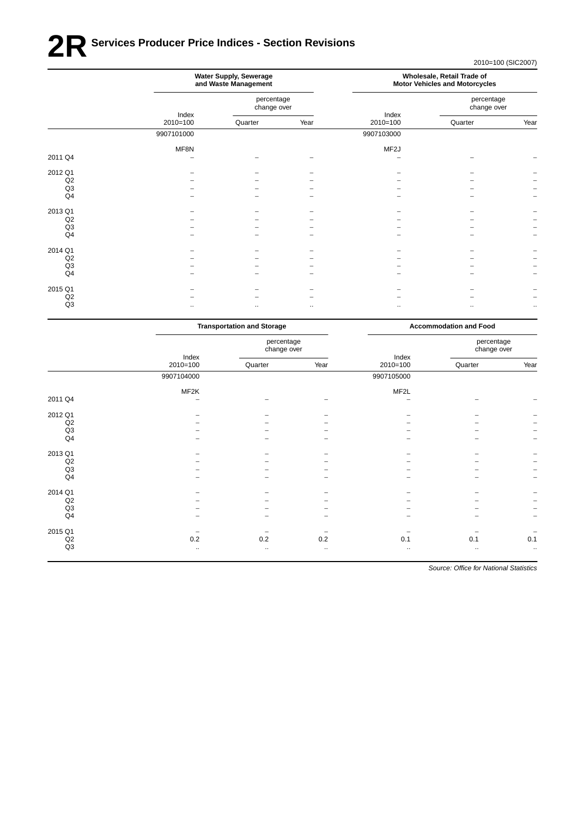# **2R** Services Producer Price Indices - Section Revisions

2010=100 (SIC2007)

|         | Water Supply, Sewerage<br>and Waste Management |                           |          |                     | Wholesale, Retail Trade of<br><b>Motor Vehicles and Motorcycles</b> |              |
|---------|------------------------------------------------|---------------------------|----------|---------------------|---------------------------------------------------------------------|--------------|
|         |                                                | percentage<br>change over |          |                     | percentage<br>change over                                           |              |
|         | Index<br>$2010=100$                            | Quarter                   | Year     | Index<br>$2010=100$ | Quarter                                                             | Year         |
|         | 9907101000                                     |                           |          | 9907103000          |                                                                     |              |
|         | MF8N                                           |                           |          | MF <sub>2</sub> J   |                                                                     |              |
| 2011 Q4 |                                                |                           |          |                     |                                                                     |              |
| 2012 Q1 |                                                |                           |          |                     |                                                                     |              |
| Q2      |                                                |                           |          |                     |                                                                     |              |
| Q3      |                                                |                           |          |                     |                                                                     |              |
| Q4      |                                                |                           |          |                     |                                                                     |              |
| 2013 Q1 |                                                |                           |          |                     |                                                                     |              |
| Q2      |                                                |                           |          |                     |                                                                     |              |
| Q3      |                                                |                           |          |                     |                                                                     |              |
| Q4      |                                                |                           |          |                     |                                                                     |              |
| 2014 Q1 |                                                |                           |          |                     |                                                                     |              |
| Q2      |                                                |                           |          |                     |                                                                     |              |
| Q3      |                                                |                           |          |                     |                                                                     |              |
| Q4      |                                                |                           |          |                     |                                                                     |              |
| 2015 Q1 |                                                |                           |          |                     |                                                                     |              |
| Q2      |                                                |                           |          |                     |                                                                     |              |
| Q3      |                                                |                           |          |                     |                                                                     |              |
|         | $\cdot$ .                                      | $\cdots$                  | $\ldots$ | $\ldots$            | $\ddotsc$                                                           | $\cdot\cdot$ |

|                |            | <b>Transportation and Storage</b> |           |            | <b>Accommodation and Food</b> |                           |  |
|----------------|------------|-----------------------------------|-----------|------------|-------------------------------|---------------------------|--|
|                | Index      | percentage<br>change over         |           | Index      |                               | percentage<br>change over |  |
|                | $2010=100$ | Quarter                           | Year      | 2010=100   | Quarter                       | Year                      |  |
|                | 9907104000 |                                   |           | 9907105000 |                               |                           |  |
|                | MF2K       |                                   |           | MF2L       |                               |                           |  |
| 2011 Q4        | -          |                                   |           | ۰          |                               |                           |  |
| 2012 Q1        | -          |                                   |           | -          | -                             |                           |  |
| Q2             |            |                                   |           |            |                               |                           |  |
| Q <sub>3</sub> |            |                                   |           |            |                               | -                         |  |
| Q4             |            |                                   |           |            |                               | $\overline{\phantom{0}}$  |  |
| 2013 Q1        |            |                                   |           |            |                               | -                         |  |
| Q2             |            |                                   |           |            |                               | $\qquad \qquad -$         |  |
| Q3             |            |                                   |           |            |                               | $\overline{a}$            |  |
| Q4             | -          | -                                 | -         |            | $\overline{\phantom{m}}$      | $\qquad \qquad -$         |  |
| 2014 Q1        |            |                                   |           |            |                               |                           |  |
| Q2             |            |                                   |           |            |                               | $\qquad \qquad -$         |  |
| Q <sub>3</sub> |            |                                   |           |            |                               | $\overline{\phantom{0}}$  |  |
| Q4             |            |                                   |           |            |                               | $\qquad \qquad -$         |  |
| 2015 Q1        |            |                                   |           |            |                               | $\overline{\phantom{0}}$  |  |
| Q2             | 0.2        | 0.2                               | 0.2       | 0.1        | 0.1                           | 0.1                       |  |
| $\mathsf{Q3}$  | $\cdot$ .  | $\cdot$ .                         | $\cdot$ . | $\cdot$ .  | $\cdot$ .                     | $\cdot$ .                 |  |
|                |            |                                   |           |            |                               |                           |  |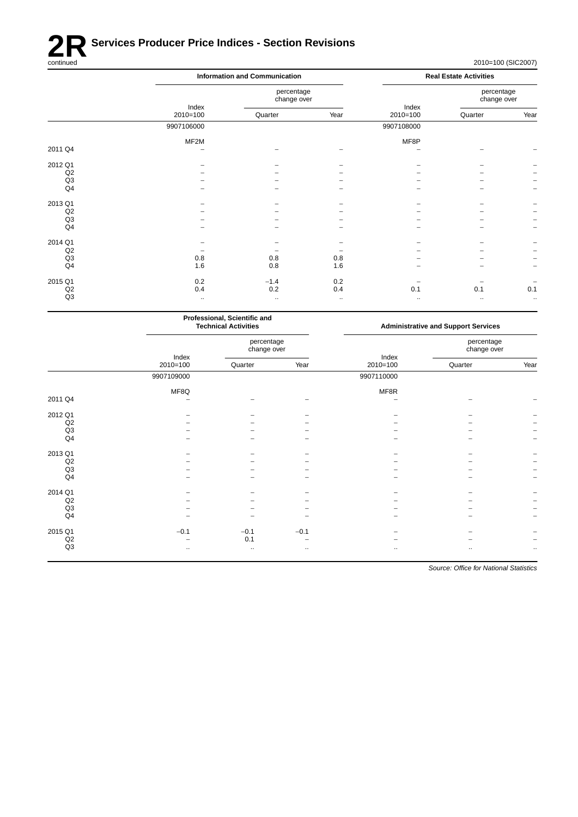

2010=100 (SIC2007)

|                |                     | <b>Information and Communication</b> |           | <b>Real Estate Activities</b> |                           |                      |  |
|----------------|---------------------|--------------------------------------|-----------|-------------------------------|---------------------------|----------------------|--|
|                |                     | percentage<br>change over            |           |                               | percentage<br>change over |                      |  |
|                | Index<br>$2010=100$ | Quarter                              | Year      | Index<br>$2010=100$           | Quarter                   | Year                 |  |
|                | 9907106000          |                                      |           | 9907108000                    |                           |                      |  |
|                | MF <sub>2</sub> M   |                                      |           | MF8P                          |                           |                      |  |
| 2011 Q4        |                     |                                      |           |                               |                           |                      |  |
| 2012 Q1        |                     |                                      |           |                               |                           |                      |  |
| Q2             |                     |                                      |           |                               |                           |                      |  |
| Q3             |                     |                                      |           |                               |                           |                      |  |
| Q <sub>4</sub> |                     |                                      |           |                               |                           |                      |  |
| 2013 Q1        |                     |                                      |           |                               |                           |                      |  |
| Q2             |                     |                                      |           |                               |                           |                      |  |
| Q3             |                     |                                      |           |                               |                           |                      |  |
| Q <sub>4</sub> |                     |                                      |           |                               |                           |                      |  |
| 2014 Q1        |                     |                                      |           |                               |                           |                      |  |
| Q2             |                     |                                      |           |                               |                           |                      |  |
| Q3             | 0.8                 | 0.8                                  | 0.8       |                               |                           |                      |  |
| Q <sub>4</sub> | 1.6                 | 0.8                                  | 1.6       |                               |                           | $\qquad \qquad -$    |  |
| 2015 Q1        | 0.2                 | $-1.4$                               | 0.2       |                               |                           |                      |  |
| Q2             | 0.4                 | 0.2                                  | 0.4       | 0.1                           | 0.1                       | 0.1                  |  |
| Q3             | $\ldots$            | $\ddotsc$                            | $\ddotsc$ | $\ldots$                      | $\bullet$ .               | $\ddot{\phantom{1}}$ |  |

|                | Professional, Scientific and<br><b>Technical Activities</b> |                           |          |            | <b>Administrative and Support Services</b> |           |  |
|----------------|-------------------------------------------------------------|---------------------------|----------|------------|--------------------------------------------|-----------|--|
|                | Index                                                       | percentage<br>change over |          | Index      | percentage<br>change over                  |           |  |
|                | $2010=100$                                                  | Quarter                   | Year     | $2010=100$ | Quarter                                    | Year      |  |
|                | 9907109000                                                  |                           |          | 9907110000 |                                            |           |  |
|                | MF8Q                                                        |                           |          | MF8R       |                                            |           |  |
| 2011 Q4        |                                                             |                           |          |            |                                            |           |  |
| 2012 Q1        |                                                             |                           |          |            |                                            |           |  |
| Q2             |                                                             |                           |          |            |                                            |           |  |
| Q3             |                                                             |                           |          |            |                                            |           |  |
| Q <sub>4</sub> |                                                             |                           |          |            |                                            |           |  |
| 2013 Q1        |                                                             |                           |          |            |                                            |           |  |
| Q2             |                                                             |                           |          |            |                                            |           |  |
| Q3             |                                                             |                           |          |            |                                            |           |  |
| Q <sub>4</sub> |                                                             |                           |          |            |                                            |           |  |
| 2014 Q1        |                                                             |                           |          |            |                                            |           |  |
| Q2             |                                                             |                           |          |            |                                            |           |  |
| Q3             |                                                             |                           |          |            |                                            |           |  |
| Q4             |                                                             |                           |          |            |                                            | -         |  |
| 2015 Q1        | $-0.1$                                                      | $-0.1$                    | $-0.1$   |            |                                            |           |  |
| Q2             |                                                             | 0.1                       |          |            |                                            |           |  |
| Q3             | $\cdot$ .                                                   | $\cdot$ .                 | $\cdots$ | $\ddotsc$  | $\ldots$                                   | $\cdot$ . |  |
|                |                                                             |                           |          |            |                                            |           |  |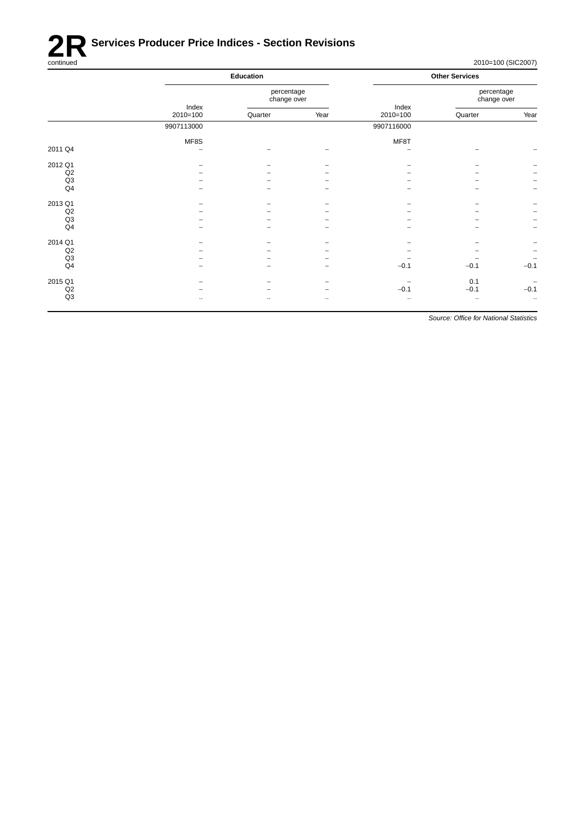

# **2R** Services Producer Price Indices - Section Revisions<br>
continued

2010=100 (SIC2007)

|                | Education           |               |                           | <b>Other Services</b> |                           |                          |
|----------------|---------------------|---------------|---------------------------|-----------------------|---------------------------|--------------------------|
|                |                     |               | percentage<br>change over |                       | percentage<br>change over |                          |
|                | Index<br>$2010=100$ | Quarter       | Year                      | Index<br>$2010=100$   | Quarter                   | Year                     |
|                | 9907113000          |               |                           | 9907116000            |                           |                          |
|                | MF8S                |               |                           | MF8T                  |                           |                          |
| 2011 Q4        | -                   |               |                           |                       |                           |                          |
| 2012 Q1        |                     |               |                           |                       |                           |                          |
| Q2             |                     |               |                           |                       |                           |                          |
| Q3             |                     |               |                           |                       |                           | $\overline{\phantom{a}}$ |
| Q <sub>4</sub> |                     |               |                           |                       |                           | $\overline{\phantom{m}}$ |
| 2013 Q1        |                     |               |                           |                       |                           |                          |
| Q2             |                     |               |                           |                       |                           | $\overline{\phantom{m}}$ |
| Q3             |                     |               |                           |                       |                           | $\overline{\phantom{m}}$ |
| Q <sub>4</sub> |                     |               |                           |                       |                           | $\overline{\phantom{a}}$ |
| 2014 Q1        |                     |               |                           |                       |                           |                          |
| Q2             |                     |               |                           |                       |                           | $\overline{\phantom{a}}$ |
| Q3             |                     |               |                           |                       |                           | $\overline{\phantom{a}}$ |
| Q <sub>4</sub> |                     |               |                           | $-0.1$                | $-0.1$                    | $-0.1$                   |
| 2015 Q1        |                     |               |                           |                       | 0.1                       | $\overline{\phantom{a}}$ |
| Q2             |                     |               | $\overline{\phantom{0}}$  | $-0.1$                | $-0.1$                    | $-0.1$                   |
| Q3             | $\ddotsc$           | $\sim$ $\sim$ | $\ldots$                  | $\ddotsc$             | $\ldots$                  | $\ddot{\phantom{1}}$     |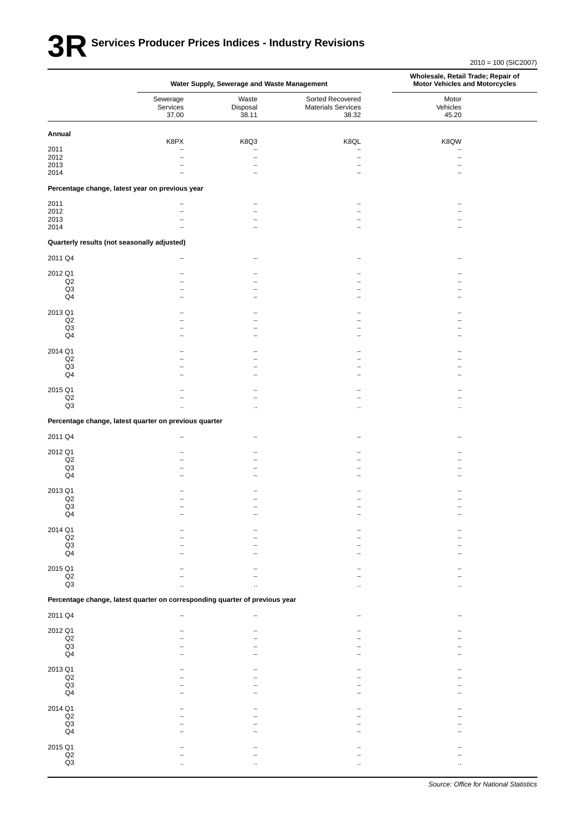# **3R** Services Producer Prices Indices - Industry Revisions

|                             |                                                                             | Water Supply, Sewerage and Waste Management          |                                                        | Wholesale, Retail Trade; Repair of<br><b>Motor Vehicles and Motorcycles</b> |  |
|-----------------------------|-----------------------------------------------------------------------------|------------------------------------------------------|--------------------------------------------------------|-----------------------------------------------------------------------------|--|
|                             | Sewerage<br>Services<br>37.00                                               | Waste<br>Disposal<br>38.11                           | Sorted Recovered<br><b>Materials Services</b><br>38.32 | Motor<br>Vehicles<br>45.20                                                  |  |
| Annual                      | K8PX                                                                        | K8Q3                                                 | K8QL                                                   | K8QW                                                                        |  |
| 2011                        | $\overline{\phantom{0}}$                                                    |                                                      |                                                        |                                                                             |  |
| 2012<br>2013                |                                                                             | $\overline{\phantom{0}}$<br>$\overline{\phantom{0}}$ | $\overline{\phantom{0}}$                               |                                                                             |  |
| 2014                        | Percentage change, latest year on previous year                             |                                                      |                                                        |                                                                             |  |
|                             |                                                                             |                                                      |                                                        |                                                                             |  |
| 2011<br>2012                | $\overline{\phantom{0}}$                                                    |                                                      |                                                        |                                                                             |  |
| 2013<br>2014                |                                                                             |                                                      |                                                        |                                                                             |  |
|                             | Quarterly results (not seasonally adjusted)                                 |                                                      |                                                        |                                                                             |  |
| 2011 Q4                     |                                                                             |                                                      |                                                        |                                                                             |  |
| 2012 Q1                     |                                                                             |                                                      |                                                        |                                                                             |  |
| Q2                          |                                                                             |                                                      |                                                        |                                                                             |  |
| Q3                          |                                                                             |                                                      |                                                        |                                                                             |  |
| Q4                          |                                                                             |                                                      |                                                        |                                                                             |  |
| 2013 Q1                     |                                                                             |                                                      |                                                        |                                                                             |  |
| Q2                          |                                                                             |                                                      |                                                        |                                                                             |  |
| Q3<br>$\mathsf{Q}4$         |                                                                             |                                                      |                                                        |                                                                             |  |
| 2014 Q1                     |                                                                             |                                                      |                                                        |                                                                             |  |
| Q2                          |                                                                             |                                                      |                                                        |                                                                             |  |
| Q3<br>Q4                    |                                                                             |                                                      |                                                        |                                                                             |  |
|                             |                                                                             |                                                      |                                                        |                                                                             |  |
| 2015 Q1                     |                                                                             |                                                      |                                                        |                                                                             |  |
| $_{\mathsf{Q2}}$<br>Q3      |                                                                             |                                                      |                                                        |                                                                             |  |
|                             | Percentage change, latest quarter on previous quarter                       |                                                      |                                                        |                                                                             |  |
| 2011 Q4                     |                                                                             |                                                      |                                                        |                                                                             |  |
|                             |                                                                             |                                                      |                                                        |                                                                             |  |
| 2012 Q1<br>Q2               |                                                                             |                                                      |                                                        |                                                                             |  |
| Q3                          |                                                                             |                                                      |                                                        |                                                                             |  |
| $\mathsf{Q}4$               |                                                                             |                                                      |                                                        |                                                                             |  |
| 2013 Q1                     |                                                                             |                                                      |                                                        |                                                                             |  |
| Q <sub>2</sub>              |                                                                             |                                                      |                                                        |                                                                             |  |
| Q3<br>Q4                    |                                                                             |                                                      |                                                        |                                                                             |  |
|                             |                                                                             |                                                      |                                                        |                                                                             |  |
| 2014 Q1<br>$_{\mathsf{Q2}}$ |                                                                             |                                                      |                                                        |                                                                             |  |
| Q3                          |                                                                             |                                                      |                                                        |                                                                             |  |
| Q <sub>4</sub>              |                                                                             |                                                      |                                                        |                                                                             |  |
| 2015 Q1                     |                                                                             |                                                      |                                                        |                                                                             |  |
| Q2                          |                                                                             |                                                      |                                                        |                                                                             |  |
| Q <sub>3</sub>              |                                                                             |                                                      |                                                        |                                                                             |  |
|                             | Percentage change, latest quarter on corresponding quarter of previous year |                                                      |                                                        |                                                                             |  |
| 2011 Q4                     |                                                                             |                                                      |                                                        |                                                                             |  |
| 2012 Q1                     |                                                                             |                                                      |                                                        |                                                                             |  |
| $_{\mathsf{Q2}}$<br>Q3      |                                                                             |                                                      |                                                        |                                                                             |  |
| Q4                          |                                                                             |                                                      |                                                        |                                                                             |  |
| 2013 Q1                     |                                                                             |                                                      |                                                        |                                                                             |  |
| $_{\mathsf{Q2}}$            |                                                                             |                                                      |                                                        |                                                                             |  |
| Q3<br>Q4                    |                                                                             |                                                      |                                                        |                                                                             |  |
|                             |                                                                             |                                                      |                                                        |                                                                             |  |
| 2014 Q1<br>Q2               |                                                                             |                                                      |                                                        |                                                                             |  |
| Q3                          |                                                                             |                                                      |                                                        |                                                                             |  |
| Q4                          |                                                                             |                                                      |                                                        |                                                                             |  |
| 2015 Q1                     |                                                                             |                                                      |                                                        |                                                                             |  |
| Q2                          |                                                                             |                                                      |                                                        |                                                                             |  |
| Q3                          |                                                                             |                                                      |                                                        |                                                                             |  |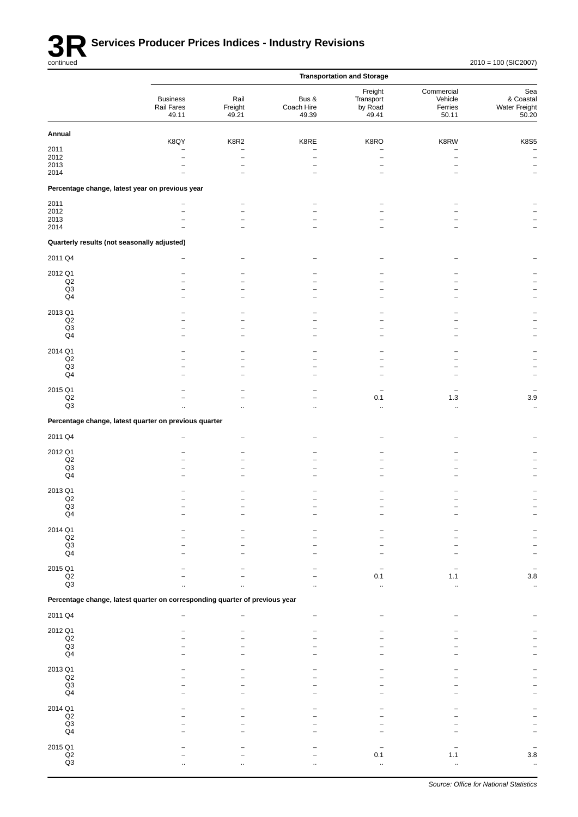

|                                             |                                                                             |                                  |                              | <b>Transportation and Storage</b>        |                                           |                                            |
|---------------------------------------------|-----------------------------------------------------------------------------|----------------------------------|------------------------------|------------------------------------------|-------------------------------------------|--------------------------------------------|
|                                             | <b>Business</b><br>Rail Fares<br>49.11                                      | Rail<br>Freight<br>49.21         | Bus &<br>Coach Hire<br>49.39 | Freight<br>Transport<br>by Road<br>49.41 | Commercial<br>Vehicle<br>Ferries<br>50.11 | Sea<br>& Coastal<br>Water Freight<br>50.20 |
| Annual                                      |                                                                             |                                  |                              |                                          |                                           |                                            |
| 2011                                        | K8QY                                                                        | K8R2<br>$\overline{\phantom{0}}$ | K8RE                         | K8RO                                     | K8RW<br>$\overline{\phantom{0}}$          | <b>K8S5</b>                                |
| 2012                                        |                                                                             |                                  |                              | $\overline{\phantom{0}}$                 | $\overline{\phantom{0}}$                  | $\qquad \qquad -$                          |
| 2013<br>2014                                |                                                                             |                                  |                              |                                          |                                           | $\overline{\phantom{0}}$                   |
|                                             | Percentage change, latest year on previous year                             |                                  |                              |                                          |                                           |                                            |
| 2011                                        |                                                                             |                                  |                              |                                          |                                           |                                            |
| 2012                                        |                                                                             | -<br>$\overline{\phantom{0}}$    |                              |                                          |                                           |                                            |
| 2013<br>2014                                |                                                                             | $\overline{\phantom{0}}$         |                              |                                          |                                           |                                            |
|                                             |                                                                             |                                  |                              |                                          |                                           |                                            |
| Quarterly results (not seasonally adjusted) |                                                                             |                                  |                              |                                          |                                           |                                            |
| 2011 Q4                                     |                                                                             |                                  |                              |                                          |                                           |                                            |
| 2012 Q1<br>Q2                               |                                                                             |                                  |                              |                                          |                                           |                                            |
| $\mathsf{Q3}$                               |                                                                             |                                  |                              |                                          |                                           |                                            |
| Q <sub>4</sub>                              |                                                                             |                                  |                              |                                          |                                           |                                            |
| 2013 Q1                                     |                                                                             |                                  |                              |                                          |                                           |                                            |
| Q2<br>Q3                                    |                                                                             |                                  |                              |                                          |                                           |                                            |
| $\mathsf{Q}4$                               |                                                                             | -                                |                              |                                          |                                           |                                            |
| 2014 Q1                                     |                                                                             |                                  |                              |                                          |                                           |                                            |
| Q2                                          |                                                                             |                                  |                              |                                          |                                           |                                            |
| Q3<br>Q <sub>4</sub>                        |                                                                             | $\overline{\phantom{0}}$         |                              |                                          | ۳                                         |                                            |
|                                             |                                                                             |                                  |                              |                                          |                                           |                                            |
| 2015 Q1<br>$\mathsf{Q2}$                    |                                                                             |                                  |                              | 0.1                                      | -<br>$1.3$                                | $3.9\,$                                    |
| $\mathsf{Q3}$                               |                                                                             | ٠.                               | $\ddot{\phantom{a}}$         | ä,                                       | $\ddotsc$                                 | $\ddot{\phantom{1}}$                       |
|                                             | Percentage change, latest quarter on previous quarter                       |                                  |                              |                                          |                                           |                                            |
| 2011 Q4                                     |                                                                             |                                  |                              |                                          |                                           |                                            |
| 2012 Q1                                     |                                                                             |                                  |                              |                                          |                                           |                                            |
| $_{\mathsf{Q2}}$                            |                                                                             |                                  |                              |                                          |                                           |                                            |
| Q3<br>Q <sub>4</sub>                        |                                                                             |                                  |                              |                                          |                                           |                                            |
|                                             |                                                                             |                                  |                              |                                          |                                           |                                            |
| 2013 Q1<br>Q2                               |                                                                             |                                  |                              |                                          |                                           |                                            |
| Q3                                          |                                                                             |                                  |                              |                                          |                                           |                                            |
| Q <sub>4</sub>                              |                                                                             |                                  |                              |                                          |                                           |                                            |
| 2014 Q1                                     |                                                                             |                                  |                              |                                          |                                           |                                            |
| $_{\mathsf{Q2}}$<br>$_{\mathsf{Q3}}$        |                                                                             |                                  |                              |                                          |                                           |                                            |
| Q4                                          |                                                                             |                                  |                              |                                          |                                           |                                            |
| 2015 Q1                                     |                                                                             |                                  |                              |                                          |                                           |                                            |
| $\mathsf{Q2}$                               |                                                                             |                                  |                              | 0.1                                      | 1.1                                       | $3.8\,$                                    |
| $\mathsf{Q3}$                               |                                                                             |                                  |                              |                                          |                                           | $\ddot{\phantom{1}}$                       |
|                                             | Percentage change, latest quarter on corresponding quarter of previous year |                                  |                              |                                          |                                           |                                            |
| 2011 Q4                                     |                                                                             |                                  |                              |                                          |                                           |                                            |
| 2012 Q1                                     |                                                                             |                                  |                              |                                          |                                           |                                            |
| $\mathsf{Q2}$<br>Q3                         |                                                                             |                                  |                              |                                          |                                           |                                            |
| Q <sub>4</sub>                              |                                                                             |                                  |                              |                                          |                                           |                                            |
| 2013 Q1                                     |                                                                             |                                  |                              |                                          |                                           |                                            |
| $_{\mathsf{Q2}}$                            |                                                                             |                                  |                              |                                          |                                           |                                            |
| $_{\mathsf{Q3}}$<br>$\mathsf{Q}4$           |                                                                             |                                  |                              |                                          |                                           |                                            |
|                                             |                                                                             |                                  |                              |                                          |                                           |                                            |
| 2014 Q1<br>$\mathsf{Q2}$                    |                                                                             |                                  |                              |                                          |                                           |                                            |
| Q3                                          |                                                                             |                                  |                              |                                          |                                           |                                            |
| $\mathsf{Q}4$                               |                                                                             |                                  |                              |                                          |                                           |                                            |
| 2015 Q1<br>$_{\mathsf{Q2}}$                 |                                                                             |                                  |                              |                                          |                                           |                                            |
| $\mathsf{Q}3$                               |                                                                             |                                  |                              | 0.1<br>ä.                                | 1.1<br>$\ddot{\phantom{a}}$               | $3.8\,$                                    |
|                                             |                                                                             |                                  |                              |                                          |                                           |                                            |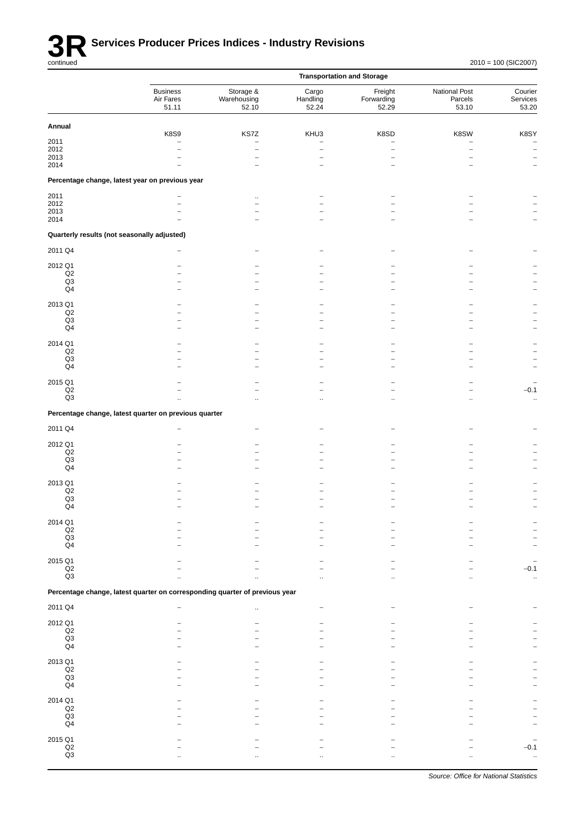

|                                             |                                                                             |                                                    |                                  | <b>Transportation and Storage</b> |                                   |                                             |
|---------------------------------------------|-----------------------------------------------------------------------------|----------------------------------------------------|----------------------------------|-----------------------------------|-----------------------------------|---------------------------------------------|
|                                             | <b>Business</b><br>Air Fares<br>51.11                                       | Storage &<br>Warehousing<br>52.10                  | Cargo<br>Handling<br>52.24       | Freight<br>Forwarding<br>52.29    | National Post<br>Parcels<br>53.10 | Courier<br>Services<br>53.20                |
| Annual                                      |                                                                             |                                                    |                                  |                                   |                                   |                                             |
| 2011<br>2012<br>2013                        | <b>K8S9</b><br>$\overline{a}$                                               | KS7Z<br>$\overline{\phantom{0}}$<br>$\overline{a}$ | KHU3<br>$\overline{\phantom{m}}$ | K8SD                              | K8SW                              | K8SY<br>$\overline{a}$<br>$\qquad \qquad -$ |
| 2014                                        |                                                                             |                                                    |                                  |                                   |                                   |                                             |
|                                             | Percentage change, latest year on previous year                             |                                                    |                                  |                                   |                                   |                                             |
| 2011<br>2012                                |                                                                             | $\ddotsc$                                          |                                  |                                   |                                   |                                             |
| 2013                                        |                                                                             |                                                    |                                  |                                   |                                   |                                             |
| 2014                                        |                                                                             |                                                    |                                  |                                   |                                   |                                             |
| Quarterly results (not seasonally adjusted) |                                                                             |                                                    |                                  |                                   |                                   |                                             |
| 2011 Q4                                     |                                                                             |                                                    |                                  |                                   |                                   |                                             |
| 2012 Q1                                     |                                                                             |                                                    |                                  |                                   |                                   |                                             |
| $_{\mathsf{Q2}}$<br>Q3                      |                                                                             |                                                    |                                  |                                   |                                   |                                             |
| Q4                                          |                                                                             |                                                    |                                  |                                   |                                   |                                             |
| 2013 Q1                                     |                                                                             |                                                    |                                  |                                   |                                   |                                             |
| Q2                                          |                                                                             |                                                    |                                  |                                   |                                   |                                             |
| Q3                                          |                                                                             |                                                    |                                  |                                   |                                   |                                             |
| $\mathsf{Q}4$                               |                                                                             |                                                    |                                  |                                   |                                   |                                             |
| 2014 Q1                                     |                                                                             |                                                    |                                  |                                   |                                   |                                             |
| Q2<br>Q3                                    |                                                                             |                                                    |                                  |                                   |                                   |                                             |
| Q4                                          |                                                                             |                                                    |                                  |                                   |                                   |                                             |
| 2015 Q1                                     |                                                                             |                                                    |                                  |                                   |                                   |                                             |
| $\mathsf{Q2}$                               |                                                                             |                                                    |                                  |                                   |                                   | $-0.1$                                      |
| Q3                                          |                                                                             |                                                    |                                  |                                   |                                   | $\ddot{\phantom{1}}$                        |
|                                             | Percentage change, latest quarter on previous quarter                       |                                                    |                                  |                                   |                                   |                                             |
| 2011 Q4                                     |                                                                             |                                                    |                                  |                                   |                                   |                                             |
| 2012 Q1                                     |                                                                             |                                                    |                                  |                                   |                                   |                                             |
| Q2<br>Q3                                    |                                                                             |                                                    |                                  |                                   |                                   |                                             |
| $\mathsf{Q}4$                               |                                                                             |                                                    |                                  |                                   |                                   |                                             |
| 2013 Q1                                     |                                                                             |                                                    |                                  |                                   |                                   |                                             |
| $_{\mathsf{Q2}}$                            |                                                                             |                                                    |                                  |                                   |                                   |                                             |
| Q <sub>3</sub>                              |                                                                             |                                                    |                                  |                                   |                                   |                                             |
| Q <sub>4</sub>                              |                                                                             |                                                    |                                  |                                   |                                   |                                             |
| 2014 Q1                                     |                                                                             |                                                    |                                  |                                   |                                   |                                             |
| $_{\mathsf{Q2}}$<br>Q3                      |                                                                             |                                                    |                                  |                                   |                                   |                                             |
| $\mathsf{Q}4$                               |                                                                             |                                                    |                                  |                                   |                                   |                                             |
| 2015 Q1                                     |                                                                             |                                                    |                                  |                                   |                                   |                                             |
| $_{\mathsf{Q2}}$                            |                                                                             |                                                    |                                  |                                   |                                   | $-0.1$                                      |
| Q3                                          |                                                                             |                                                    |                                  |                                   |                                   | $\ddotsc$                                   |
|                                             | Percentage change, latest quarter on corresponding quarter of previous year |                                                    |                                  |                                   |                                   |                                             |
| 2011 Q4                                     |                                                                             |                                                    |                                  |                                   |                                   |                                             |
| 2012 Q1                                     |                                                                             |                                                    |                                  |                                   |                                   |                                             |
| $_{\mathsf{Q2}}$                            |                                                                             |                                                    |                                  |                                   |                                   |                                             |
| Q3<br>Q4                                    |                                                                             |                                                    |                                  |                                   |                                   |                                             |
| 2013 Q1                                     |                                                                             |                                                    |                                  |                                   |                                   |                                             |
| $_{\mathsf{Q2}}$                            |                                                                             |                                                    |                                  |                                   |                                   |                                             |
| Q3                                          |                                                                             |                                                    |                                  |                                   |                                   |                                             |
| $\mathsf{Q}4$                               |                                                                             |                                                    |                                  |                                   |                                   |                                             |
| 2014 Q1                                     |                                                                             |                                                    |                                  |                                   |                                   |                                             |
| Q2<br>Q3                                    |                                                                             |                                                    |                                  |                                   |                                   |                                             |
| Q4                                          |                                                                             |                                                    |                                  |                                   |                                   |                                             |
| 2015 Q1                                     |                                                                             |                                                    |                                  |                                   |                                   |                                             |
| $_{\mathsf{Q2}}$                            |                                                                             |                                                    |                                  |                                   |                                   | $-0.1$                                      |
| Q3                                          |                                                                             |                                                    |                                  |                                   |                                   |                                             |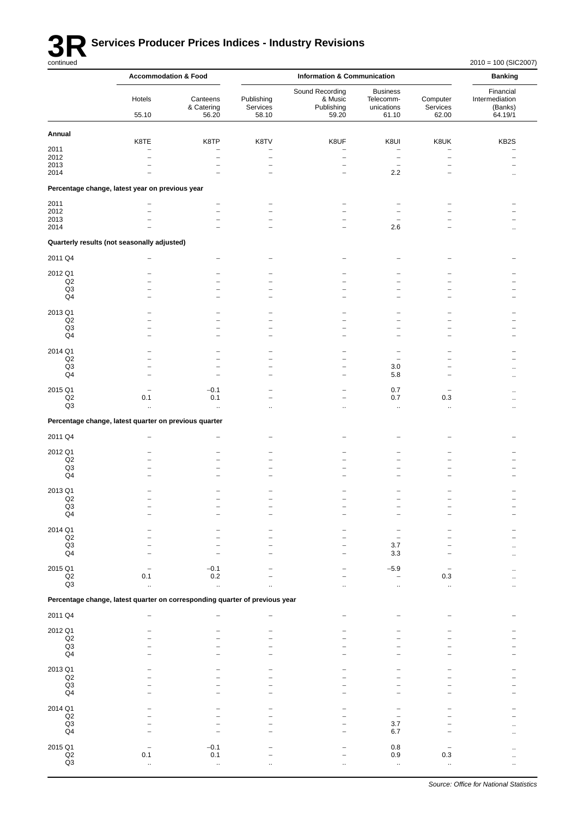

# **3R** Services Producer Prices Indices - Industry Revisions

|                                   | <b>Accommodation &amp; Food</b>                                             |                                  | <b>Information &amp; Communication</b> |                                                   |                                                     | <b>Banking</b>                   |                                                   |
|-----------------------------------|-----------------------------------------------------------------------------|----------------------------------|----------------------------------------|---------------------------------------------------|-----------------------------------------------------|----------------------------------|---------------------------------------------------|
|                                   | Hotels<br>55.10                                                             | Canteens<br>& Catering<br>56.20  | Publishing<br>Services<br>58.10        | Sound Recording<br>& Music<br>Publishing<br>59.20 | <b>Business</b><br>Telecomm-<br>unications<br>61.10 | Computer<br>Services<br>62.00    | Financial<br>Intermediation<br>(Banks)<br>64.19/1 |
| Annual                            |                                                                             |                                  |                                        |                                                   |                                                     |                                  |                                                   |
| 2011                              | K8TE<br>۳                                                                   | K8TP<br>$\overline{\phantom{0}}$ | K8TV<br>۳                              | K8UF<br>$\overline{\phantom{0}}$                  | K8UI<br>$\overline{\phantom{a}}$                    | K8UK<br>$\overline{\phantom{0}}$ | KB <sub>2</sub> S                                 |
| 2012                              | $\overline{\phantom{0}}$                                                    | $\overline{\phantom{m}}$         | $\overline{\phantom{0}}$               | $\overline{\phantom{0}}$                          | $\overline{\phantom{0}}$                            | $\overline{a}$                   |                                                   |
| 2013                              |                                                                             |                                  | $\overline{\phantom{0}}$               | $\overline{\phantom{0}}$                          | $\overline{\phantom{0}}$                            | -                                |                                                   |
| 2014                              |                                                                             |                                  |                                        | $\overline{\phantom{0}}$                          | $2.2\,$                                             |                                  |                                                   |
|                                   | Percentage change, latest year on previous year                             |                                  |                                        |                                                   |                                                     |                                  |                                                   |
| 2011<br>2012                      |                                                                             | $\overline{\phantom{a}}$         |                                        |                                                   |                                                     |                                  |                                                   |
| 2013                              |                                                                             |                                  |                                        |                                                   |                                                     |                                  |                                                   |
| 2014                              |                                                                             |                                  |                                        |                                                   | 2.6                                                 |                                  |                                                   |
|                                   | Quarterly results (not seasonally adjusted)                                 |                                  |                                        |                                                   |                                                     |                                  |                                                   |
| 2011 Q4                           |                                                                             |                                  |                                        |                                                   |                                                     |                                  |                                                   |
| 2012 Q1                           |                                                                             |                                  |                                        |                                                   |                                                     |                                  |                                                   |
| Q2<br>Q <sub>3</sub>              |                                                                             |                                  |                                        |                                                   |                                                     |                                  |                                                   |
| Q4                                | -                                                                           |                                  |                                        |                                                   | -                                                   | -                                |                                                   |
| 2013 Q1                           |                                                                             |                                  |                                        |                                                   |                                                     |                                  |                                                   |
| Q2                                |                                                                             |                                  |                                        |                                                   | $\overline{\phantom{0}}$                            |                                  |                                                   |
| Q <sub>3</sub><br>Q4              | ۰                                                                           |                                  |                                        |                                                   | ۰                                                   | -                                |                                                   |
|                                   |                                                                             |                                  |                                        |                                                   |                                                     |                                  |                                                   |
| 2014 Q1<br>Q2                     |                                                                             |                                  |                                        |                                                   |                                                     |                                  |                                                   |
| Q3                                |                                                                             |                                  |                                        | $\overline{\phantom{0}}$                          | $3.0\,$                                             |                                  |                                                   |
| Q4                                |                                                                             | $\overline{\phantom{0}}$         |                                        | $\overline{\phantom{0}}$                          | 5.8                                                 | $\overline{\phantom{0}}$         |                                                   |
| 2015 Q1                           |                                                                             | $-0.1$                           |                                        |                                                   | 0.7                                                 |                                  |                                                   |
| Q2<br>Q3                          | 0.1<br>$\ddot{\phantom{1}}$                                                 | 0.1<br>$\ddot{\phantom{1}}$      |                                        |                                                   | 0.7<br>$\ddot{\phantom{1}}$                         | 0.3<br>$\ddotsc$                 |                                                   |
|                                   | Percentage change, latest quarter on previous quarter                       |                                  |                                        |                                                   |                                                     |                                  |                                                   |
|                                   |                                                                             |                                  |                                        |                                                   |                                                     |                                  |                                                   |
| 2011 Q4                           |                                                                             |                                  |                                        |                                                   |                                                     |                                  |                                                   |
| 2012 Q1<br>Q2                     |                                                                             |                                  |                                        |                                                   |                                                     |                                  |                                                   |
| Q <sub>3</sub>                    |                                                                             |                                  |                                        |                                                   |                                                     |                                  |                                                   |
| Q <sub>4</sub>                    |                                                                             |                                  |                                        |                                                   |                                                     |                                  |                                                   |
| 2013 Q1                           |                                                                             |                                  |                                        |                                                   |                                                     |                                  |                                                   |
| Q2<br>Q3                          |                                                                             |                                  |                                        |                                                   |                                                     |                                  |                                                   |
| Q <sub>4</sub>                    |                                                                             |                                  |                                        |                                                   |                                                     |                                  |                                                   |
| 2014 Q1                           |                                                                             |                                  |                                        |                                                   |                                                     |                                  |                                                   |
| Q2                                |                                                                             |                                  |                                        |                                                   |                                                     |                                  |                                                   |
| Q3<br>Q <sub>4</sub>              |                                                                             |                                  |                                        | $\overline{\phantom{0}}$                          | 3.7<br>3.3                                          |                                  |                                                   |
|                                   |                                                                             |                                  |                                        |                                                   |                                                     |                                  |                                                   |
| 2015 Q1<br>$_{\mathsf{Q2}}$       | 0.1                                                                         | $-0.1$<br>0.2                    |                                        |                                                   | $-5.9$<br>$\overline{\phantom{a}}$                  | $0.3\,$                          |                                                   |
| Q <sub>3</sub>                    | $\sim$                                                                      | $\bar{\mathbf{a}}$               | $\sim$                                 | $\ddotsc$                                         | $\ddotsc$                                           | $\ddot{\phantom{a}}$             |                                                   |
|                                   | Percentage change, latest quarter on corresponding quarter of previous year |                                  |                                        |                                                   |                                                     |                                  |                                                   |
| 2011 Q4                           | $\overline{\phantom{a}}$                                                    |                                  |                                        | $\overline{a}$                                    |                                                     |                                  |                                                   |
| 2012 Q1                           |                                                                             |                                  |                                        |                                                   |                                                     |                                  |                                                   |
| Q2                                |                                                                             |                                  |                                        |                                                   |                                                     |                                  |                                                   |
| Q3<br>Q <sub>4</sub>              |                                                                             |                                  |                                        |                                                   |                                                     |                                  |                                                   |
|                                   |                                                                             |                                  |                                        |                                                   |                                                     |                                  |                                                   |
| 2013 Q1<br>Q2                     |                                                                             |                                  |                                        |                                                   |                                                     |                                  |                                                   |
| Q3<br>Q4                          |                                                                             |                                  |                                        |                                                   |                                                     |                                  |                                                   |
|                                   |                                                                             |                                  |                                        |                                                   |                                                     |                                  |                                                   |
| 2014 Q1<br>Q2                     |                                                                             |                                  |                                        |                                                   |                                                     |                                  |                                                   |
| Q <sub>3</sub>                    |                                                                             |                                  |                                        |                                                   | 3.7                                                 |                                  |                                                   |
| Q <sub>4</sub>                    |                                                                             |                                  |                                        |                                                   | 6.7                                                 |                                  |                                                   |
| 2015 Q1                           |                                                                             | $-0.1$                           |                                        |                                                   | 0.8                                                 |                                  |                                                   |
| $_{\mathsf{Q2}}$<br>$\mathsf{Q3}$ | 0.1                                                                         | 0.1<br>$\ddot{\phantom{1}}$      |                                        |                                                   | 0.9<br>$\ddot{\phantom{1}}$                         | 0.3<br>$\ddotsc$                 | ٠.                                                |
|                                   |                                                                             |                                  |                                        |                                                   |                                                     |                                  |                                                   |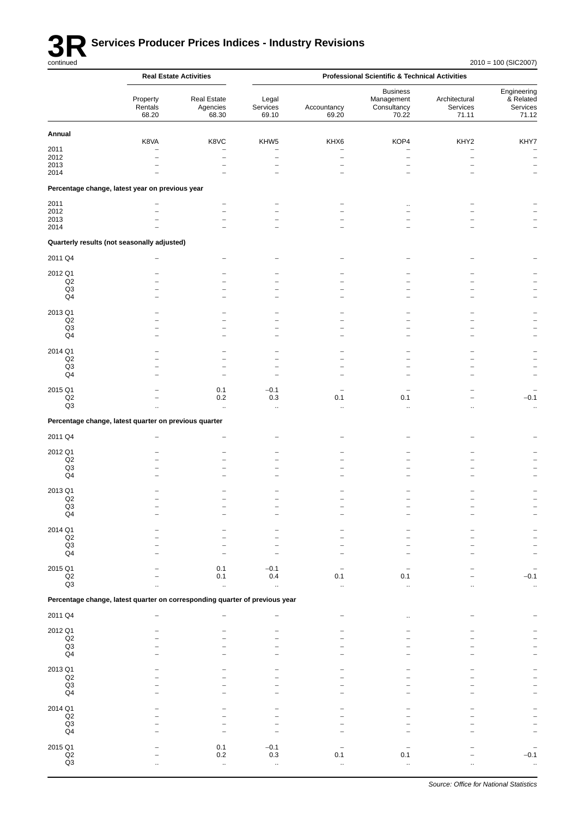

|                                    |                                                                             | <b>Real Estate Activities</b>    |                                  |                                  | <b>Professional Scientific &amp; Technical Activities</b> |                                    |                                               |  |
|------------------------------------|-----------------------------------------------------------------------------|----------------------------------|----------------------------------|----------------------------------|-----------------------------------------------------------|------------------------------------|-----------------------------------------------|--|
|                                    | Property<br>Rentals<br>68.20                                                | Real Estate<br>Agencies<br>68.30 | Legal<br>Services<br>69.10       | Accountancy<br>69.20             | <b>Business</b><br>Management<br>Consultancy<br>70.22     | Architectural<br>Services<br>71.11 | Engineering<br>& Related<br>Services<br>71.12 |  |
| Annual                             |                                                                             |                                  |                                  |                                  |                                                           |                                    |                                               |  |
| 2011                               | K8VA<br>$\overline{\phantom{0}}$                                            | K8VC<br>$\overline{\phantom{0}}$ | KHW5<br>$\overline{\phantom{0}}$ | KHX6<br>$\overline{\phantom{0}}$ | KOP4<br>$\overline{\phantom{0}}$                          | KHY2<br>$\overline{\phantom{0}}$   | KHY7<br>$\overline{\phantom{0}}$              |  |
| 2012                               |                                                                             | -                                | $\qquad \qquad -$                | -                                | $\qquad \qquad -$                                         | $\overline{a}$                     | $\overline{\phantom{a}}$                      |  |
| 2013                               |                                                                             | $\overline{\phantom{0}}$         | $\overline{\phantom{0}}$         |                                  |                                                           |                                    | $\qquad \qquad -$                             |  |
| 2014                               |                                                                             |                                  |                                  |                                  |                                                           |                                    |                                               |  |
|                                    | Percentage change, latest year on previous year                             |                                  |                                  |                                  |                                                           |                                    |                                               |  |
| 2011                               |                                                                             | $\overline{\phantom{0}}$         |                                  |                                  |                                                           |                                    |                                               |  |
| 2012<br>2013                       |                                                                             |                                  | -                                |                                  |                                                           |                                    |                                               |  |
| 2014                               |                                                                             |                                  |                                  |                                  |                                                           |                                    |                                               |  |
|                                    | Quarterly results (not seasonally adjusted)                                 |                                  |                                  |                                  |                                                           |                                    |                                               |  |
| 2011 Q4                            |                                                                             |                                  |                                  |                                  |                                                           |                                    |                                               |  |
| 2012 Q1                            |                                                                             |                                  |                                  |                                  |                                                           |                                    |                                               |  |
| Q2                                 |                                                                             |                                  |                                  |                                  |                                                           |                                    |                                               |  |
| Q3                                 |                                                                             |                                  | -                                |                                  |                                                           |                                    |                                               |  |
| Q4                                 |                                                                             |                                  |                                  |                                  |                                                           |                                    |                                               |  |
| 2013 Q1                            |                                                                             |                                  |                                  |                                  |                                                           |                                    |                                               |  |
| Q2<br>Q3                           |                                                                             | -                                | $\overline{\phantom{0}}$<br>-    |                                  |                                                           |                                    |                                               |  |
| Q4                                 |                                                                             |                                  | -                                |                                  |                                                           |                                    |                                               |  |
| 2014 Q1                            |                                                                             |                                  |                                  |                                  |                                                           |                                    |                                               |  |
| Q2                                 |                                                                             |                                  |                                  |                                  |                                                           |                                    |                                               |  |
| Q <sub>3</sub>                     |                                                                             | $\overline{\phantom{0}}$         | $\overline{\phantom{0}}$         |                                  |                                                           |                                    |                                               |  |
| Q <sub>4</sub>                     |                                                                             | $\overline{\phantom{0}}$         | $\overline{\phantom{0}}$         |                                  |                                                           |                                    |                                               |  |
| 2015 Q1                            |                                                                             | 0.1                              | $-0.1$                           |                                  |                                                           |                                    |                                               |  |
| $_{\mathsf{Q2}}$<br>Q <sub>3</sub> |                                                                             | $0.2\,$                          | $0.3\,$                          | 0.1                              | 0.1                                                       |                                    | $-0.1$                                        |  |
|                                    |                                                                             | $\ddot{\phantom{a}}$             | $\ddotsc$                        | $\ddotsc$                        | ä.                                                        |                                    | $\ddot{\phantom{1}}$                          |  |
|                                    | Percentage change, latest quarter on previous quarter                       |                                  |                                  |                                  |                                                           |                                    |                                               |  |
| 2011 Q4                            |                                                                             |                                  |                                  |                                  |                                                           |                                    |                                               |  |
| 2012 Q1                            |                                                                             |                                  |                                  |                                  |                                                           |                                    |                                               |  |
| Q2                                 |                                                                             |                                  |                                  |                                  |                                                           |                                    |                                               |  |
| Q3<br>Q <sub>4</sub>               |                                                                             |                                  |                                  |                                  |                                                           |                                    |                                               |  |
| 2013 Q1                            |                                                                             |                                  |                                  |                                  |                                                           |                                    |                                               |  |
| Q2                                 |                                                                             |                                  |                                  |                                  |                                                           |                                    |                                               |  |
| Q3                                 |                                                                             |                                  |                                  |                                  |                                                           |                                    |                                               |  |
| $\mathsf{Q4}$                      |                                                                             |                                  |                                  |                                  |                                                           |                                    |                                               |  |
| 2014 Q1                            |                                                                             |                                  |                                  |                                  |                                                           |                                    |                                               |  |
| Q2<br>$\mathsf{Q3}$                |                                                                             |                                  |                                  |                                  |                                                           |                                    |                                               |  |
| Q4                                 |                                                                             |                                  |                                  |                                  |                                                           |                                    |                                               |  |
| 2015 Q1                            |                                                                             | 0.1                              | $-0.1$                           |                                  |                                                           |                                    |                                               |  |
| $\mathsf{Q2}$                      |                                                                             | 0.1                              | 0.4                              | 0.1                              | 0.1                                                       |                                    | $-0.1$                                        |  |
| Q3                                 |                                                                             | $\ddot{\phantom{1}}$             | $\bar{\mathbf{a}}$               | ä.                               | ä.                                                        |                                    | $\mathcal{L}_{\mathcal{A}}$                   |  |
|                                    | Percentage change, latest quarter on corresponding quarter of previous year |                                  |                                  |                                  |                                                           |                                    |                                               |  |
| 2011 Q4                            |                                                                             |                                  |                                  |                                  | $\ddotsc$                                                 |                                    |                                               |  |
| 2012 Q1                            |                                                                             |                                  |                                  |                                  |                                                           |                                    |                                               |  |
| $_{\mathsf{Q2}}$                   |                                                                             |                                  |                                  |                                  |                                                           |                                    |                                               |  |
| Q3<br>$\mathsf{Q4}$                |                                                                             |                                  |                                  |                                  |                                                           |                                    |                                               |  |
|                                    |                                                                             |                                  |                                  |                                  |                                                           |                                    |                                               |  |
| 2013 Q1<br>$\mathsf{Q2}$           |                                                                             |                                  |                                  |                                  |                                                           |                                    |                                               |  |
| Q3                                 |                                                                             |                                  |                                  |                                  |                                                           |                                    |                                               |  |
| $\mathsf{Q}4$                      |                                                                             |                                  |                                  |                                  |                                                           |                                    |                                               |  |
| 2014 Q1                            |                                                                             |                                  |                                  |                                  |                                                           |                                    |                                               |  |
| $\mathsf{Q2}$                      |                                                                             |                                  |                                  |                                  |                                                           |                                    |                                               |  |
| Q3<br>Q4                           |                                                                             |                                  |                                  |                                  |                                                           |                                    |                                               |  |
|                                    |                                                                             |                                  |                                  |                                  |                                                           |                                    |                                               |  |
| 2015 Q1<br>$_{\mathsf{Q2}}$        |                                                                             | 0.1<br>$0.2\,$                   | $-0.1$<br>0.3                    | 0.1                              | 0.1                                                       |                                    | $-0.1$                                        |  |
| Q3                                 |                                                                             | .,                               | ä,                               | Ω,                               |                                                           |                                    |                                               |  |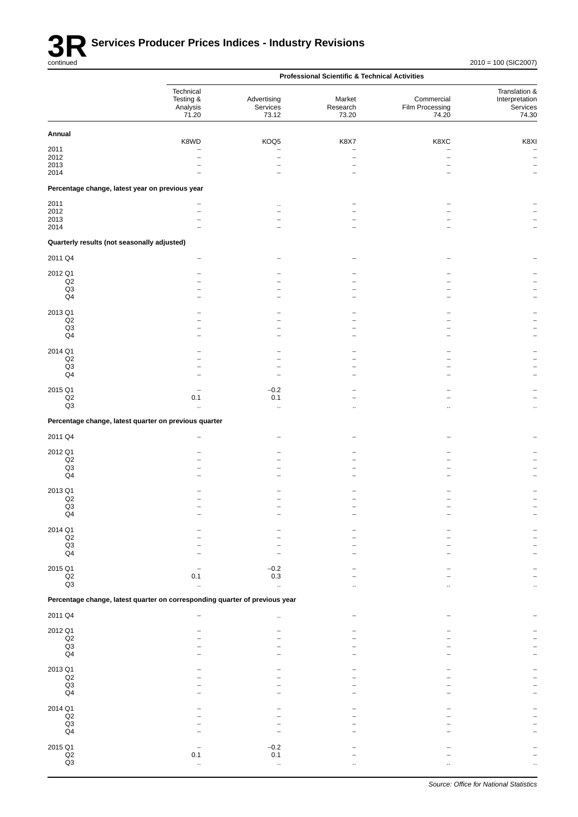|                                                 |                                                                             |                                  | <b>Professional Scientific &amp; Technical Activities</b> |                                                      |                                                      |
|-------------------------------------------------|-----------------------------------------------------------------------------|----------------------------------|-----------------------------------------------------------|------------------------------------------------------|------------------------------------------------------|
|                                                 | Technical<br>Testing &<br>Analysis<br>71.20                                 | Advertising<br>Services<br>73.12 | Market<br>Research<br>73.20                               | Commercial<br>Film Processing<br>74.20               | Translation &<br>Interpretation<br>Services<br>74.30 |
| Annual                                          |                                                                             |                                  |                                                           |                                                      |                                                      |
|                                                 | K8WD                                                                        | KOQ5                             | <b>K8X7</b>                                               | K8XC                                                 | K8XI                                                 |
| 2011<br>2012                                    |                                                                             |                                  | $\overline{\phantom{0}}$                                  | $\overline{\phantom{0}}$<br>$\overline{\phantom{0}}$ | $\qquad \qquad -$                                    |
| 2013                                            |                                                                             |                                  |                                                           |                                                      |                                                      |
| 2014                                            |                                                                             |                                  |                                                           |                                                      |                                                      |
| Percentage change, latest year on previous year |                                                                             |                                  |                                                           |                                                      |                                                      |
| 2011                                            |                                                                             | $\ddot{\phantom{a}}$             |                                                           |                                                      |                                                      |
| 2012                                            |                                                                             |                                  |                                                           |                                                      |                                                      |
| 2013<br>2014                                    |                                                                             |                                  |                                                           |                                                      |                                                      |
| Quarterly results (not seasonally adjusted)     |                                                                             |                                  |                                                           |                                                      |                                                      |
| 2011 Q4                                         |                                                                             |                                  |                                                           |                                                      |                                                      |
| 2012 Q1                                         |                                                                             |                                  |                                                           |                                                      |                                                      |
| $_{\mathsf{Q2}}$                                |                                                                             |                                  |                                                           |                                                      |                                                      |
| Q3                                              |                                                                             |                                  |                                                           |                                                      |                                                      |
| Q4                                              |                                                                             |                                  |                                                           |                                                      |                                                      |
| 2013 Q1                                         |                                                                             |                                  |                                                           |                                                      |                                                      |
| Q2<br>Q3                                        |                                                                             |                                  |                                                           |                                                      |                                                      |
| Q4                                              |                                                                             |                                  |                                                           |                                                      |                                                      |
| 2014 Q1                                         |                                                                             |                                  |                                                           |                                                      |                                                      |
| $\mathsf{Q2}$                                   |                                                                             |                                  |                                                           |                                                      |                                                      |
| Q3                                              |                                                                             |                                  |                                                           |                                                      |                                                      |
| $\mathsf{Q}4$                                   |                                                                             |                                  |                                                           |                                                      |                                                      |
| 2015 Q1                                         |                                                                             | $-0.2$                           |                                                           |                                                      |                                                      |
| $_{\mathsf{Q2}}$                                | 0.1                                                                         | 0.1                              |                                                           |                                                      |                                                      |
| Q <sub>3</sub>                                  | ÷.                                                                          | ä,                               |                                                           | $\ddotsc$                                            | $\ddotsc$                                            |
|                                                 | Percentage change, latest quarter on previous quarter                       |                                  |                                                           |                                                      |                                                      |
| 2011 Q4                                         |                                                                             |                                  |                                                           |                                                      |                                                      |
| 2012 Q1                                         |                                                                             |                                  |                                                           |                                                      |                                                      |
| Q2                                              |                                                                             |                                  |                                                           |                                                      |                                                      |
| Q3<br>Q4                                        |                                                                             |                                  |                                                           |                                                      |                                                      |
|                                                 |                                                                             |                                  |                                                           |                                                      |                                                      |
| 2013 Q1<br>Q2                                   |                                                                             |                                  |                                                           |                                                      |                                                      |
| Q3                                              |                                                                             |                                  |                                                           |                                                      |                                                      |
| Q4                                              |                                                                             |                                  |                                                           |                                                      |                                                      |
| 2014 Q1                                         |                                                                             |                                  |                                                           |                                                      |                                                      |
| $_{\mathsf{Q2}}$                                |                                                                             |                                  |                                                           |                                                      |                                                      |
| $\mathsf{Q3}$<br>Q4                             |                                                                             |                                  |                                                           |                                                      |                                                      |
|                                                 |                                                                             |                                  |                                                           |                                                      |                                                      |
| 2015 Q1<br>$_{\mathsf{Q2}}$                     | 0.1                                                                         | $-0.2$<br>0.3                    |                                                           |                                                      |                                                      |
| Q3                                              | $\ddotsc$                                                                   | $\ddotsc$                        |                                                           |                                                      |                                                      |
|                                                 | Percentage change, latest quarter on corresponding quarter of previous year |                                  |                                                           |                                                      |                                                      |
| 2011 Q4                                         |                                                                             | ä.                               |                                                           |                                                      |                                                      |
|                                                 |                                                                             |                                  |                                                           |                                                      |                                                      |
| 2012 Q1<br>$_{\mathsf{Q2}}$                     |                                                                             |                                  |                                                           |                                                      |                                                      |
| Q3                                              |                                                                             |                                  |                                                           |                                                      |                                                      |
| Q <sub>4</sub>                                  |                                                                             |                                  |                                                           |                                                      |                                                      |
| 2013 Q1                                         |                                                                             |                                  |                                                           |                                                      |                                                      |
| $_{\mathsf{Q2}}$                                |                                                                             |                                  |                                                           |                                                      |                                                      |
| $\mathsf{Q3}$<br>Q4                             |                                                                             |                                  |                                                           |                                                      |                                                      |
|                                                 |                                                                             |                                  |                                                           |                                                      |                                                      |
| 2014 Q1                                         |                                                                             |                                  |                                                           |                                                      |                                                      |
| $_{\mathsf{Q2}}$<br>Q3                          |                                                                             |                                  |                                                           |                                                      |                                                      |
| $\mathsf{Q4}$                                   |                                                                             |                                  |                                                           |                                                      |                                                      |
| 2015 Q1                                         |                                                                             | $-0.2$                           |                                                           |                                                      |                                                      |
| $_{\mathsf{Q2}}$                                | 0.1                                                                         | 0.1                              |                                                           |                                                      |                                                      |
| Q3                                              | $\ddot{\phantom{1}}$                                                        | $\ddot{\phantom{1}}$             |                                                           |                                                      |                                                      |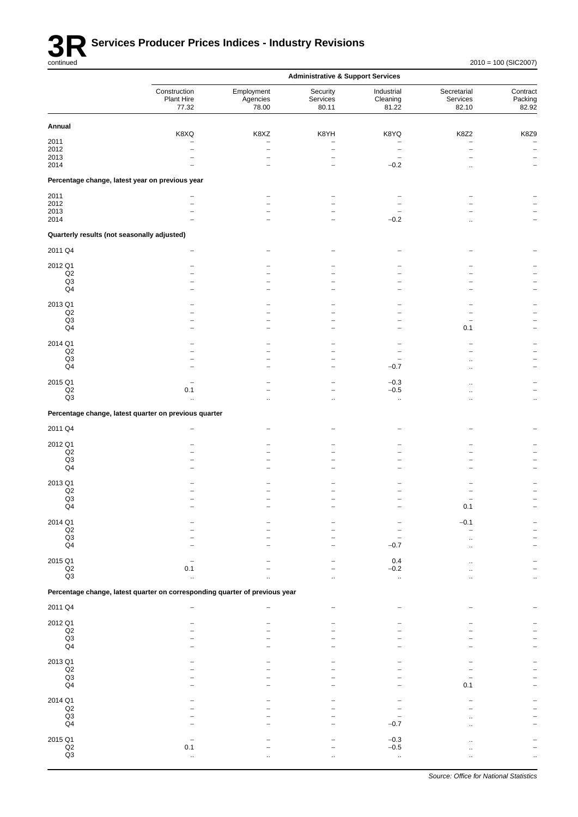

|                                             |                                                                             |                                            | <b>Administrative &amp; Support Services</b>         |                                 |                                  |                              |
|---------------------------------------------|-----------------------------------------------------------------------------|--------------------------------------------|------------------------------------------------------|---------------------------------|----------------------------------|------------------------------|
|                                             | Construction<br>Plant Hire<br>77.32                                         | Employment<br>Agencies<br>78.00            | Security<br>Services<br>80.11                        | Industrial<br>Cleaning<br>81.22 | Secretarial<br>Services<br>82.10 | Contract<br>Packing<br>82.92 |
| Annual                                      |                                                                             |                                            |                                                      |                                 |                                  |                              |
|                                             | K8XQ                                                                        | K8XZ                                       | K8YH                                                 | K8YQ                            | K8Z2                             | K8Z9                         |
| 2011<br>2012                                | $\overline{\phantom{0}}$                                                    | $\overline{\phantom{0}}$<br>$\overline{a}$ | $\overline{\phantom{0}}$<br>$\overline{\phantom{0}}$ |                                 | $\overline{a}$                   | $\overline{\phantom{m}}$     |
| 2013                                        |                                                                             | $\overline{\phantom{0}}$                   | $\overline{\phantom{0}}$                             | $\overline{\phantom{0}}$        |                                  |                              |
| 2014                                        |                                                                             |                                            |                                                      | $-0.2$                          |                                  |                              |
|                                             | Percentage change, latest year on previous year                             |                                            |                                                      |                                 |                                  |                              |
| 2011                                        |                                                                             |                                            |                                                      |                                 |                                  |                              |
| 2012                                        |                                                                             |                                            |                                                      |                                 |                                  |                              |
| 2013<br>2014                                |                                                                             |                                            |                                                      | $-0.2$                          |                                  |                              |
| Quarterly results (not seasonally adjusted) |                                                                             |                                            |                                                      |                                 |                                  |                              |
| 2011 Q4                                     |                                                                             |                                            |                                                      |                                 |                                  |                              |
|                                             |                                                                             |                                            |                                                      |                                 |                                  |                              |
| 2012 Q1<br>Q2                               |                                                                             |                                            |                                                      |                                 |                                  |                              |
| Q <sub>3</sub>                              |                                                                             |                                            |                                                      |                                 |                                  |                              |
| Q4                                          |                                                                             |                                            |                                                      |                                 |                                  |                              |
| 2013 Q1                                     |                                                                             |                                            |                                                      |                                 |                                  |                              |
| Q2                                          | -                                                                           |                                            |                                                      |                                 |                                  |                              |
| Q <sub>3</sub>                              |                                                                             |                                            |                                                      |                                 |                                  |                              |
| $\mathsf{Q}4$                               |                                                                             |                                            |                                                      |                                 | 0.1                              |                              |
| 2014 Q1                                     |                                                                             |                                            |                                                      |                                 |                                  |                              |
| Q2<br>Q3                                    | $\overline{\phantom{0}}$                                                    |                                            |                                                      |                                 |                                  |                              |
| Q4                                          |                                                                             |                                            |                                                      | $-0.7$                          |                                  |                              |
|                                             |                                                                             |                                            |                                                      |                                 |                                  |                              |
| 2015 Q1<br>$_{\mathsf{Q2}}$                 | 0.1                                                                         | ۳                                          |                                                      | $-0.3$<br>$-0.5$                |                                  |                              |
| Q3                                          | .,                                                                          |                                            |                                                      | .,                              |                                  | $\ldots$                     |
|                                             | Percentage change, latest quarter on previous quarter                       |                                            |                                                      |                                 |                                  |                              |
| 2011 Q4                                     |                                                                             |                                            |                                                      |                                 |                                  |                              |
|                                             |                                                                             |                                            |                                                      |                                 |                                  |                              |
| 2012 Q1<br>Q2                               |                                                                             |                                            |                                                      |                                 |                                  |                              |
| Q <sub>3</sub>                              |                                                                             |                                            |                                                      |                                 |                                  |                              |
| $\mathsf{Q}4$                               |                                                                             |                                            |                                                      |                                 |                                  |                              |
| 2013 Q1                                     |                                                                             |                                            |                                                      |                                 |                                  |                              |
| Q2                                          |                                                                             |                                            |                                                      |                                 |                                  |                              |
| Q <sub>3</sub><br>Q <sub>4</sub>            |                                                                             |                                            |                                                      |                                 | 0.1                              |                              |
|                                             |                                                                             |                                            |                                                      |                                 |                                  |                              |
| 2014 Q1                                     |                                                                             |                                            |                                                      |                                 | $-0.1$                           |                              |
| $\mathsf{Q2}$<br>Q3                         |                                                                             |                                            |                                                      |                                 |                                  |                              |
| $\mathsf{Q4}$                               |                                                                             |                                            |                                                      | $-0.7$                          |                                  |                              |
| 2015 Q1                                     |                                                                             |                                            |                                                      | $0.4\,$                         |                                  |                              |
| $\frac{Q2}{Q3}$                             | 0.1                                                                         |                                            | $\overline{\phantom{a}}$                             | $-0.2$                          |                                  |                              |
|                                             | $\ddot{\phantom{a}}$                                                        |                                            | $\ddot{\phantom{a}}$                                 | $\ddot{\phantom{1}}$            |                                  |                              |
|                                             | Percentage change, latest quarter on corresponding quarter of previous year |                                            |                                                      |                                 |                                  |                              |
| 2011 Q4                                     |                                                                             |                                            |                                                      |                                 |                                  |                              |
| 2012 Q1                                     |                                                                             |                                            |                                                      |                                 |                                  |                              |
| $_{\mathsf{Q2}}$                            |                                                                             |                                            |                                                      |                                 |                                  |                              |
| $\mathsf{Q3}$                               |                                                                             |                                            |                                                      |                                 |                                  |                              |
| $\mathsf{Q}4$                               |                                                                             |                                            |                                                      |                                 |                                  |                              |
| 2013 Q1                                     |                                                                             |                                            |                                                      |                                 |                                  |                              |
| $_{\mathsf{Q2}}$<br>Q3                      |                                                                             |                                            |                                                      |                                 |                                  |                              |
| $\mathsf{Q}4$                               |                                                                             |                                            |                                                      |                                 | 0.1                              |                              |
|                                             |                                                                             |                                            |                                                      |                                 |                                  |                              |
| 2014 Q1<br>$_{\mathsf{Q2}}$                 |                                                                             |                                            |                                                      |                                 |                                  |                              |
| $\mathsf{Q3}$                               |                                                                             |                                            |                                                      |                                 |                                  |                              |
| Q4                                          |                                                                             |                                            |                                                      | $-0.7$                          |                                  |                              |
| 2015 Q1                                     |                                                                             |                                            |                                                      | $-0.3$                          |                                  |                              |
| $_{\mathsf{Q2}}$                            | 0.1                                                                         |                                            |                                                      | $-0.5$                          |                                  |                              |
| $\mathsf{Q3}$                               |                                                                             |                                            |                                                      | $\ddot{\phantom{1}}$            |                                  |                              |